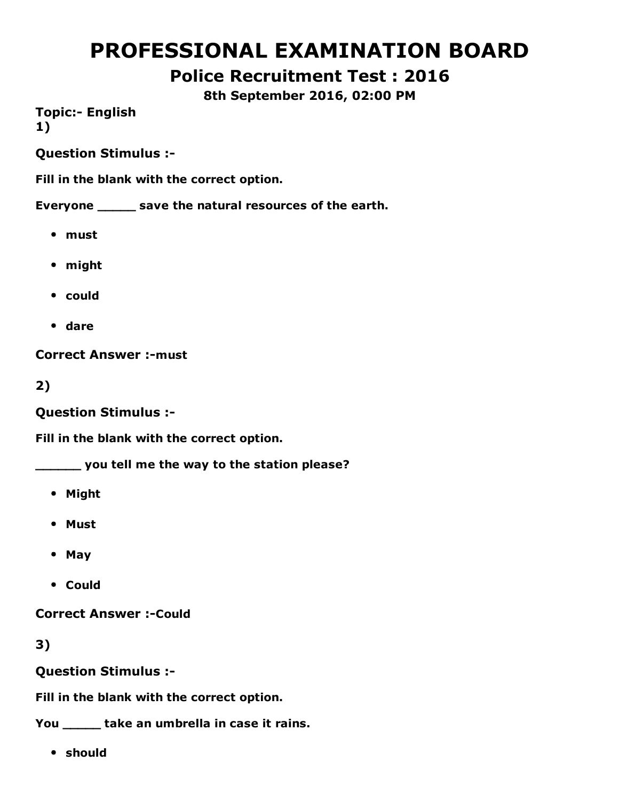# PROFESSIONAL EXAMINATION BOARD

# Police Recruitment Test : 2016

8th September 2016, 02:00 PM

**Topic:- English** 1)

Question Stimulus :

Fill in the blank with the correct option.

Everyone \_\_\_\_\_ save the natural resources of the earth.

- must
- might
- could
- dare

**Correct Answer :- must** 

2)

Question Stimulus :

Fill in the blank with the correct option.

\_\_\_\_\_\_ you tell me the way to the station please?

- Might
- Must
- May
- Could

**Correct Answer :- Could** 

3)

Question Stimulus :

Fill in the blank with the correct option.

You \_\_\_\_\_\_ take an umbrella in case it rains.

should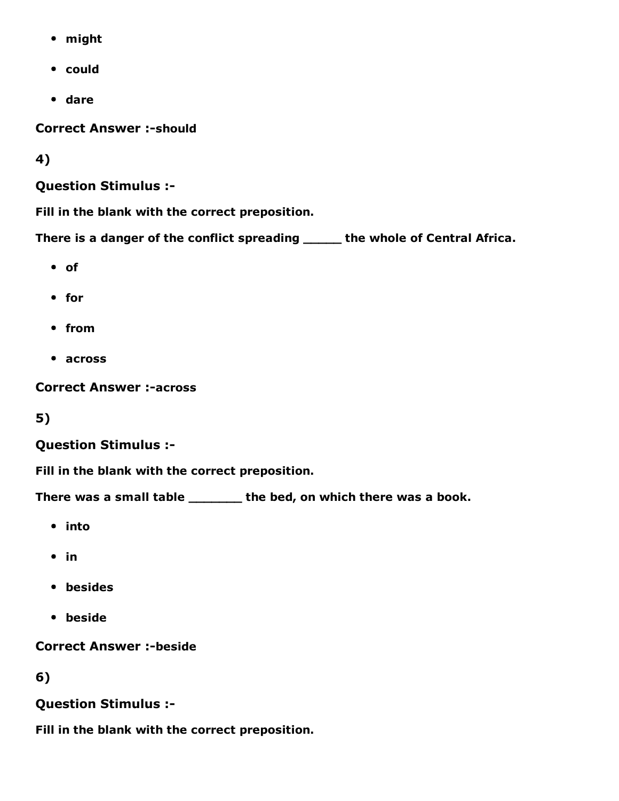- might
- could
- dare

**Correct Answer :- should** 

4)

Question Stimulus :

Fill in the blank with the correct preposition.

There is a danger of the conflict spreading \_\_\_\_\_ the whole of Central Africa.

- of
- for
- from
- across

**Correct Answer :-across** 

5)

#### Question Stimulus :

Fill in the blank with the correct preposition.

There was a small table \_\_\_\_\_\_\_ the bed, on which there was a book.

- into
- $\bullet$  in
- besides
- beside

**Correct Answer :-beside** 

6)

#### Question Stimulus :

Fill in the blank with the correct preposition.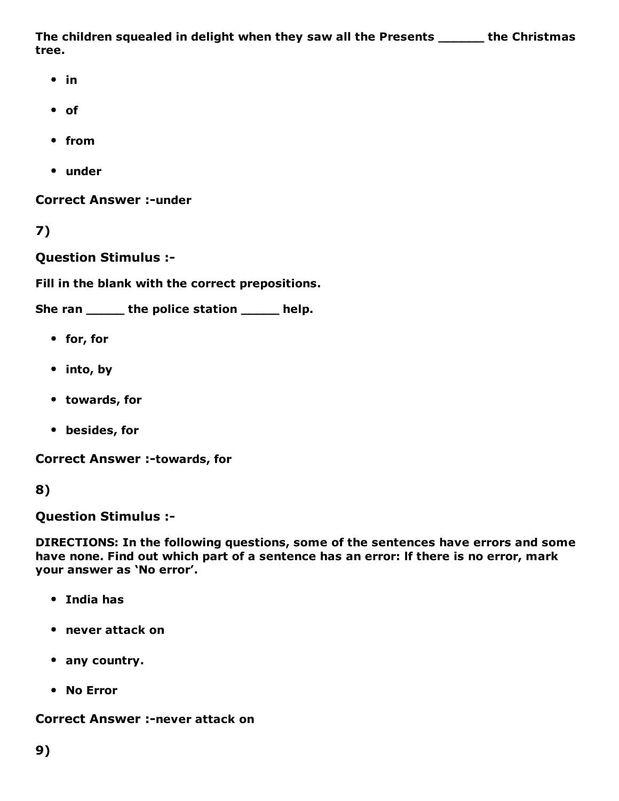The children squealed in delight when they saw all the Presents \_\_\_\_\_\_ the Christmas tree.

- $\cdot$  in
- of
- from
- under

**Correct Answer :- under** 

7)

Question Stimulus :

Fill in the blank with the correct prepositions.

She ran \_\_\_\_\_\_ the police station \_\_\_\_\_ help.

- for, for
- into, by
- towards, for
- besides, for

**Correct Answer :-towards, for** 

#### 8)

Question Stimulus :

DIRECTIONS: In the following questions, some of the sentences have errors and some have none. Find out which part of a sentence has an error: lf there is no error, mark your answer as 'No error'.

- India has
- never attack on
- any country.
- No Error

**Correct Answer :-never attack on**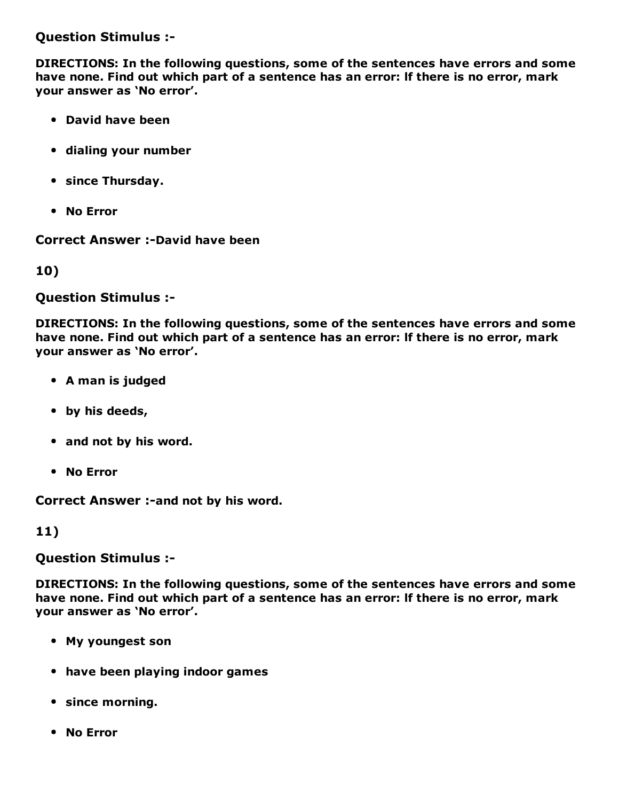Question Stimulus :

DIRECTIONS: In the following questions, some of the sentences have errors and some have none. Find out which part of a sentence has an error: lf there is no error, mark your answer as 'No error'.

- David have been
- dialing your number
- since Thursday.
- No Error

**Correct Answer :-David have been** 

10)

Question Stimulus :

DIRECTIONS: In the following questions, some of the sentences have errors and some have none. Find out which part of a sentence has an error: lf there is no error, mark your answer as 'No error'.

- A man is judged
- by his deeds,
- and not by his word.
- No Error

Correct Answer :- and not by his word.

11)

Question Stimulus :

DIRECTIONS: In the following questions, some of the sentences have errors and some have none. Find out which part of a sentence has an error: lf there is no error, mark your answer as 'No error'.

- My youngest son
- have been playing indoor games
- since morning.
- No Error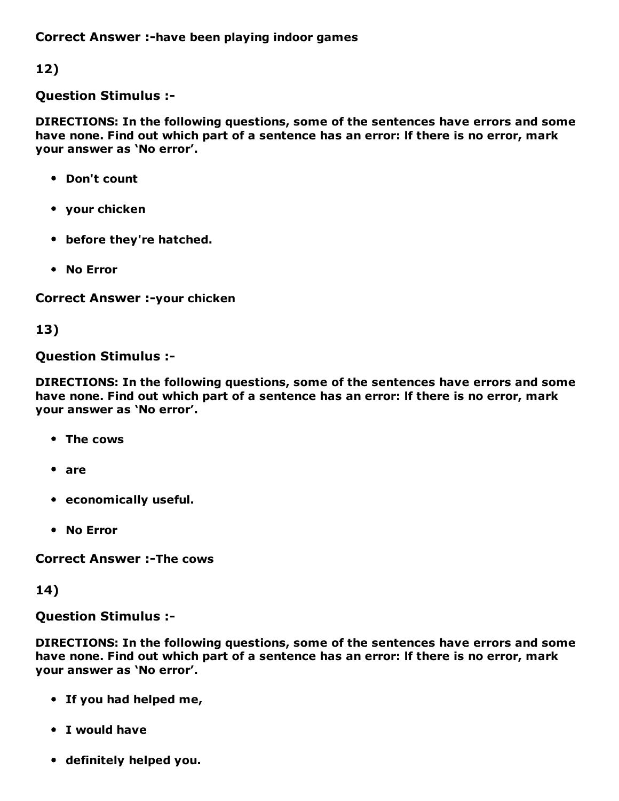Correct Answer :-have been playing indoor games

12)

#### Question Stimulus :

DIRECTIONS: In the following questions, some of the sentences have errors and some have none. Find out which part of a sentence has an error: lf there is no error, mark your answer as 'No error'.

- Don't count
- your chicken
- before they're hatched.
- No Error

Correct Answer :- your chicken

13)

#### Question Stimulus :

DIRECTIONS: In the following questions, some of the sentences have errors and some have none. Find out which part of a sentence has an error: lf there is no error, mark your answer as 'No error'.

- The cows
- are
- economically useful.
- No Error

**Correct Answer :- The cows** 

14)

#### Question Stimulus :

DIRECTIONS: In the following questions, some of the sentences have errors and some have none. Find out which part of a sentence has an error: lf there is no error, mark your answer as 'No error'.

- If you had helped me,
- I would have
- definitely helped you.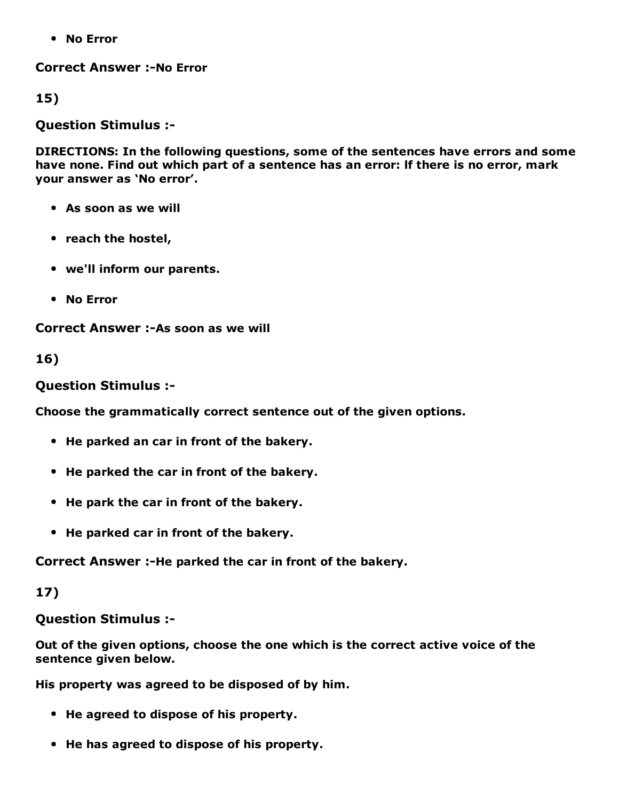No Error

**Correct Answer :- No Error** 

15)

Question Stimulus :

DIRECTIONS: In the following questions, some of the sentences have errors and some have none. Find out which part of a sentence has an error: lf there is no error, mark your answer as 'No error'.

- As soon as we will
- reach the hostel,
- we'll inform our parents.
- No Error

Correct Answer :-As soon as we will

16)

Question Stimulus :

Choose the grammatically correct sentence out of the given options.

- He parked an car in front of the bakery.
- He parked the car in front of the bakery.
- He park the car in front of the bakery.
- He parked car in front of the bakery.

Correct Answer :-He parked the car in front of the bakery.

17)

Question Stimulus :

Out of the given options, choose the one which is the correct active voice of the sentence given below.

His property was agreed to be disposed of by him.

- He agreed to dispose of his property.
- He has agreed to dispose of his property.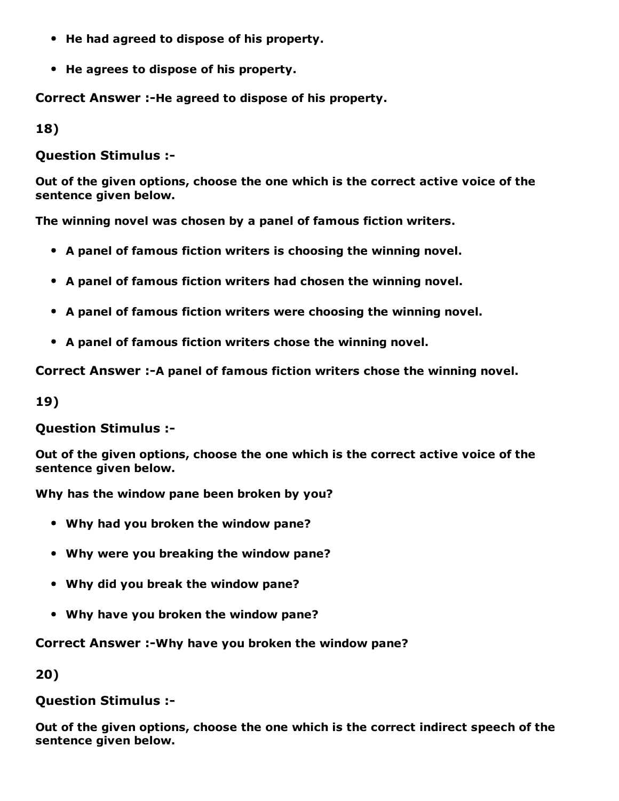- He had agreed to dispose of his property.
- He agrees to dispose of his property.

Correct Answer :-He agreed to dispose of his property.

18)

Question Stimulus :

Out of the given options, choose the one which is the correct active voice of the sentence given below.

The winning novel was chosen by a panel of famous fiction writers.

- A panel of famous fiction writers is choosing the winning novel.
- A panel of famous fiction writers had chosen the winning novel.
- A panel of famous fiction writers were choosing the winning novel.
- A panel of famous fiction writers chose the winning novel.

Correct Answer :-A panel of famous fiction writers chose the winning novel.

19)

Question Stimulus :

Out of the given options, choose the one which is the correct active voice of the sentence given below.

Why has the window pane been broken by you?

- Why had you broken the window pane?
- Why were you breaking the window pane?
- Why did you break the window pane?
- Why have you broken the window pane?

#### Correct Answer :-Why have you broken the window pane?

20)

Question Stimulus :

Out of the given options, choose the one which is the correct indirect speech of the sentence given below.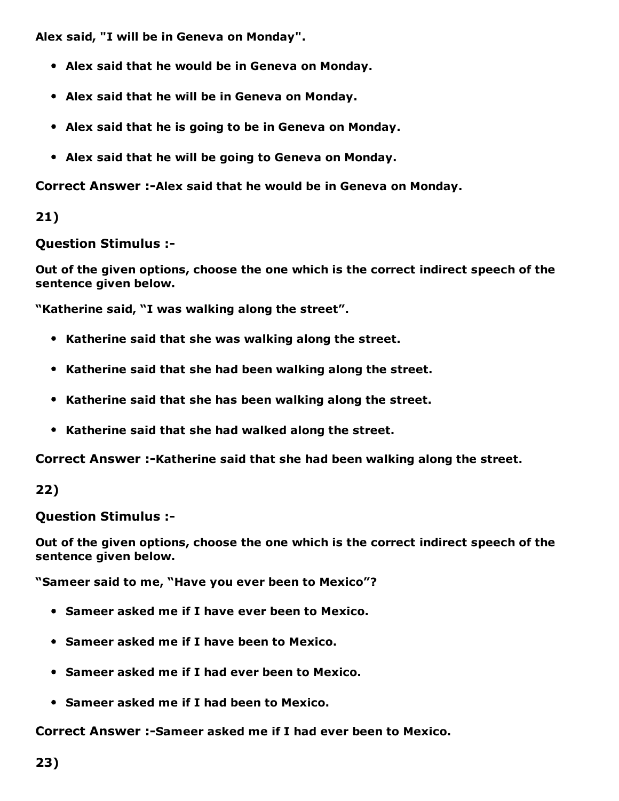Alex said, "I will be in Geneva on Monday".

- Alex said that he would be in Geneva on Monday.
- Alex said that he will be in Geneva on Monday.
- Alex said that he is going to be in Geneva on Monday.
- Alex said that he will be going to Geneva on Monday.

Correct Answer :- Alex said that he would be in Geneva on Monday.

21)

Question Stimulus :

Out of the given options, choose the one which is the correct indirect speech of the sentence given below.

"Katherine said, "I was walking along the street".

- Katherine said that she was walking along the street.
- Katherine said that she had been walking along the street.
- Katherine said that she has been walking along the street.
- Katherine said that she had walked along the street.

Correct Answer :-Katherine said that she had been walking along the street.

22)

Question Stimulus :

Out of the given options, choose the one which is the correct indirect speech of the sentence given below.

"Sameer said to me, "Have you ever been to Mexico"?

- Sameer asked me if I have ever been to Mexico.
- Sameer asked me if I have been to Mexico.
- Sameer asked me if I had ever been to Mexico.
- Sameer asked me if I had been to Mexico.

Correct Answer :- Sameer asked me if I had ever been to Mexico.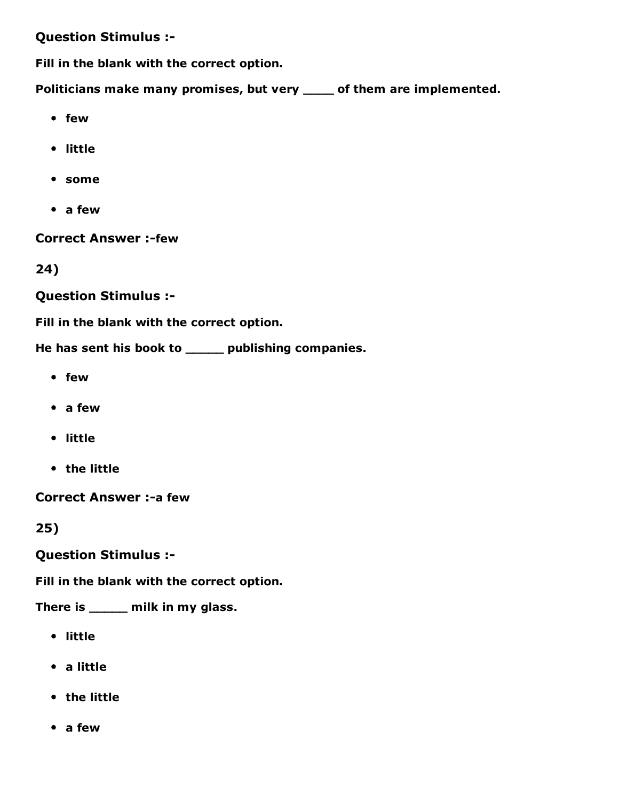#### Question Stimulus :

Fill in the blank with the correct option.

Politicians make many promises, but very \_\_\_\_ of them are implemented.

- few
- little
- some
- a few

**Correct Answer :-few** 

24)

Question Stimulus :

Fill in the blank with the correct option.

He has sent his book to \_\_\_\_\_ publishing companies.

- few
- a few
- little
- the little

Correct Answer :- a few

25)

Question Stimulus :

Fill in the blank with the correct option.

There is \_\_\_\_\_ milk in my glass.

- little
- a little
- the little
- a few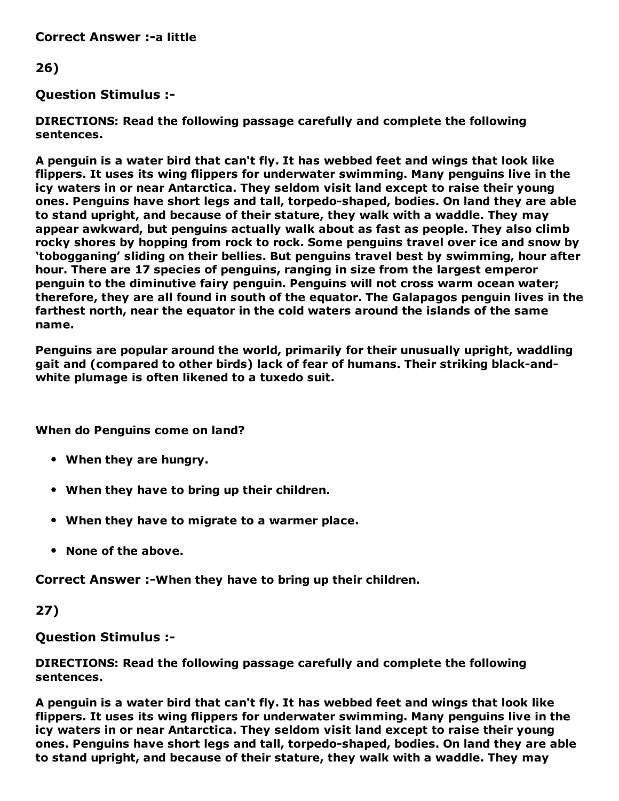**Correct Answer :-a little** 

#### 26)

#### Question Stimulus :

DIRECTIONS: Read the following passage carefully and complete the following sentences.

A penguin is a water bird that can't fly. It has webbed feet and wings that look like flippers. It uses its wing flippers for underwater swimming. Many penguins live in the icy waters in or near Antarctica. They seldom visit land except to raise their young ones. Penguins have short legs and tall, torpedo-shaped, bodies. On land they are able to stand upright, and because of their stature, they walk with a waddle. They may appear awkward, but penguins actually walk about as fast as people. They also climb rocky shores by hopping from rock to rock. Some penguins travel over ice and snow by 'tobogganing' sliding on their bellies. But penguins travel best by swimming, hour after hour. There are 17 species of penguins, ranging in size from the largest emperor penguin to the diminutive fairy penguin. Penguins will not cross warm ocean water; therefore, they are all found in south of the equator. The Galapagos penguin lives in the farthest north, near the equator in the cold waters around the islands of the same name.

Penguins are popular around the world, primarily for their unusually upright, waddling gait and (compared to other birds) lack of fear of humans. Their striking black-andwhite plumage is often likened to a tuxedo suit.

When do Penguins come on land?

- When they are hungry.
- When they have to bring up their children.
- When they have to migrate to a warmer place.
- None of the above.

Correct Answer :-When they have to bring up their children.

#### 27)

Question Stimulus :

DIRECTIONS: Read the following passage carefully and complete the following sentences.

A penguin is a water bird that can't fly. It has webbed feet and wings that look like flippers. It uses its wing flippers for underwater swimming. Many penguins live in the icy waters in or near Antarctica. They seldom visit land except to raise their young ones. Penguins have short legs and tall, torpedo-shaped, bodies. On land they are able to stand upright, and because of their stature, they walk with a waddle. They may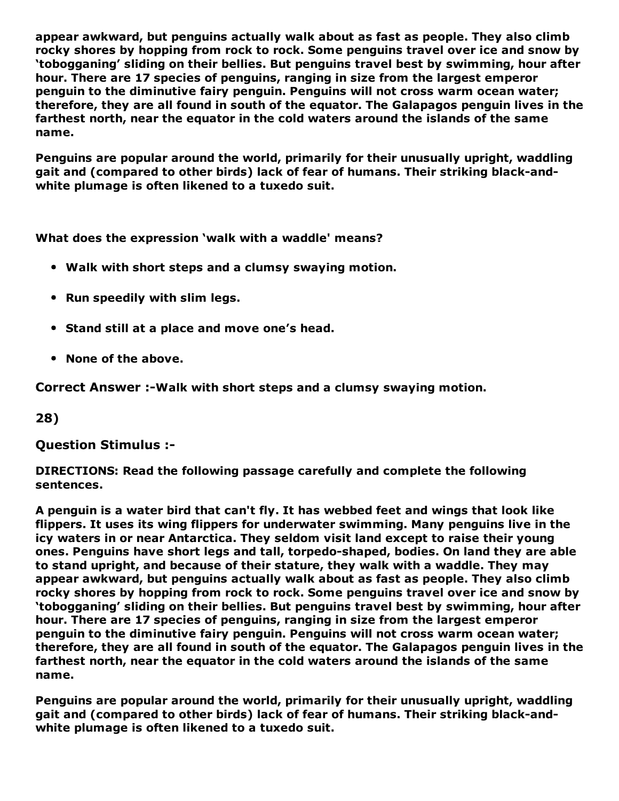appear awkward, but penguins actually walk about as fast as people. They also climb rocky shores by hopping from rock to rock. Some penguins travel over ice and snow by 'tobogganing' sliding on their bellies. But penguins travel best by swimming, hour after hour. There are 17 species of penguins, ranging in size from the largest emperor penguin to the diminutive fairy penguin. Penguins will not cross warm ocean water; therefore, they are all found in south of the equator. The Galapagos penguin lives in the farthest north, near the equator in the cold waters around the islands of the same name.

Penguins are popular around the world, primarily for their unusually upright, waddling gait and (compared to other birds) lack of fear of humans. Their striking black-andwhite plumage is often likened to a tuxedo suit.

What does the expression 'walk with a waddle' means?

- Walk with short steps and a clumsy swaying motion.
- Run speedily with slim legs.
- Stand still at a place and move one's head.
- None of the above.

Correct Answer :-Walk with short steps and a clumsy swaying motion.

28)

Question Stimulus :

DIRECTIONS: Read the following passage carefully and complete the following sentences.

A penguin is a water bird that can't fly. It has webbed feet and wings that look like flippers. It uses its wing flippers for underwater swimming. Many penguins live in the icy waters in or near Antarctica. They seldom visit land except to raise their young ones. Penguins have short legs and tall, torpedo-shaped, bodies. On land they are able to stand upright, and because of their stature, they walk with a waddle. They may appear awkward, but penguins actually walk about as fast as people. They also climb rocky shores by hopping from rock to rock. Some penguins travel over ice and snow by 'tobogganing' sliding on their bellies. But penguins travel best by swimming, hour after hour. There are 17 species of penguins, ranging in size from the largest emperor penguin to the diminutive fairy penguin. Penguins will not cross warm ocean water; therefore, they are all found in south of the equator. The Galapagos penguin lives in the farthest north, near the equator in the cold waters around the islands of the same name.

Penguins are popular around the world, primarily for their unusually upright, waddling gait and (compared to other birds) lack of fear of humans. Their striking black-andwhite plumage is often likened to a tuxedo suit.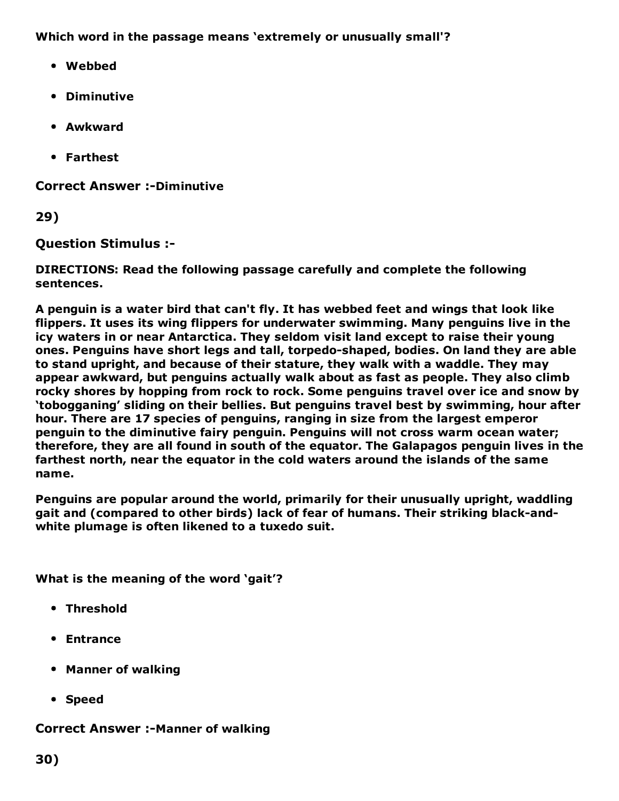Which word in the passage means 'extremely or unusually small'?

- Webbed
- Diminutive
- Awkward
- Farthest

**Correct Answer :-Diminutive** 

29)

Question Stimulus :

DIRECTIONS: Read the following passage carefully and complete the following sentences.

A penguin is a water bird that can't fly. It has webbed feet and wings that look like flippers. It uses its wing flippers for underwater swimming. Many penguins live in the icy waters in or near Antarctica. They seldom visit land except to raise their young ones. Penguins have short legs and tall, torpedo-shaped, bodies. On land they are able to stand upright, and because of their stature, they walk with a waddle. They may appear awkward, but penguins actually walk about as fast as people. They also climb rocky shores by hopping from rock to rock. Some penguins travel over ice and snow by 'tobogganing' sliding on their bellies. But penguins travel best by swimming, hour after hour. There are 17 species of penguins, ranging in size from the largest emperor penguin to the diminutive fairy penguin. Penguins will not cross warm ocean water; therefore, they are all found in south of the equator. The Galapagos penguin lives in the farthest north, near the equator in the cold waters around the islands of the same name.

Penguins are popular around the world, primarily for their unusually upright, waddling gait and (compared to other birds) lack of fear of humans. Their striking black-andwhite plumage is often likened to a tuxedo suit.

What is the meaning of the word 'gait'?

- Threshold
- Entrance
- Manner of walking
- Speed

### **Correct Answer :-Manner of walking**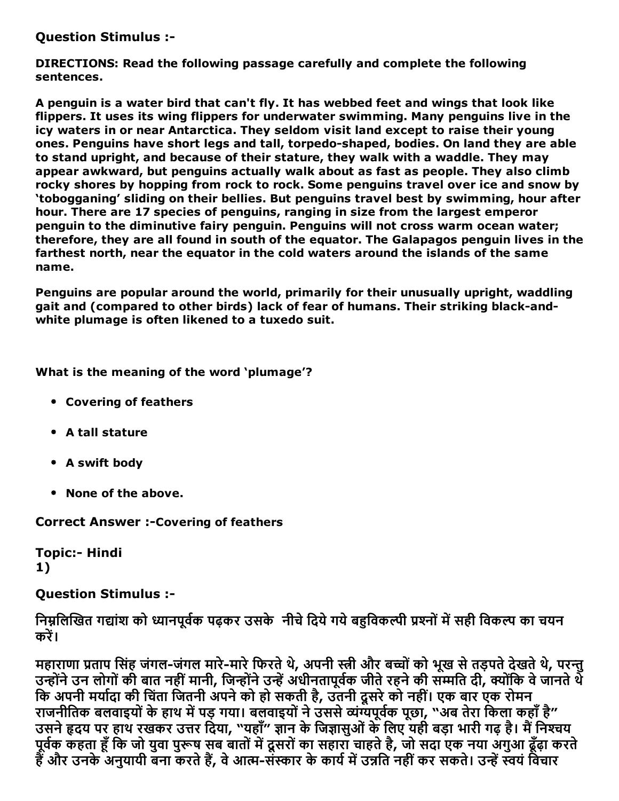Question Stimulus :

DIRECTIONS: Read the following passage carefully and complete the following sentences.

A penguin is a water bird that can't fly. It has webbed feet and wings that look like flippers. It uses its wing flippers for underwater swimming. Many penguins live in the icy waters in or near Antarctica. They seldom visit land except to raise their young ones. Penguins have short legs and tall, torpedo-shaped, bodies. On land they are able to stand upright, and because of their stature, they walk with a waddle. They may appear awkward, but penguins actually walk about as fast as people. They also climb rocky shores by hopping from rock to rock. Some penguins travel over ice and snow by 'tobogganing' sliding on their bellies. But penguins travel best by swimming, hour after hour. There are 17 species of penguins, ranging in size from the largest emperor penguin to the diminutive fairy penguin. Penguins will not cross warm ocean water; therefore, they are all found in south of the equator. The Galapagos penguin lives in the farthest north, near the equator in the cold waters around the islands of the same name.

Penguins are popular around the world, primarily for their unusually upright, waddling gait and (compared to other birds) lack of fear of humans. Their striking black-andwhite plumage is often likened to a tuxedo suit.

What is the meaning of the word 'plumage'?

- Covering of feathers
- A tall stature
- A swift body
- None of the above.

**Correct Answer :-Covering of feathers** 

Topic:- Hindi 1)

#### Question Stimulus :

निम्नलिखित गद्यांश को ध्यानपूर्वक पढ़कर उसके नीचे दिये गये बहुविकल्पी प्रश्नों में सही विकल्प का चयन करें।

महाराणा प्रताप सिंह जंगल-जंगल मारे-मारे फिरते थे, अपनी स्त्री और बच्चों को भूख से तड़पते देखते थे, परन्तु उन्होंने उन लोगों की बात नहीं मानी, जिन्होंने उन्हें अधीनतापूर्वक जीते रहने की सम्मति दी, क्योंकि वे जानते थे कि अपनी मर्यादा की चिंता जितनी अपने को हो सकती है, उतनी दूसरे को नहीं। एक बार एक रोमन राजनीतिक बलवाइयों के हाथ में पड़ गया। बलवाइयों ने उससे व्यंग्यपूर्वक पूछा, "अब तेरा किला कहाँ है" उसने हृदय पर हाथ रखकर उत्तर दिया, "यहाँ" ज्ञान के जिज्ञासुओं के लिए यही बड़ा भारी गढ़ है। मैं निश्चय पूर्वेक कहता हूँ कि जो युवा पुरूष सब बातों में दूसरों का सहारा चाहते है, जो सदा एक नया अगुआ ढूँढ़ा करते हैं और उनके अनुयायी बना करते हैं, वे आत्म-संस्कार के कार्य में उन्नति नहीं कर सकते। उन्हें स्वयं विचार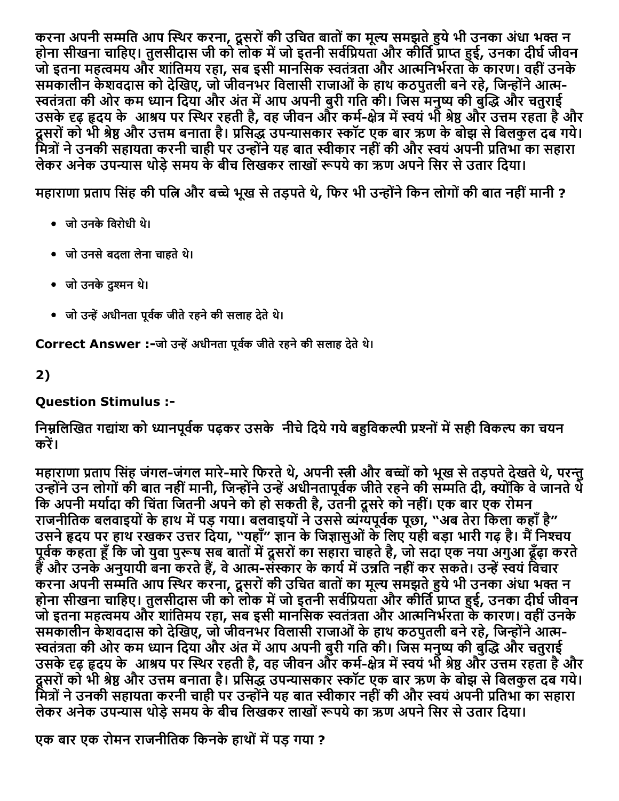करना अपनी सम्मति आप स्थिर करना, दूसरों की उचित बातों का मूल्य समझते हुये भी उनका अंधा भक्त न होना सीखना चाहिए। तुलसीदास जी को लोक में जो इतनी सर्वप्रियता और कीर्ति प्राप्त हुई, उनका दीर्घ जीवन जो इतना महत्वमय और शांतिमय रहा, सब इसी मानसिक स्वतंत्रता और आत्मनिर्भरता के कारण। वहीं उनके समकालीन केशवदास को देखिए, जो जीवनभर विलासी राजाओं के हाथ कठपुतली बने रहे, जिन्होंने आत्म-स्वतंत्रता की ओर कम ध्यान दिया और अंत में आप अपनी बुरी गति की। जिस मनुष्य की बुद्धि और चतुराई उसके दृढ़ हृदय के आश्रय पर स्थिर रहती है, वह जीवन और कर्म-क्षेत्र में स्वयं भी श्रेष्ठ और उत्तम रहता है और दूसरों को भी श्रेष्ठ और उत्तम बनाता है। प्रसिद्ध उपन्यासकार स्कॉट एक बार ऋण के बोझ से बिलकुल दब गये। मित्रों ने उनकी सहायता करनी चाही पर उन्होंने यह बात स्वीकार नहीं की और स्वयं अपनी प्रतिभा का सहारा लेकर अनेक उपन्यास थोड़े समय के बीच लिखकर लाखों रूपये का ऋण अपने सिर से उतार दिया।

महाराणा प्रताप सिंह की पत्नि और बच्चे भूख से तड़पते थे, फिर भी उन्होंने किन लोगों की बात नहीं मानी ?

- जो उनकेिवरोधी थ।े
- जो उनसेबदला लेना चाहतेथ।े
- जो उनकेदु䒄Ȁमन थ।े
- जो उन्हें अधीनता पूर्वक जीते रहने की सलाह देते थे।

Correct Answer :-जो उन्हें अधीनता पूर्वक जीते रहने की सलाह देते थे।

2)

# Question Stimulus :

# निम्रलिखित गद्यांश को ध्यानपर्वक पढ़कर उसके नीचे दिये गये बहविकल्पी प्रश्नों में सही विकल्प का चयन करें।

महाराणा प्रताप सिंह जंगल-जंगल मारे-मारे फिरते थे, अपनी स्त्री और बच्चों को भूख से तड़पते देखते थे, परन्तु उन्होंने उन लोगों की बात नहीं मानी, जिन्होंने उन्हें अधीनतापूर्वक जीते रहने की सम्मति दी, क्योंकि वे जानते थे कि अपनी मर्यादा की चिंता जितनी अपने को हो सकती है, उतनी दूसरे को नहीं। एक बार एक रोमन राजनीतिक बलवाइयों के हाथ में पड़ गया। बलवाइयों ने उससे व्यंग्यपूर्वक पूछा, "अब तेरा किला कहाँ है" उसने हृदय पर हाथ रखकर उत्तर दिया, "यहाँ" ज्ञान के जिज्ञासुओं के लिए यही बड़ा भारी गढ़ है। मैं निश्चय पूर्वेक कहता हूँ कि जो युवा पुरूष सब बातों में दूसरों का सहारा चाहते है, जो सदा एक नया अगुआ ढूँढ़ा करते हैं और उनके अनुयायी बना करते हैं, वे आत्म-संस्कार के कार्य में उन्नति नहीं कर सकते। उन्हें स्वयं विचार करना अपनी सम्मति आप स्थिर करना, दूसरों की उचित बातों का मूल्य समझते हुये भी उनका अंधा भक्त न होना सीखना चाहिए। तुलसीदास जी को लोक में जो इतनी सर्वप्रियता और कीर्ति प्राप्त हुई, उनका दीर्घ जीवन जो इतना महत्वमय और शांतिमय रहा, सब इसी मानसिक स्वतंत्रता और आत्मनिर्भरता के कारण। वहीं उनके समकालीन केशवदास को देखिए, जो जीवनभर विलासी राजाओं के हाथ कठपुतली बने रहे, जिन्होंने आत्म-स्वतंत्रता की ओर कम ध्यान दिया और अंत में आप अपनी बुरी गति की। जिस मनुष्य की बुद्धि और चतुराई उसके दृढ़ हृदय के आश्रय पर स्थिर रहती है, वह जीवन और कर्म-क्षेत्र में स्वयं भी श्रेष्ठ और उत्तम रहता है और दूसरों को भी श्रेष्ठ और उत्तम बनाता है। प्रसिद्ध उपन्यासकार स्कॉट एक बार ऋण के बोझ से बिलकुल दब गये। मित्रों ने उनकी सहायता करनी चाही पर उन्होंने यह बात स्वीकार नहीं की और स्वयं अपनी प्रतिभा का सहारा लेकर अनेक उपन्यास थोड़े समय के बीच लिखकर लाखों रूपये का ऋण अपने सिर से उतार दिया।

एक बार एक रोमन राजनीतिक किनके हाथों में पड़ गया ?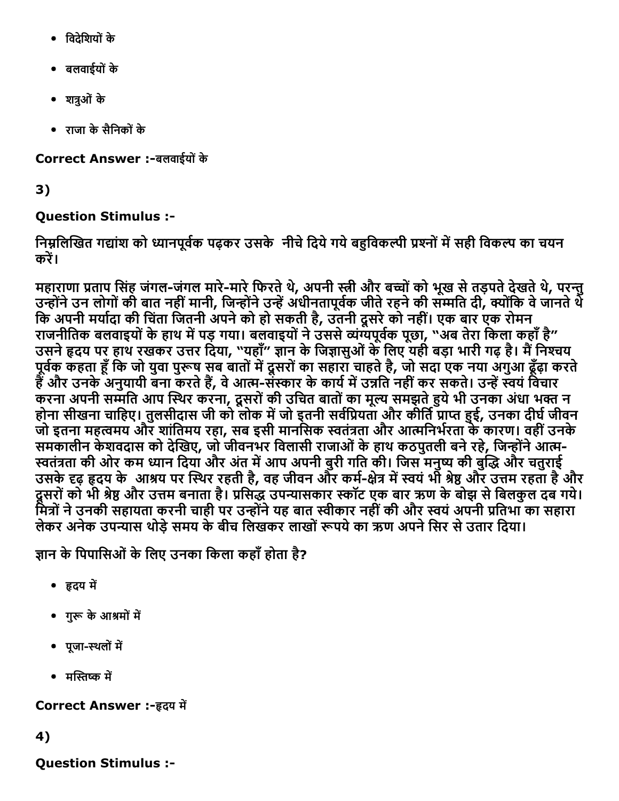- िवदेिशयोंके
- बलवाईयोंके
- शत्रुओं के
- राजा केसैिनकोंके

Correct Answer :-बलवाईयों के

3)

# Question Stimulus :

निम्नलिखित गद्यांश को ध्यानपूर्वक पढ़कर उसके नीचे दिये गये बहुविकल्पी प्रश्नों में सही विकल्प का चयन करें।

महाराणा प्रताप सिंह जंगल-जंगल मारे-मारे फिरते थे, अपनी स्त्री और बच्चों को भूख से तड़पते देखते थे, परन्तु उन्होंने उन लोगों की बात नहीं मानी, जिन्होंने उन्हें अधीनतापूर्वक जीते रहने की सम्मति दी, क्योंकि वे जानते थे कि अपनी मर्यादा की चिंता जितनी अपने को हो सकती है, उतनी दूसरे को नहीं। एक बार एक रोमन राजनीतिक बलवाइयों के हाथ में पड़ गया। बलवाइयों ने उससे व्यंग्यपूर्वक पूछा, "अब तेरा किला कहाँ है" उसने हृदय पर हाथ रखकर उत्तर दिया, "यहाँ" ज्ञान के जिज्ञासुओं के लिए यही बड़ा भारी गढ़ है। मैं निश्चय पूर्वेक कहता हूँ कि जो युवा पुरूष सब बातों में दूसरों का सहारा चाहते है, जो सदा एक नया अगुआ ढूँढ़ा करते हैं और उनके अनुयायी बना करते हैं, वे आत्म-संस्कार के कार्य में उन्नति नहीं कर सकते। उन्हें स्वयं विचार करना अपनी सम्मति आप स्थिर करना, दूसरों की उचित बातों का मूल्य समझते हुये भी उनका अंधा भक्त न होना सीखना चाहिए। तुलसीदास जी को लोक में जो इतनी सर्वप्रियता और कीर्ति प्राप्त हुई, उनका दीर्घ जीवन जो इतना महत्वमय और शांतिमय रहा, सब इसी मानसिक स्वतंत्रता और आत्मनिर्भरता के कारण। वहीं उनके समकालीन केशवदास को देखिए, जो जीवनभर विलासी राजाओं के हाथ कठपुतली बने रहे, जिन्होंने आत्म-स्वतंत्रता की ओर कम ध्यान दिया और अंत में आप अपनी बुरी गति की। जिस मनुष्य की बुद्धि और चतुराई उसके दृढ़ हृदय के आश्रय पर स्थिर रहती है, वह जीवन और कर्म-क्षेत्र में स्वयं भी श्रेष्ठ और उत्तम रहता है और दूसरों को भी श्रेष्ठ और उत्तम बनाता है। प्रसिद्ध उपन्यासकार स्कॉट एक बार ऋण के बोझ से बिलकुल दब गये। मित्रों ने उनकी सहायता करनी चाही पर उन्होंने यह बात स्वीकार नहीं की और स्वयं अपनी प्रतिभा का सहारा लेकर अनेक उपन्यास थोड़े समय के बीच लिखकर लाखों रूपये का ऋण अपने सिर से उतार दिया।

ज्ञान के पिपासिओं के लिए उनका किला कहाँ होता है?

- हृदय में
- गुरू के आश्रमों में
- पूजा-स्थलों में
- मस्तिष्क में

Correct Answer :-हृदय में

4)

Question Stimulus :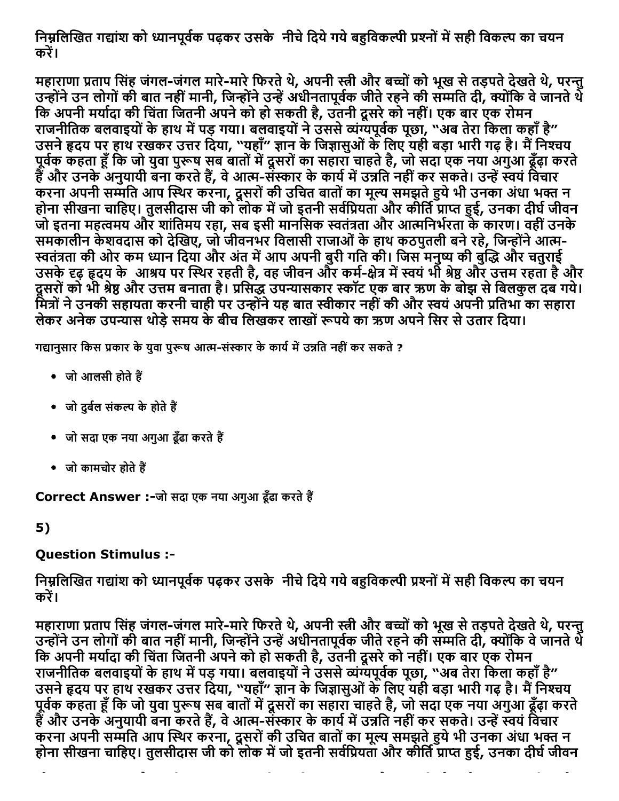निम्नलिखित गद्यांश को ध्यानपूर्वक पढ़कर उसके नीचे दिये गये बहुविकल्पी प्रश्नों में सही विकल्प का चयन करें।

महाराणा प्रताप सिंह जंगल-जंगल मारे-मारे फिरते थे, अपनी स्त्री और बच्चों को भूख से तड़पते देखते थे, परन्तु उन्होंने उन लोगों की बात नहीं मानी, जिन्होंने उन्हें अधीनतापूर्वक जीते रहने की सम्मति दी, क्योंकि वे जानते थे कि अपनी मर्यादा की चिंता जितनी अपने को हो सकती है, उतनी दूसरे को नहीं। एक बार एक रोमन राजनीतिक बलवाइयों के हाथ में पड़ गया। बलवाइयों ने उससे व्यंग्यपूर्वक पूछा, "अब तेरा किला कहाँ है" उसने हृदय पर हाथ रखकर उत्तर दिया, "यहाँ" ज्ञान के जिज्ञासुओं के लिए यही बड़ा भारी गढ़ है। मैं निश्चय पूर्वेक कहता हूँ कि जो युवा पुरूष सब बातों में दूसरों का सहारा चाहते है, जो सदा एक नया अगुआ ढूँढ़ा करते हैं और उनके अनुयायी बना करते हैं, वे आत्म-संस्कार के कार्य में उन्नति नहीं कर सकते। उन्हें स्वयं विचार करना अपनी सम्मति आप स्थिर करना, दूसरों की उचित बातों का मूल्य समझते हुये भी उनका अंधा भक्त न होना सीखना चाहिए। तुलसीदास जी को लोक में जो इतनी सर्वप्रियता और कीर्ति प्राप्त हुई, उनका दीर्घ जीवन जो इतना महत्वमय और शांतिमय रहा, सब इसी मानसिक स्वतंत्रता और आत्मनिर्भरता के कारण। वहीं उनके समकालीन केशवदास को देखिए, जो जीवनभर विलासी राजाओं के हाथ कठपुतली बने रहे, जिन्होंने आत्म-स्वतंत्रता की ओर कम ध्यान दिया और अंत में आप अपनी बुरी गति की। जिस मनुष्य की बुद्धि और चतुराई उसके दृढ़ हृदय के आश्रय पर स्थिर रहती है, वह जीवन और कर्म-क्षेत्र में स्वयं भी श्रेष्ठ और उत्तम रहता है और दूसरों को भी श्रेष्ठ और उत्तम बनाता है। प्रसिद्ध उपन्यासकार स्कॉट एक बार ऋण के बोझ से बिलकुल दब गये। मित्रों ने उनकी सहायता करनी चाही पर उन्होंने यह बात स्वीकार नहीं की और स्वयं अपनी प्रतिभा का सहारा लेकर अनेक उपन्यास थोड़े समय के बीच लिखकर लाखों रूपये का ऋण अपने सिर से उतार दिया।

गद्यानुसार किस प्रकार के युवा पुरूष आत्म-संस्कार के कार्य में उन्नति नहीं कर सकते ?

- $\bullet$  जो आलसी होते हैं
- जो दर्बल संकल्प के होते हैं
- जो सदा एक नया अगुआ ढूँढा करते हैं
- $\bullet$  जो कामचोर होते हैं

Correct Answer :-जो सदा एक नया अगुआ ढूँढा करते हैं

5)

### Question Stimulus :

निम्नलिखित गद्यांश को ध्यानपूर्वक पढ़कर उसके नीचे दिये गये बहुविकल्पी प्रश्नों में सही विकल्प का चयन करें।

महाराणा प्रताप सिंह जंगल-जंगल मारे-मारे फिरते थे, अपनी स्त्री और बच्चों को भूख से तड़पते देखते थे, परन्तु उन्होंने उन लोगों की बात नहीं मानी, जिन्होंने उन्हें अधीनतापूर्वक जीते रहने की सम्मति दी, क्योंकि वे जानते थे कि अपनी मर्यादा की चिंता जितनी अपने को हो सकती है, उतनी दूसरे को नहीं। एक बार एक रोमन राजनीतिक बलवाइयों के हाथ में पड़ गया। बलवाइयों ने उससे व्यंग्यपूर्वक पूछा, "अब तेरा किला कहाँ है" उसने हृदय पर हाथ रखकर उत्तर दिया, "यहाँ" ज्ञान के जिज्ञासुओं के लिए यही बड़ा भारी गढ़ है। मैं निश्चय पूर्वेक कहता हूँ कि जो युवा पुरूष सब बातों में दूसरों का सहारा चाहते है, जो सदा एक नया अगुआ ढूँढ़ा करते हैं और उनके अनुयायी बना करते हैं, वे आत्म-संस्कार के कार्य में उन्नति नहीं कर सकते। उन्हें स्वयं विचार करना अपनी सम्मति आप स्थिर करना, दूसरों की उचित बातों का मूल्य समझते हुये भी उनका अंधा भक्त न होना सीखना चाहिए। तुलसीदास जी को लोक में जो इतनी सर्वप्रियता और कीर्ति प्राप्त हुई, उनका दीर्घ जीवन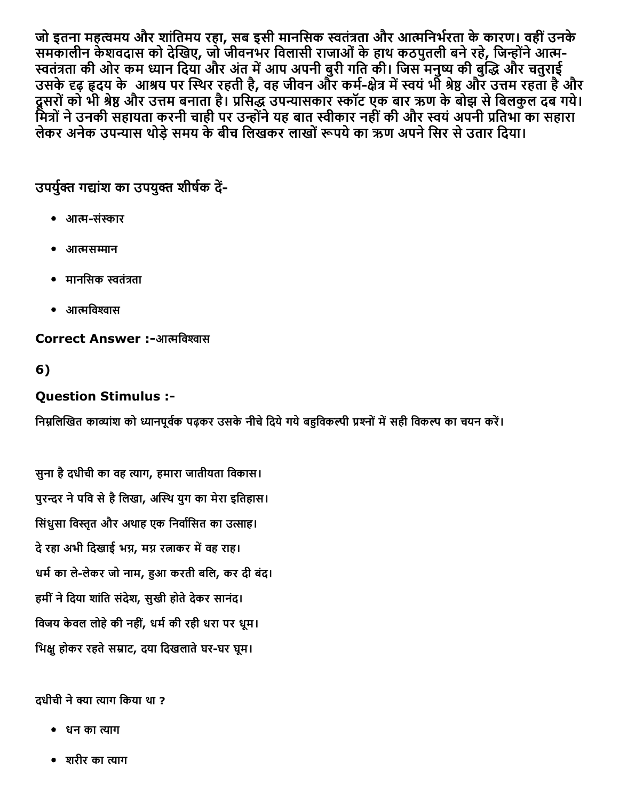जो इतना महत्वमय और शांतिमय रहा, सब इसी मानसिक स्वतंत्रता और आत्मनिर्भरता के कारण। वहीं उनके समकालीन केशवदास को देखिए, जो जीवनभर विलासी राजाओं के हाथ कठपुतली बने रहे, जिन्होंने आत्म-स्वतंत्रता की ओर कम ध्यान दिया और अंत में आप अपनी बुरी गति की। जिस मनुष्य की बुद्धि और चतुराई उसके दृढ़ हृदय के आश्रय पर स्थिर रहती है, वह जीवन और कर्म-क्षेत्र में स्वयं भी श्रेष्ठ और उत्तम रहता है और दूसरों को भी श्रेष्ठ और उत्तम बनाता है। प्रसिद्ध उपन्यासकार स्कॉट एक बार ऋण के बोझ से बिलकुल दब गये। मित्रों ने उनकी सहायता करनी चाही पर उन्होंने यह बात स्वीकार नहीं की और स्वयं अपनी प्रतिभा का सहारा लेकर अनेक उपन्यास थोड़े समय के बीच लिखकर लाखों रूपये का ऋण अपने सिर से उतार दिया।

उपर्युक्त गद्यांश का उपयुक्त शीर्षक दें-

- आत्म-संस्कार
- आत्मसम्मान
- मानसिक स्वतंत्रता
- $\bullet$  आत्मविश्वास

#### Correct Answer :-आत्मविश्वास

6)

### Question Stimulus :

निम्नलिखित काव्यांश को ध्यानपूर्वक पढ़कर उसके नीचे दिये गये बहविकल्पी प्रश्नों में सही विकल्प का चयन करें।

सुना है दधीची का वह त्याग, हमारा जातीयता विकास। पुरन्दर ने पवि से है लिखा, अस्थि युग का मेरा इतिहास। सिंधुसा विस्तृत और अथाह एक निर्वासित का उत्साह। दे रहा अभी दिखाई भग्न, मग्न रत्नाकर में वह राह। धर्म का ले-लेकर जो नाम, हुआ करती बलि, कर दी बंद। हमीं ने दिया शांति संदेश, सुखी होते देकर सानंद। विजय केवल लोहे की नहीं, धर्म की रही धरा पर धूम। भिक्षु होकर रहते सम्राट, दया दिखलाते घर-घर घूम।

#### दधीची ने क्या त्याग किया था ?

- धन का त्याग
- शरीर का त्याग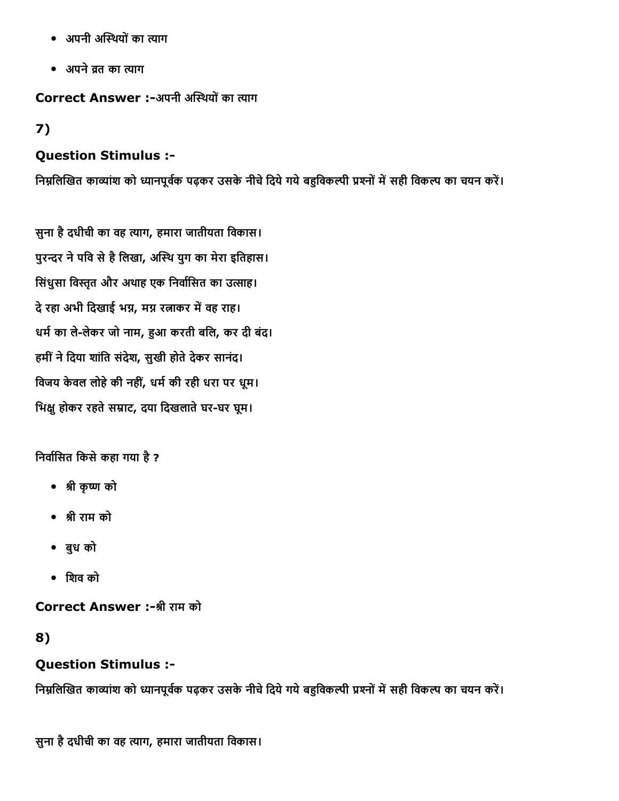- अपनी अस्थियों का त्याग
- अपने व्रत का त्याग

Correct Answer :-अपनी अस्थियों का त्याग

## 7)

### Question Stimulus :

निम्नलिखित काव्यांश को ध्यानपूर्वक पढ़कर उसके नीचे दिये गये बहुविकल्पी प्रश्नों में सही विकल्प का चयन करें।

सुना है दधीची का वह त्याग, हमारा जातीयता विकास। पुरन्दर ने पवि से है लिखा, अस्थि युग का मेरा इतिहास। सिंधुसा विस्तृत और अथाह एक निर्वासित का उत्साह। दे रहा अभी दिखाई भग्न, मग्न रत्नाकर में वह राह। धर्म का ले-लेकर जो नाम, हुआ करती बलि, कर दी बंद। हमीं ने दिया शांति संदेश, सुखी होते देकर सानंद। विजय केवल लोहे की नहीं, धर्म की रही धरा पर धूम। भिक्षु होकर रहते सम्राट, दया दिखलाते घर-घर घूम।

निर्वासित किसे कहा गया है ?

- ▓ी कृ般Ȁ को
- ▓ी राम को
- बुध को
- िशव को

Correct Answer :-श्री राम को

### 8)

## Question Stimulus :

निम्नलिखित काव्यांश को ध्यानपूर्वक पढ़कर उसके नीचे दिये गये बहुविकल्पी प्रश्नों में सही विकल्प का चयन करें।

सुना है दधीची का वह त्याग, हमारा जातीयता विकास।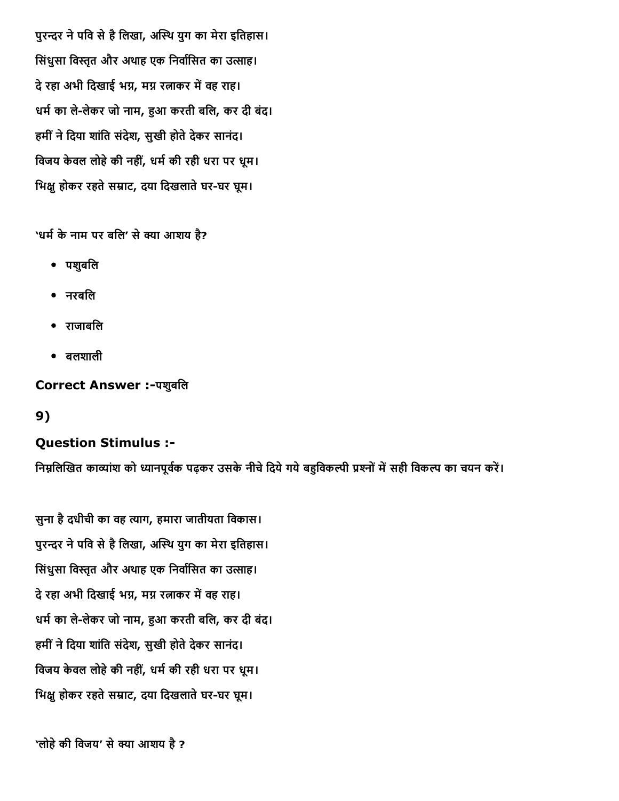पुरन्दर ने पवि से है लिखा, अस्थि युग का मेरा इतिहास। सिंधुसा विस्तृत और अथाह एक निर्वासित का उत्साह। दे रहा अभी दिखाई भग्न, मग्न रत्नाकर में वह राह। धर्म का ले-लेकर जो नाम, हुआ करती बलि, कर दी बंद। हमीं ने दिया शांति संदेश, सुखी होते देकर सानंद। विजय केवल लोहे की नहीं, धर्म की रही धरा पर धूम। भिक्ष होकर रहते सम्राट, दया दिखलाते घर-घर घूम।

'धर्म के नाम पर बलि' से क्या आशय है?

- पशुबिल
- नरबिल
- राजाबिल
- बलशाली

Correct Answer :-पशुबलि

9)

## Question Stimulus :

निम्नलिखित काव्यांश को ध्यानपूर्वक पढ़कर उसके नीचे दिये गये बहविकल्पी प्रश्नों में सही विकल्प का चयन करें।

सुना है दधीची का वह त्याग, हमारा जातीयता विकास। पुरन्दर ने पवि से है लिखा, अस्थि युग का मेरा इतिहास। सिंधुसा विस्तृत और अथाह एक निर्वासित का उत्साह। दे रहा अभी दिखाई भग्न, मग्न रत्नाकर में वह राह। धर्म का ले-लेकर जो नाम, हुआ करती बलि, कर दी बंद। हमीं ने दिया शांति संदेश, सुखी होते देकर सानंद। विजय केवल लोहे की नहीं, धर्म की रही धरा पर धूम। भिक्षू होकर रहते सम्राट, दया दिखलाते घर-घर घूम।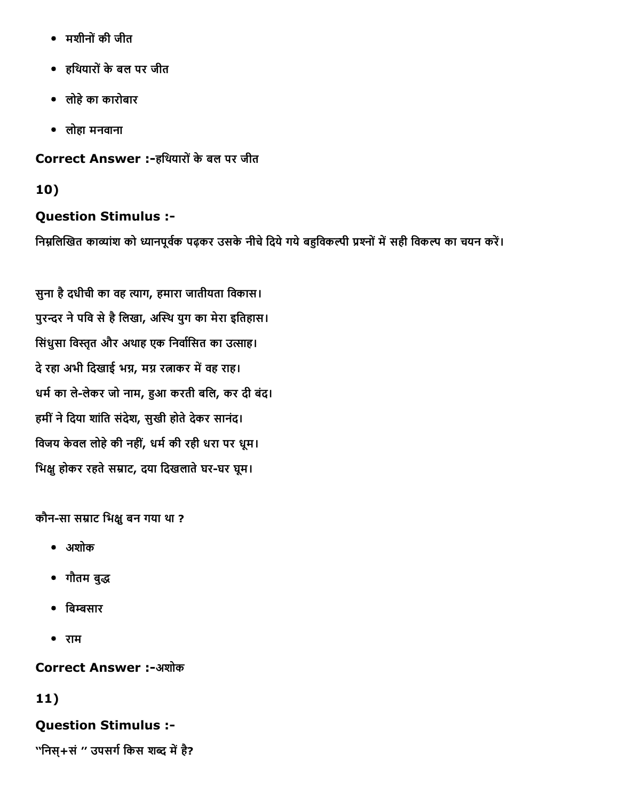- मशीनोंकी जीत
- हिथयारोंकेबल पर जीत
- लोहेका कारोबार
- लोहा मनवाना

Correct Answer :-हथियारों के बल पर जीत

# 10)

# Question Stimulus :

निम्नलिखित काव्यांश को ध्यानपूर्वक पढ़कर उसके नीचे दिये गये बहुविकल्पी प्रश्नों में सही विकल्प का चयन करें।

सुना है दधीची का वह त्याग, हमारा जातीयता विकास। पुरन्दर ने पवि से है लिखा, अस्थि युग का मेरा इतिहास। सिंधुसा विस्तृत और अथाह एक निर्वासित का उत्साह। दे रहा अभी दिखाई भग्न, मग्न रत्नाकर में वह राह। धर्म का ले-लेकर जो नाम, हुआ करती बलि, कर दी बंद। हमीं ने दिया शांति संदेश, सुखी होते देकर सानंद। विजय केवल लोहे की नहीं, धर्म की रही धरा पर धूम। भिक्षु होकर रहते सम्राट, दया दिखलाते घर-घर घूम।

कौन-सा सम्राट भिक्षु बन गया था ?

- अशोक
- गौतम बुद्ध
- बिम्बसार
- राम

**Correct Answer :-अशोक** 

# 11)

# Question Stimulus :

''निस्+सं " उपसर्ग किस शब्द में है?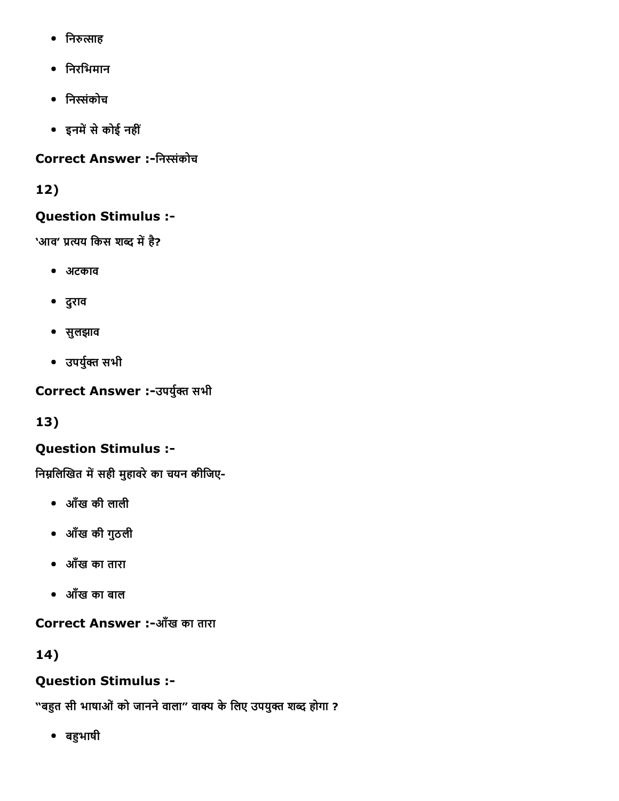- निरुत्साह
- िनरिभमान
- िनוֹंकोच
- इनमें से कोई नहीं

# Correct Answer :-निस्संकोच

# 12)

# Question Stimulus :

'आव' प्रत्यय किस शब्द में है?

- अटकाव
- दुराव
- सुलझाव
- उपर्युक्त सभी

Correct Answer :-उपर्युक्त सभी

13)

# Question Stimulus :

निम्नलिखित में सही मुहावरे का चयन कीजिए-

- आँख की लाली
- आँख की गुठली
- आँख का तारा
- आँख का बाल

Correct Answer :-आँख का तारा

14)

# Question Stimulus :

"बहुत सी भाषाओं को जानने वाला" वाक्य के लिए उपयुक्त शब्द होगा ?

• बहुभाषी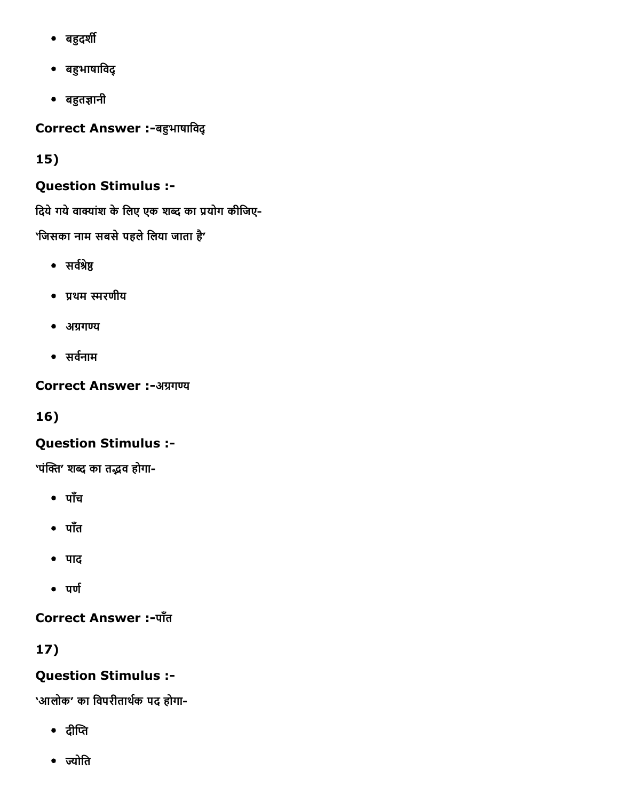- बहुदर्शी
- बहुभाषाविद्
- बहुतज्ञानी

Correct Answer :-बहुभाषाविद्

15)

# Question Stimulus :

दिये गये वाक्यांश के लिए एक शब्द का प्रयोग कीजिए-'जिसका नाम सबसे पहले लिया जाता है'

- सर्वश्रेष्ठ
- प्रथम स्मरणीय
- $\bullet$  अग्रगण्य
- $\bullet$  सर्वनाम

Correct Answer :-अग्रगण्य

16)

# Question Stimulus :

'पंक्ति' शब्द का तद्भव होगा-

- पाँच
- पाँत
- पाद
- $\bullet$  पर्ण

Correct Answer :- पाँत

17)

# Question Stimulus :

'आलोक' का विपरीतार्थक पद होगा-

- $\bullet$  after
- ज्योति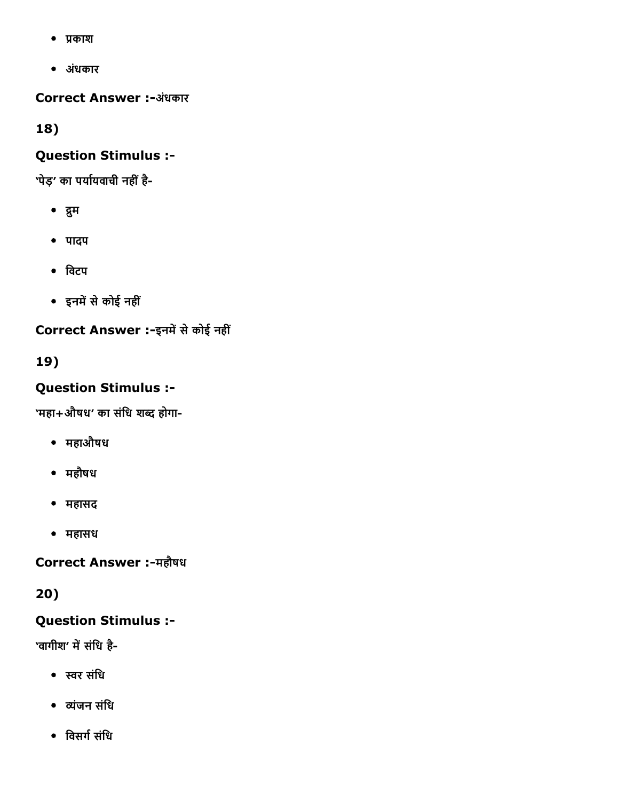- प्रकाश
- अधंकार

Correct Answer :-अंधकार

18)

### Question Stimulus :

'पेड़' का पर्यायवाची नहीं है-

- द्रुम
- पादप
- िवटप
- इनमें से कोई नहीं

Correct Answer :-इनमें से कोई नहीं

19)

# Question Stimulus :

'महा+औषध' का संधि शब्द होगा-

- महाऔषध
- महौषध
- महासद
- महासध

Correct Answer :-महौषध

20)

## Question Stimulus :

'वागीश' में संधि है-

- תּर संिध
- יंजन संिध
- विसर्ग संधि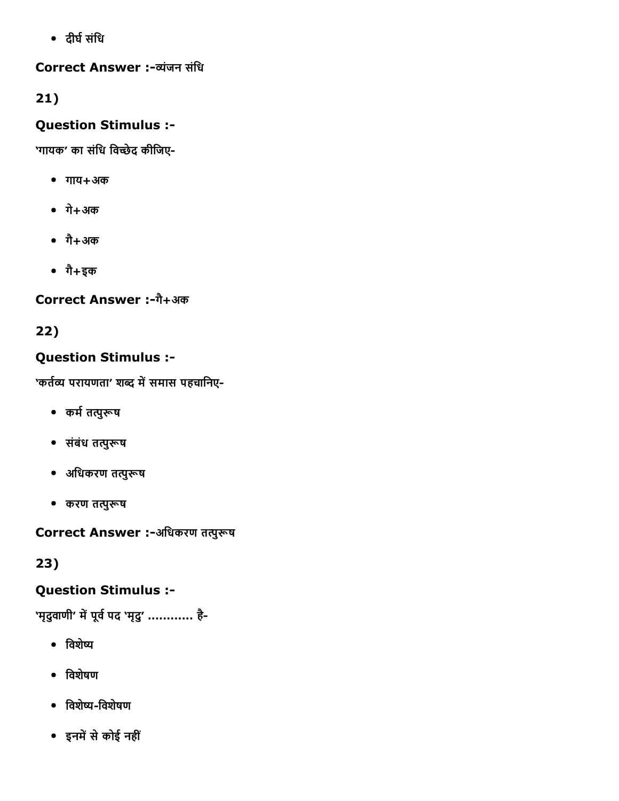• दीर्घ संधि

Correct Answer :-व्यंजन संधि

21)

# Question Stimulus :

'गायक' का संधि विच्छेद कीजिए-

- गाय+अक
- गे+अक
- गै+अक
- गै+इक

# Correct Answer :-गै+अक

22)

# Question Stimulus :

'कर्तव्य परायणता' शब्द में समास पहचानिए-

- कर्म तत्पुरूष
- संबंध तत्पुरूष
- अधिकरण तत्पुरूष
- करण तत्पुरूष

Correct Answer :-अधिकरण तत्पुरूष

23)

# Question Stimulus :

'मृदुवाणी' में पूर्व पद 'मृदु' ............ है-

- विशेष्य
- िवशेषण
- िवशेשׂिवशेषण
- इनमें से कोई नहीं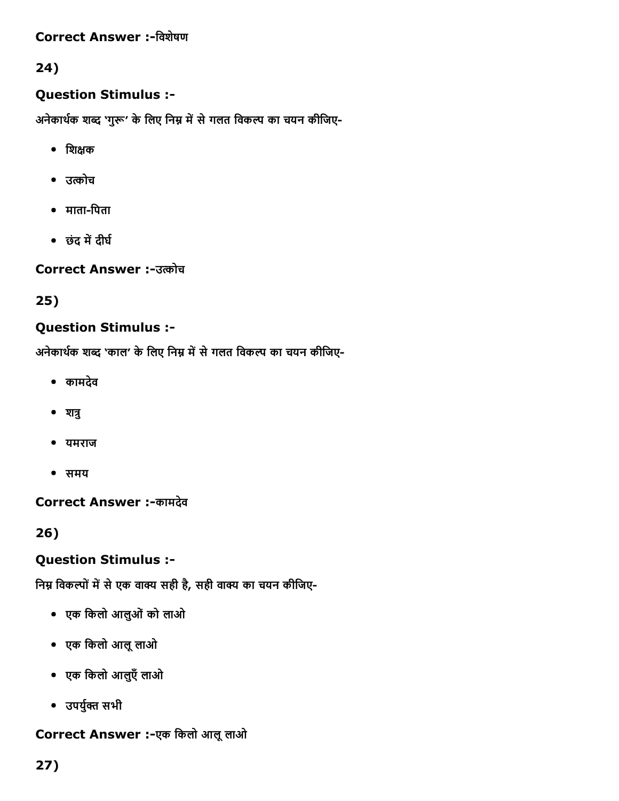### Correct Answer :-विशेषण

### 24)

#### Question Stimulus :

अनेकार्थक शब्द 'गुरू' के लिए निम्न में से गलत विकल्प का चयन कीजिए-

- $\bullet$  शिक्षक
- उत्कोच
- $\bullet$  माता-पिता
- छंद में दीर्घ

**Correct Answer :-उत्कोच** 

#### 25)

#### Question Stimulus :

अनेकार्थक शब्द 'काल' के लिए निम्न में से गलत विकल्प का चयन कीजिए-

- कामदेव
- $^{\bullet}$  शत्रु
- यमराज
- समय

Correct Answer :-कामदेव

26)

### Question Stimulus :

निम्न विकल्पों में से एक वाक्य सही है, सही वाक्य का चयन कीजिए-

- एक िकलो आलुओंको लाओ
- एक िकलो आलूलाओ
- एक िकलो आलुएँलाओ
- उपर्युक्त सभी

### Correct Answer :-एक किलो आलू लाओ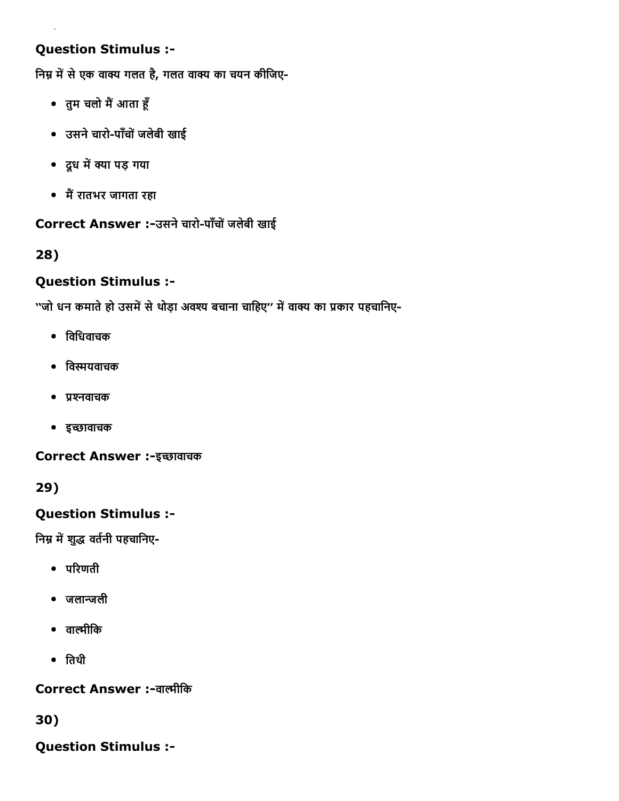### Question Stimulus :

निम्न में से एक वाक्य गलत है, गलत वाक्य का चयन कीजिए-

- तुम चलो मैं आता हूँ
- उसने चारो-पाँचों जलेबी खाई
- दूध में क्या पड़ गया
- मैं रातभर जागता रहा

#### Correct Answer :-उसने चारो-पाँचों जलेबी खाई

### 28)

### Question Stimulus :

''जो धन कमाते हो उसमें से थोड़ा अवश्य बचाना चाहिए'' में वाक्य का प्रकार पहचानिए-

- िविधवाचक
- िवפּयवाचक
- प्रश्नवाचक
- इच्छावाचक

Correct Answer :-इच्छावाचक

29)

### Question Stimulus :

निम्न में शुद्ध वर्तनी पहचानिए-

- $\bullet$  परिणती
- जलाپजली
- वाल्मीकि
- ितथी

Correct Answer :-वाल्मीकि

30)

Question Stimulus :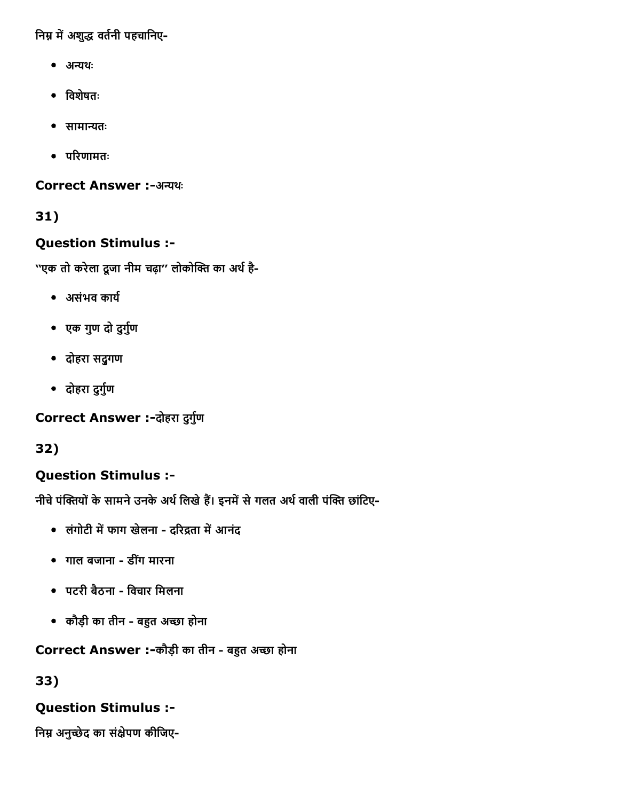निम्न में अशुद्ध वर्तनी पहचानिए-

- अन्यथः
- िवशेषतः
- सामान्यतः
- $\bullet$  परिणामतः

Correct Answer :-अन्यथः

## 31)

### Question Stimulus :

''एक तो करेला दूजा नीम चढ़ा'' लोकोक्ति का अर्थ है-

- असंभव कार्य
- एक गुण दो दुर्गुण
- दोहरा सद्ुगण
- दोहरा दुर्गुण

Correct Answer :-दोहरा दुर्गुण

32)

# Question Stimulus :

नीचे पंक्तियों के सामने उनके अर्थ लिखे हैं। इनमें से गलत अर्थ वाली पंक्ति छांटिए-

- लंगोटी में फाग खेलना दरिद्रता में आनंद
- गाल बजाना डीगंमारना
- पटरी बैठना विचार मिलना
- कौड़ी का तीन बहुत अच्छा होना

# Correct Answer :-कौड़ी का तीन - बहुत अच्छा होना

33)

## Question Stimulus :

निम्न अनुच्छेद का संक्षेपण कीजिए-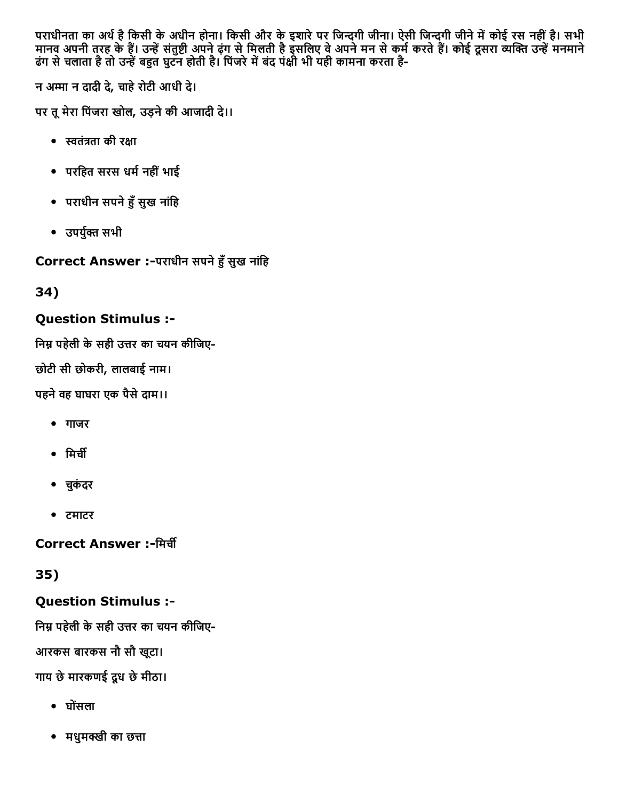पराधीनता का अर्थ है किसी के अधीन होना। किसी और के इशारे पर जिन्दगी जीना। ऐसी जिन्दगी जीने में कोई रस नहीं है। सभी मानव अपनी तरह के हैं। उन्हें संतुष्टी अपने ढ़ंग से मिलती है इसलिए वे अपने मन से कर्म करते हैं। कोई दूसरा व्यक्ति उन्हें मनमाने ढंग से चलाता है तो उन्हें बहुत घुटन होती है। पिजरे में बंद पक्षी भी यही कामना करता है-

न अњा न दादी दे, चाहेरोटी आधी दे।

पर तूमेरा िपंजरा खोल, उड़नेकी आजादी दे।।

- स्वतंत्रता की रक्षा
- परिहत सरस धम└नहींभाई
- पराधीन सपने हुँ सुख नांहि
- उपर्युक्त सभी

Correct Answer :-पराधीन सपने हुँ सुख नांहि

34)

### Question Stimulus :

निम्न पहेली के सही उत्तर का चयन कीजिए-

छोटी सी छोकरी, लालबाई नाम।

पहनेवह घाघरा एक पैसेदाम।।

- गाजर
- $\bullet$  मिर्ची
- चकुंदर
- टमाटर

**Correct Answer :-मिर्ची** 

35)

## Question Stimulus :

निम्न पहेली के सही उत्तर का चयन कीजिए-

आरकस बारकस नौ सौ खूटा।

गाय छेमारकणई दूध छेमीठा।

- घोसंला
- मधुमक्खी का छत्ता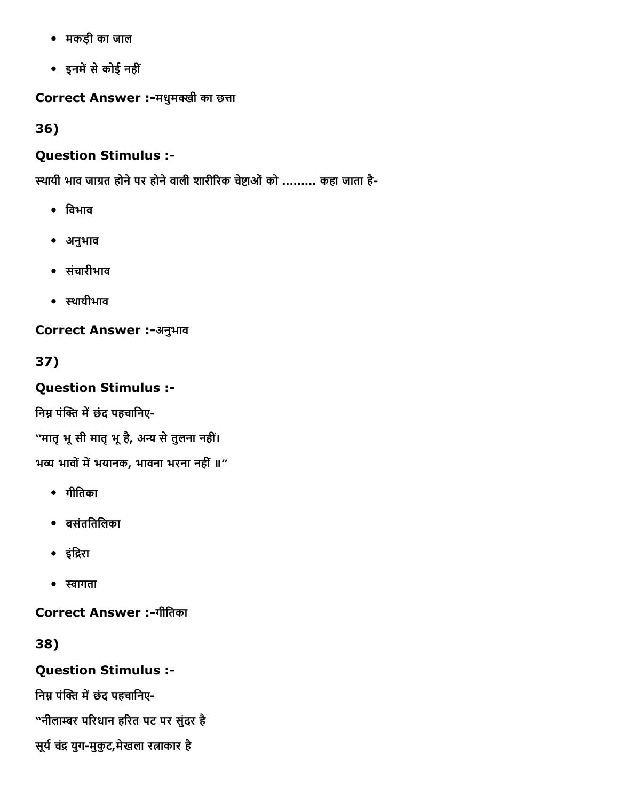- मकड़ी का जाल
- इनमें से कोई नहीं

Correct Answer :-मधुमक्खी का छत्ता

36)

# Question Stimulus :

स्थायी भाव जाग्रत होने पर होने वाली शारीरिक चेष्टाओं को ......... कहा जाता है-

- िवभाव
- अनुभाव
- संचारीभाव
- स्थायीभाव

Correct Answer :-अनुभाव

37)

Question Stimulus :

निम्न पंक्ति में छंद पहचानिए-

''मातृ भू सी मातृ भू है, अन्य से तुलना नहीं।

भव्य भावों में भयानक, भावना भरना नहीं ॥"

- गीितका
- बसंतितिलका
- इंद्रिरा
- स्वागता

Correct Answer :-गीतिका

38)

# Question Stimulus :

निम्न पंक्ति में छंद पहचानिए-

"नीलाम्बर परिधान हरित पट पर सुंदर है

सूर्य चंद्र युग-मुकुट,मेखला रत्नाकार है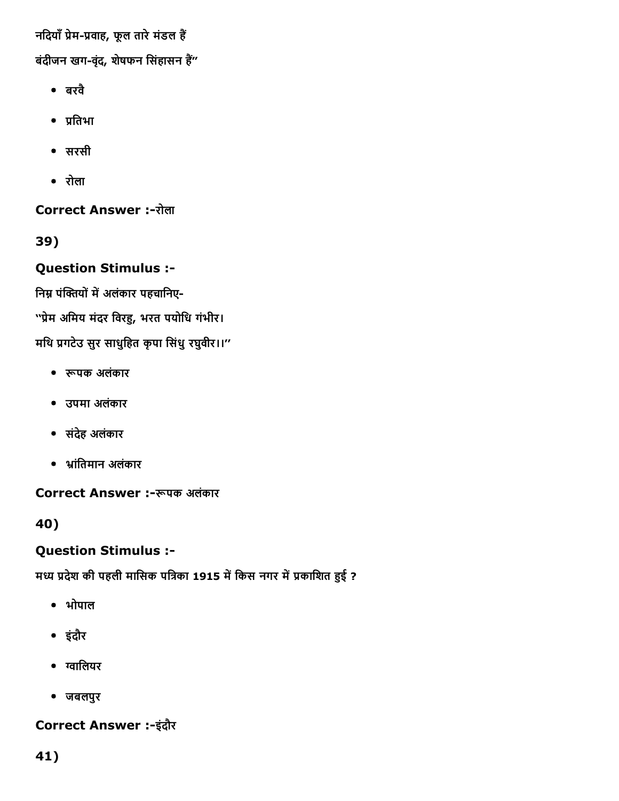नदियाँ प्रेम-प्रवाह, फूल तारे मंडल हैं

बंदीजन खग-वृंद, शेषफन सिंहासन हैं"

- बरवै
- प्रतिभा
- सरसी
- रोला

**Correct Answer :-रोला** 

39)

### Question Stimulus :

निम्न पंक्तियों में अलंकार पहचानिए-

''प्रेम अमिय मंदर विरहु, भरत पयोधि गंभीर।

मथि प्रगटेउ सुर साधुहित कृपा सिंधु रघुवीर।।"

- रूपक अलंकार
- उपमा अलंकार
- संदेह अलंकार
- ▌ांितमान अलंकार

Correct Answer :- रूपक अलंकार

40)

## Question Stimulus :

मध्य प्रदेश की पहली मासिक पत्रिका 1915 में किस नगर में प्रकाशित हुई ?

- भोपाल
- इंदौर
- ग्वालियर
- जबलपुर

## Correct Answer :-इंदौर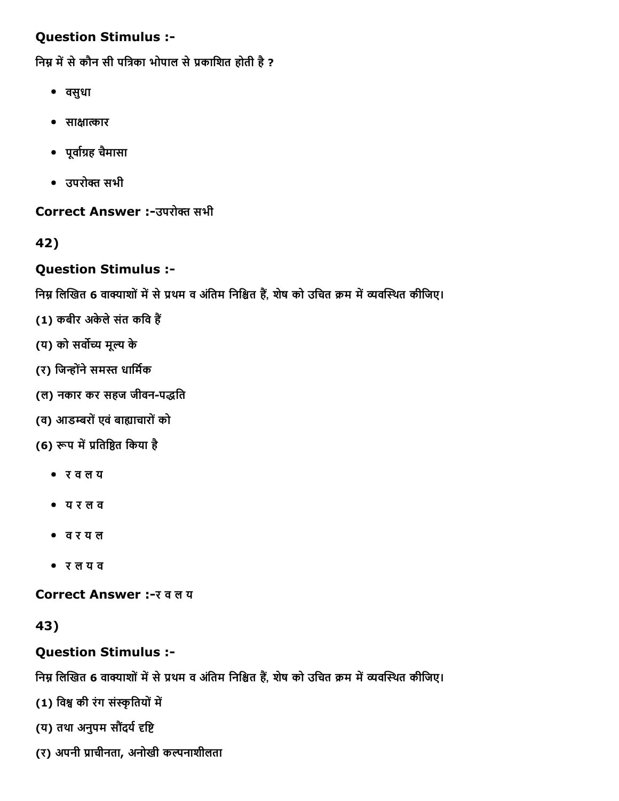### Question Stimulus :

निम्न में से कौन सी पत्रिका भोपाल से प्रकाशित होती है ?

- वसुधा
- साक्षात्कार
- पूर्वाग्रह चैमासा
- उपरोक्त सभी

Correct Answer :-उपरोक्त सभी

42)

## Question Stimulus :

निम्न लिखित 6 वाक्याशों में से प्रथम व अंतिम निश्चित हैं, शेष को उचित क्रम में व्यवस्थित कीजिए।

- (1) कबीर अकेले संत कवि हैं
- (य) को सर्वोच्य मूल्य के
- (र) जिन्होंने समस्त धार्मिक
- (ल) नकार कर सहज जीवन-पद्धति
- (व) आडम्बरों एवं बाह्याचारों को
- (6) रूप में प्रतिष्ठित किया है
	- र व ल य
	- य र ल व
	- व र य ल
	- र ल य व

Correct Answer :- र व ल य

43)

# Question Stimulus :

निम्न लिखित 6 वाक्याशों में से प्रथम व अंतिम निश्चित हैं, शेष को उचित क्रम में व्यवस्थित कीजिए।

(1) विश्व की रंग संस्कृतियों में

- (य) तथा अनुपम सौंदर्य दृष्टि
- (र) अपनी प्राचीनता, अनोखी कल्पनाशीलता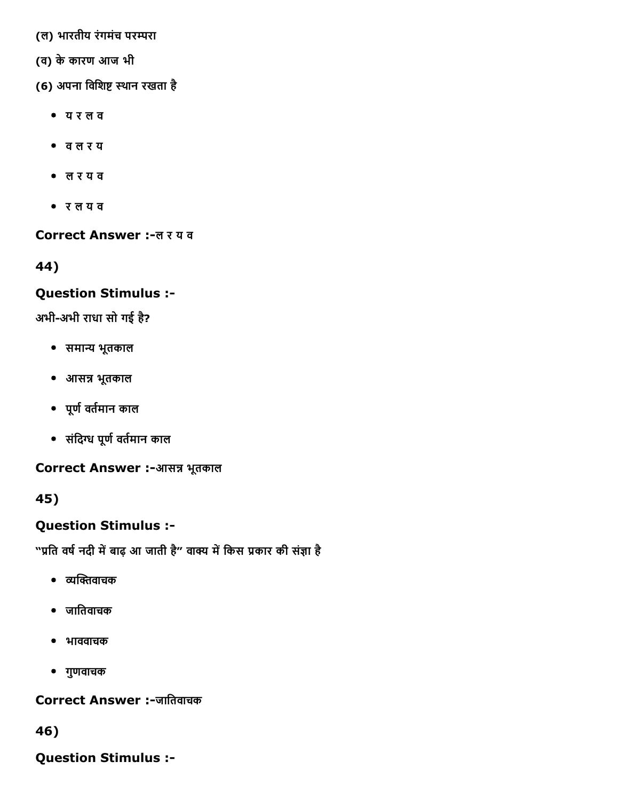(ल) भारतीय रंगमंच परम्परा

- (व) केकारण आज भी
- (6) अपना विशिष्ट स्थान रखता है
	- य र ल व
	- व ल र य
	- ल र य व
	- र ल य व

Correct Answer :-ल र य व

44)

#### Question Stimulus :

अभी-अभी राधा सो गई है?

- समान्य भूतकाल
- आसन्न भूतकाल
- पूर्ण वर्तमान काल
- संदिग्ध पूर्ण वर्तमान काल

Correct Answer :-आसन्न भूतकाल

45)

Question Stimulus :

"प्रति वर्ष नदी में बाढ़ आ जाती है" वाक्य में किस प्रकार की संज्ञा है

- व्यक्तिवाचक
- जाितवाचक
- भाववाचक
- गुणवाचक

#### Correct Answer :-जातिवाचक

46)

Question Stimulus :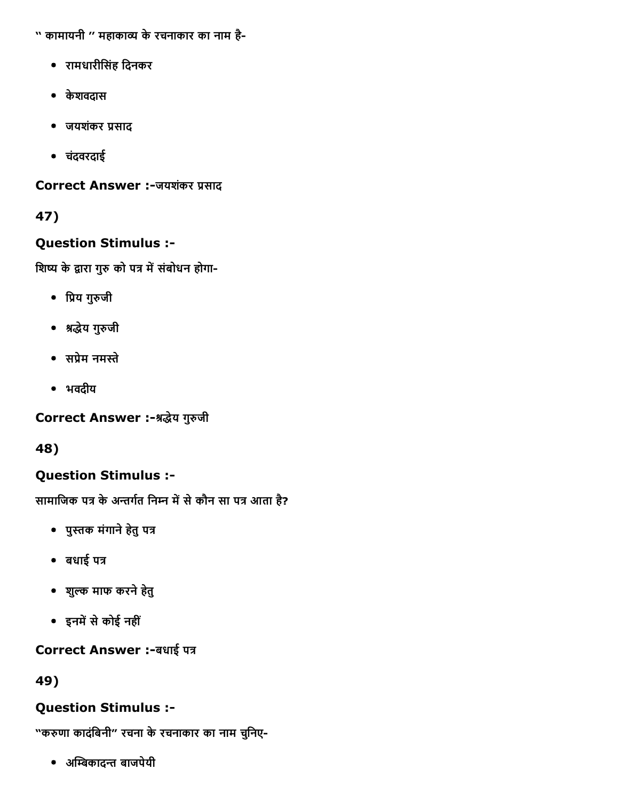- '' कामायनी '' महाकाव्य के रचनाकार का नाम है-
	- रामधारीिसंह िदनकर
	- केशवदास
	- जयशंकर प्रसाद
	- चदंवरदाई

Correct Answer :-जयशंकर प्रसाद

# 47)

## Question Stimulus :

शिष्य के द्वारा गुरु को पत्र में संबोधन होगा-

- प्रिय गुरुजी
- श्रद्धेय गुरुजी
- सप्रेम नमस्ते
- भवदीय

Correct Answer :-श्रद्धेय गुरुजी

48)

# Question Stimulus :

सामाजिक पत्र के अन्तर्गत निम्न में से कौन सा पत्र आता है?

- पुस्तक मंगाने हेतु पत्र
- बधाई पत्र
- शुیक माफ करनेहेतु
- इनमें से कोई नहीं

# Correct Answer :- बधाई पत्र

49)

# Question Stimulus :

"करुणा कादंबिनी" रचना के रचनाकार का नाम चुनिए-

• अम्बिकादन्त बाजपेयी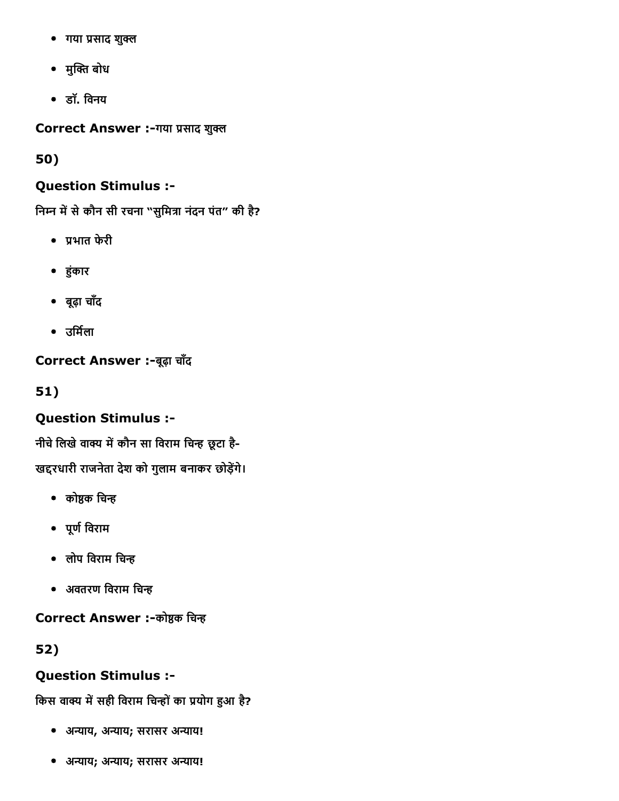- गया प्रसाद शुक्ल
- मुक्ति बोध
- डॉ. िवनय

Correct Answer :-गया प्रसाद शुक्ल

50)

### Question Stimulus :

निम्न में से कौन सी रचना "सुमित्रा नंदन पंत" की है?

- ▀भात फेरी
- ╟ंकार
- बूढ़ा चाँद
- उर्मिला

Correct Answer :-बूढ़ा चाँद

51)

## Question Stimulus :

नीचे लिखे वाक्य में कौन सा विराम चिन्ह छूटा है-

खद्दरधारी राजनेता देश को गुलाम बनाकर छोड़ेंगे।

- कोष्ठक चिन्ह
- पूण└िवराम
- लोप विराम चिन्ह
- अवतरण विराम चिन्ह

Correct Answer :-कोष्ठक चिन्ह

52)

# Question Stimulus :

किस वाक्य में सही विराम चिन्हों का प्रयोग हुआ है?

- अन्याय, अन्याय; सरासर अन्याय!
- अन्याय; अन्याय; सरासर अन्याय!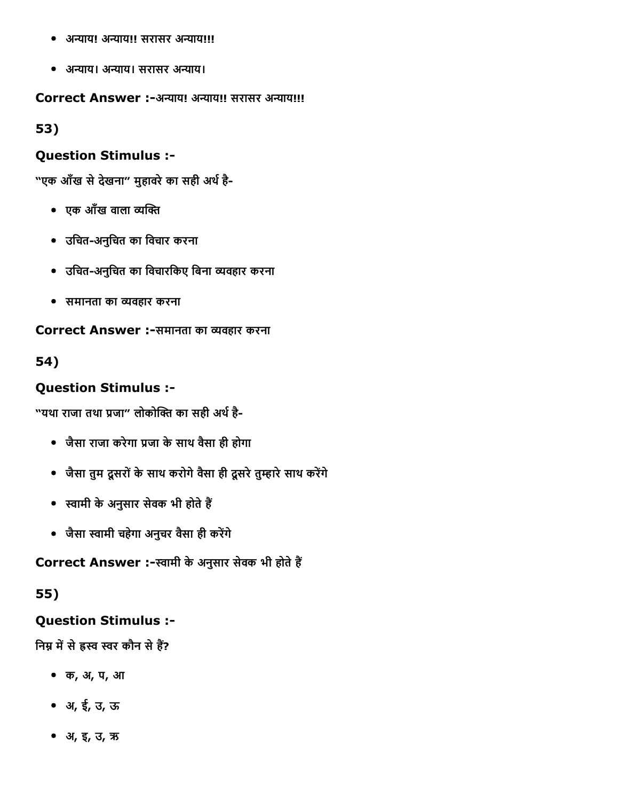- अन्याय! अन्याय!! सरासर अन्याय!!!
- अन्याय। अन्याय। सरासर अन्याय।

Correct Answer :-अन्याय! अन्याय!! सरासर अन्याय!!!

53)

#### Question Stimulus :

"एक आँख से देखना" मुहावरे का सही अर्थ है-

- एक आँख वाला व्यक्ति
- उिचतअनुिचत का िवचार करना
- उचित-अनुचित का विचारकिए बिना व्यवहार करना
- समानता का ᪄Ȁयवहार करना

Correct Answer :-समानता का व्यवहार करना

54)

#### Question Stimulus :

"यथा राजा तथा प्रजा" लोकोक्ति का सही अर्थ है-

- जैसा राजा करेगा प्रजा के साथ वैसा ही होगा
- जैसा तुम दूसरों के साथ करोगे वैसा ही दूसरे तुम्हारे साथ करेंगे
- स्वामी के अनुसार सेवक भी होते हैं
- जैसा स्वामी चहेगा अनुचर वैसा ही करेंगे

Correct Answer :-स्वामी के अनुसार सेवक भी होते हैं

55)

#### Question Stimulus :

निम्न में से ह्रस्व स्वर कौन से हैं?

- क, अ, प, आ
- अ, ई, उ, ऊ
- अ, इ, उ, ऋ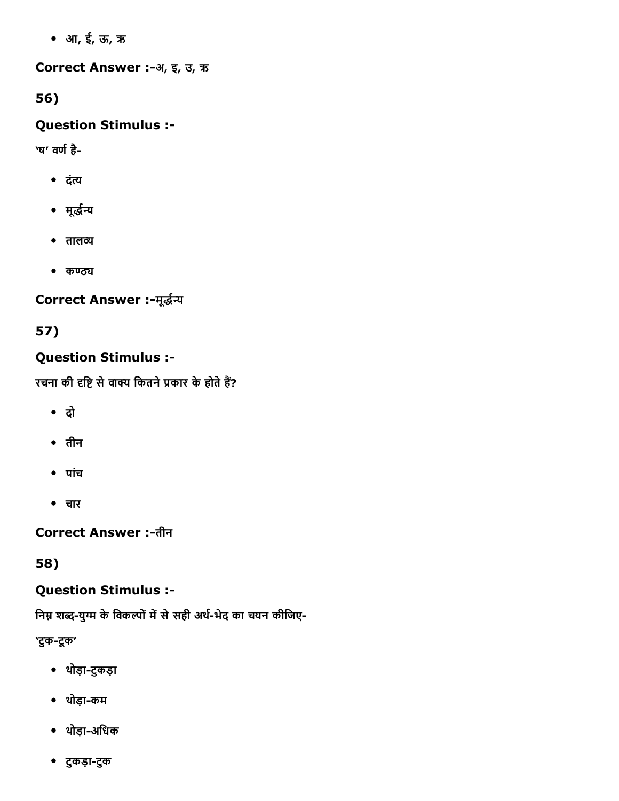आ, ई, ऊ, ऋ

Correct Answer :-अ, इ, उ, ऋ

56)

# Question Stimulus :

'ष' वर्ण है-

- दंत्य
- मूर्द्धन्य
- तालव्य
- $•$   $~\sigma$  $~\sigma$  $~\sigma$

Correct Answer :-मूर्द्धन्य

57)

# Question Stimulus :

रचना की दृष्टि से वाक्य कितने प्रकार के होते हैं?

- दो
- तीन
- पांच
- चार

**Correct Answer :-तीन** 

58)

# Question Stimulus :

निम्न शब्द-युग्म के विकल्पों में से सही अर्थ-भेद का चयन कीजिए-

'टुक-टूक'

- थोड़ाटुकड़ा
- थोड़ाकम
- थोड़ा-अधिक
- टुकड़ाटुक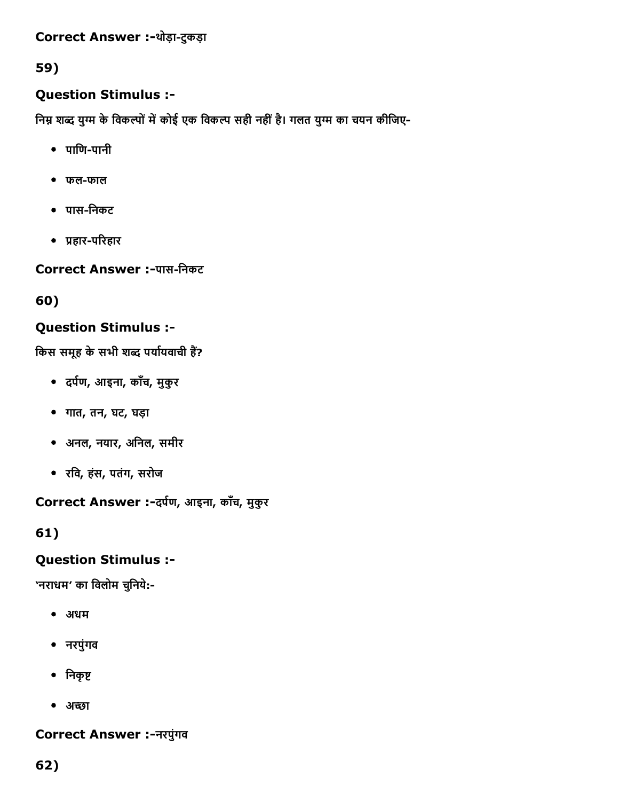## Correct Answer :-थोड़ा-टुकड़ा

## 59)

## Question Stimulus :

निम्न शब्द युग्म के विकल्पों में कोई एक विकल्प सही नहीं है। गलत युग्म का चयन कीजिए-

- $\bullet$  पाणि-पानी
- फल-फाल
- पासिनकट
- प्रहार-परिहार

Correct Answer :-पास-निकट

60)

## Question Stimulus :

किस समूह के सभी शब्द पर्यायवाची हैं?

- दर्पण, आइना, काँच, मुकुर
- गात, तन, घट, घड़ा
- अनल, नयार, अिनल, समीर
- रिव, हंस, पतंग, सरोज

Correct Answer :- दर्पण, आइना, काँच, मुकुर

61)

## Question Stimulus :

'नराधम' का विलोम चुनिये:-

- अधम
- नरपुंगव
- निकृष्ट
- अच्छा

## Correct Answer :नरपुंगव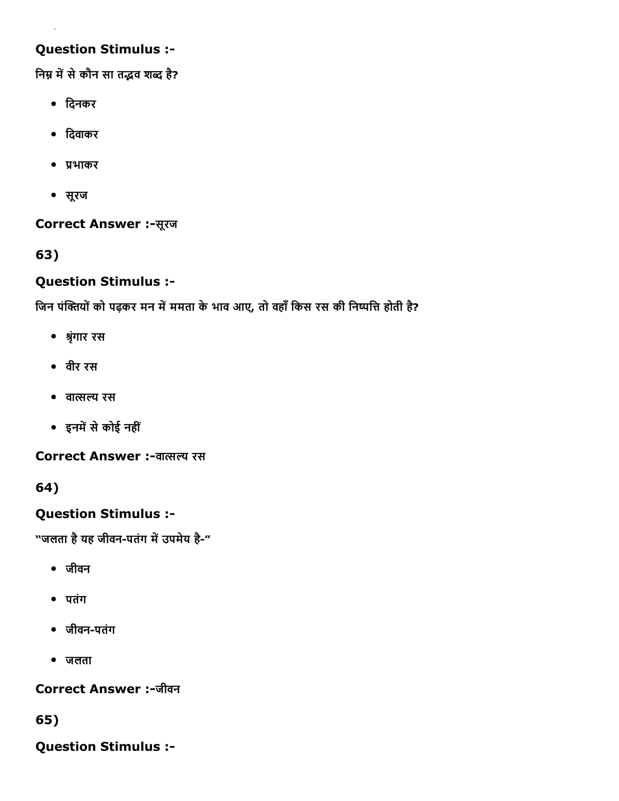## Question Stimulus :

निम्न में से कौन सा तद्भव शब्द है?

- िदनकर
- िदवाकर
- ▀भाकर
- सूरज

Correct Answer :-सूरज

63)

## Question Stimulus :

जिन पंक्तियों को पढ़कर मन में ममता के भाव आए, तो वहाँ किस रस की निष्पत्ति होती है?

- ▓ृंगार रस
- वीर रस
- वा暠सیय रस
- इनमें से कोई नहीं

Correct Answer :-वात्सल्य रस

64)

## Question Stimulus :

"जलता है यह जीवन-पतंग में उपमेय है-"

- जीवन
- पतंग
- जीवन-पतंग
- जलता

Correct Answer :-जीवन

65)

Question Stimulus :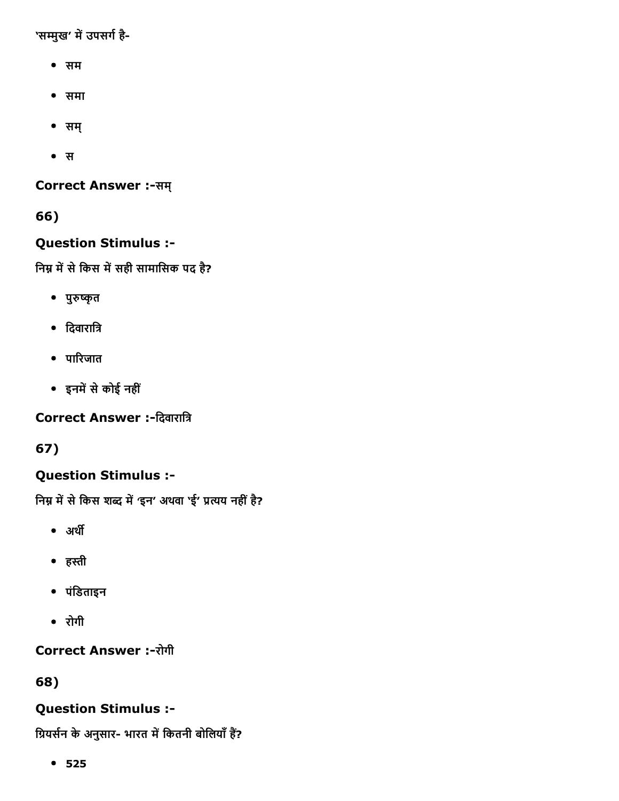'सम्मुख' में उपसर्ग है-

- सम
- समा
- सम्
- स

Correct Answer :-सम्

66)

## Question Stimulus :

निम्न में से किस में सही सामासिक पद है?

- पुरुष्कृत
- दिवारात्रि
- पाδरजात
- इनमें से कोई नहीं

Correct Answer :-दिवारात्रि

67)

## Question Stimulus :

निम्न में से किस शब्द में 'इन' अथवा 'ई' प्रत्यय नहीं है?

- अर्थी
- हהּी
- पंिडताइन
- रोगी

Correct Answer :-रोगी

68)

## Question Stimulus :

ग्रियर्सन के अनुसार- भारत में कितनी बोलियाँ हैं?

525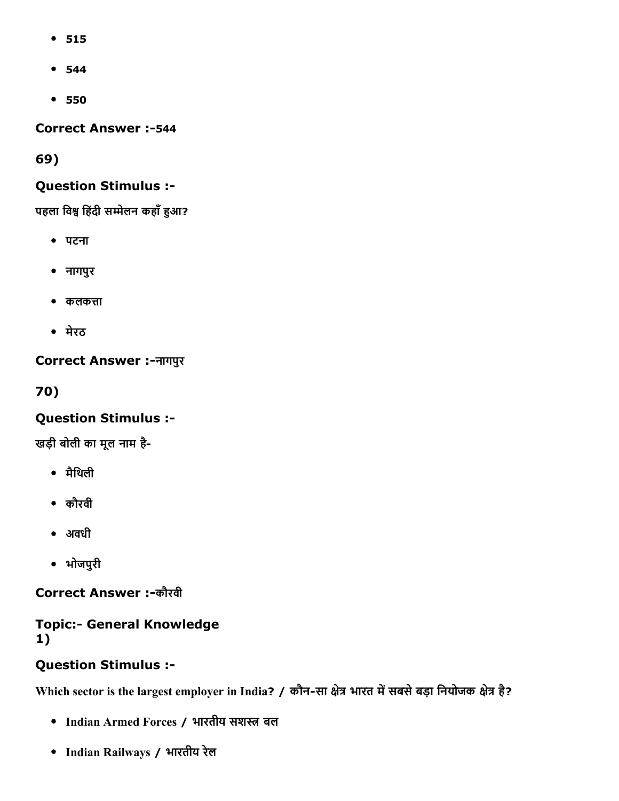- 515
- 544
- 550

**Correct Answer :-544** 

69)

## Question Stimulus :

पहला विश्व हिंदी सम्मेलन कहाँ हुआ?

- पटना
- नागपुर
- $\bullet$  कलकत्ता
- मेरठ

Correct Answer :नागपुर

70)

## Question Stimulus :

खड़ी बोली का मूल नाम है

- मैिथली
- कौरवी
- अवधी
- भोजपुरी

Correct Answer :-कौरवी

## **Topic:- General Knowledge** 1)

## Question Stimulus :

Which sector is the largest employer in India? / कौन-सा क्षेत्र भारत में सबसे बड़ा नियोजक क्षेत्र है?

- Indian Armed Forces / भारतीय सशזּ बल
- Indian Railways / भारतीय रेल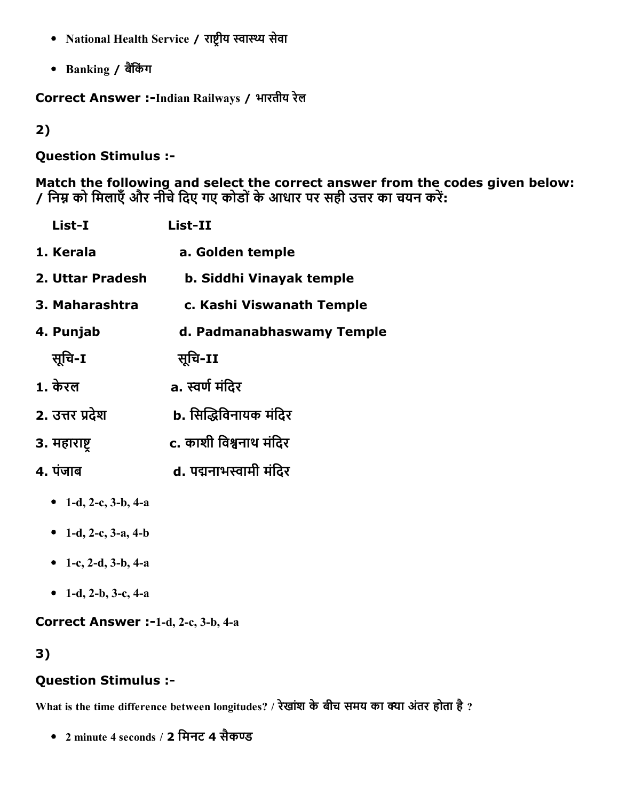- National Health Service / राष्ट्रीय स्वास्थ्य सेवा
- Banking / बैंकिंग

Correct Answer :-Indian Railways / भारतीय रेल

2)

## Question Stimulus :

Match the following and select the correct answer from the codes given below: / निम्न को मिलाएँ और नीचे दिए गए कोडों के आधार पर सही उत्तर का चयन करें:

| List-I                  | List-II                   |
|-------------------------|---------------------------|
| 1. Kerala               | a. Golden temple          |
| 2. Uttar Pradesh        | b. Siddhi Vinayak temple  |
| 3. Maharashtra          | c. Kashi Viswanath Temple |
| 4. Punjab               | d. Padmanabhaswamy Temple |
| सुचि-I                  | सुचि-II                   |
| 1. केरल                 | a. स्वर्ण मंदिर           |
| 2. उत्तर प्रदेश         | b. सिद्धिविनायक मंदिर     |
| 3. महाराष्ट्            | c. काशी विश्वनाथ मंदिर    |
| 4. पंजाब                | d. पद्मनाभस्वामी मंदिर    |
| 1-d, 2-c, $3-b$ , $4-a$ |                           |
| • 1-d, 2-c, 3-a, 4-b    |                           |

- 1-c, 2-d, 3-b, 4-a
- 1-d, 2-b, 3-c, 4-a

Correct Answer :-1-d, 2-c, 3-b, 4-a

## 3)

## Question Stimulus :

What is the time difference between longitudes? / रेखांश के बीच समय का क्या अंतर होता है ?

• 2 minute 4 seconds / 2 मिनट 4 सैकण्ड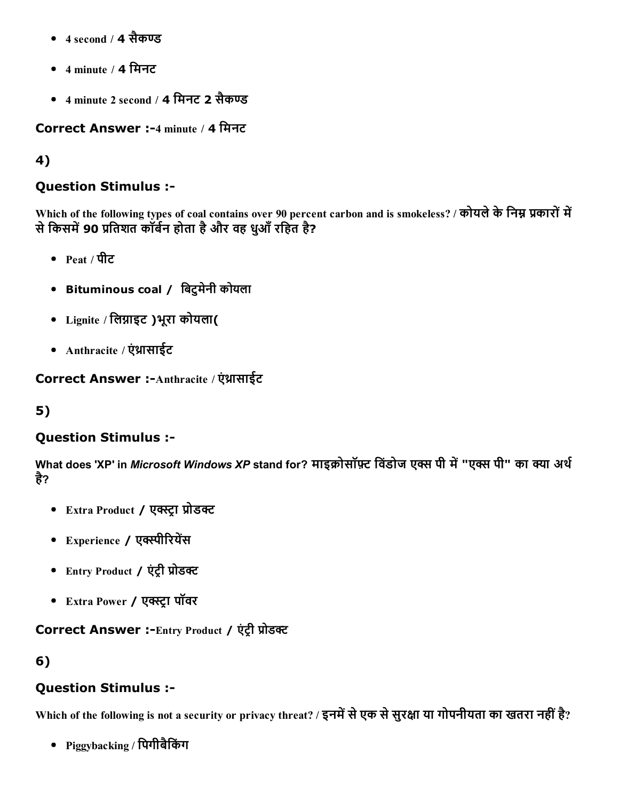- $\bullet$  4 second / 4 सैकण्ड
- 4 minute / 4 िमनट
- 4 minute 2 second / 4 मिनट 2 सैकण्ड

Correct Answer :4 minute / 4 िमनट

## 4)

## Question Stimulus :

Which of the following types of coal contains over 90 percent carbon and is smokeless? / कोयले के निम्न प्रकारों में से किसमें 90 प्रतिशत कॉर्बेन होता है और वह धुआँ रहित है?

- $Pe$ at / पीट
- Bituminous coal / िबटुमेनी कोयला
- Lignite / लिग्नाइट )भूरा कोयला(
- Anthracite / एंथ्रासाईट

Correct Answer :-Anthracite / एंथ्रासाईट

## 5)

## Question Stimulus :

What does 'XP' in *Microsoft Windows XP* stand for? माइक्रोसॉफ़्ट विंडोज एक्स पी में "एक्स पी" का क्या अर्थ है?

- Extra Product / एक्स्ट्रा प्रोडक्ट
- Experience / एक्स्पीरियेंस
- Entry Product / एंट्री प्रोडक्ट
- Extra Power / एक्स्ट्रा पॉवर

Correct Answer :-Entry Product / एंट्री प्रोडक्ट

6)

## Question Stimulus :

Which of the following is not a security or privacy threat? / इनमें से एक से सुरक्षा या गोपनीयता का खतरा नहीं है?

Piggybacking / िपगीबैिकंग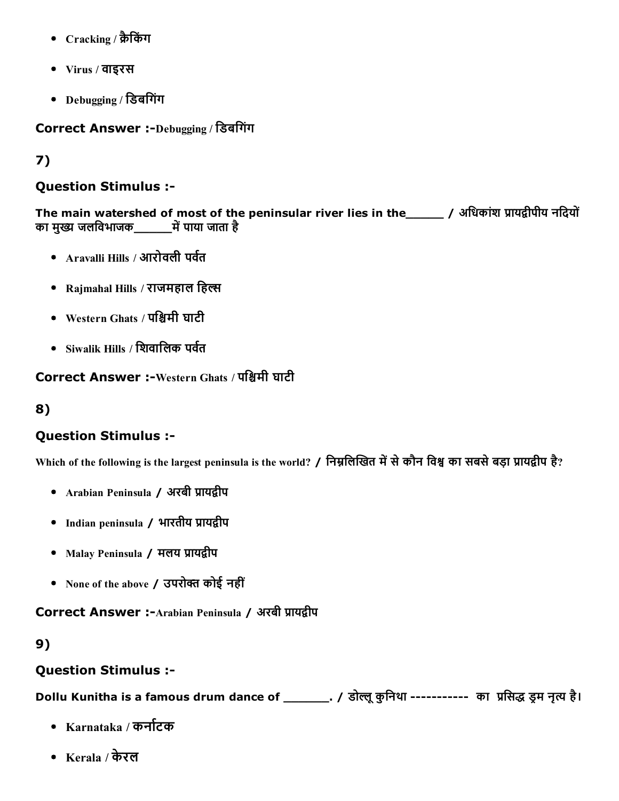- Cracking / क्रैकिंग
- Virus / वाइरस
- Debugging / िडबिगंग

Correct Answer :-Debugging / डिबगिंग

# 7)

#### Question Stimulus :

The main watershed of most of the peninsular river lies in the\_\_\_\_\_\_ / अधिकांश प्रायद्वीपीय नदियों का मुख्य जलविभाजक \_\_\_\_\_\_\_में पाया जाता है

- $\Delta$ ravalli Hills / आरोवली पर्वत
- Rajmahal Hills / राजमहाल हिल्स
- Western Ghats / पश्चिमी घाटी
- $\bullet$  Siwalik Hills / शिवालिक पर्वत

Correct Answer :-Western Ghats / पश्चिमी घाटी

## 8)

## Question Stimulus :

Which of the following is the largest peninsula is the world? / निम्नलिखित में से कौन विश्व का सबसे बड़ा प्रायद्वीप है?

- Arabian Peninsula / अरबी प्रायद्वीप
- Indian peninsula / भारतीय प्रायद्वीप
- Malay Peninsula / मलय प्रायद्वीप
- None of the above / उपरोक्त कोई नहीं

Correct Answer :-Arabian Peninsula / अरबी प्रायद्वीप

#### 9)

## Question Stimulus :

Dollu Kunitha is a famous drum dance of \_\_\_\_\_\_\_. / डोल्लू कुनिथा ---------- का प्रसिद्ध ड्रम नृत्य है।

- Karnataka / कर्नाटक
- Kerala / केरल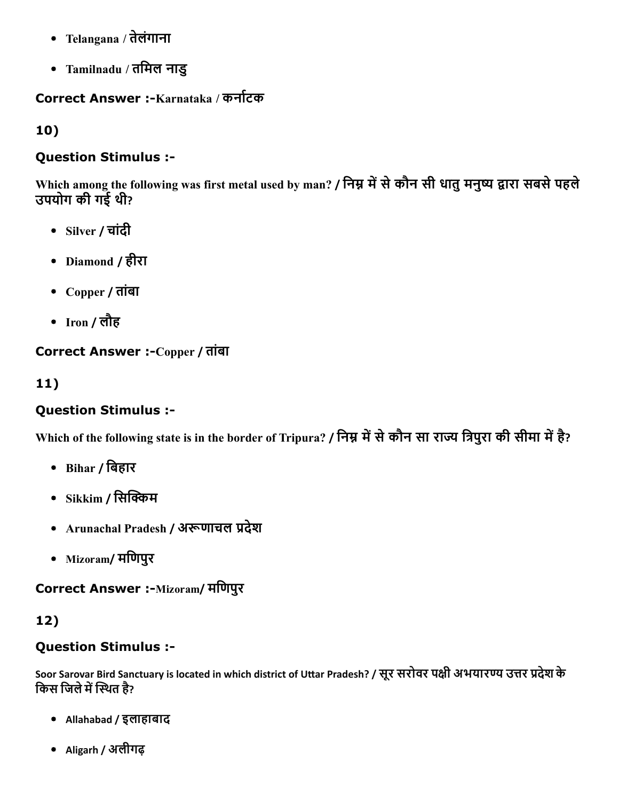- Telangana / तेलंगाना
- Tamilnadu / तिमल नाडु

## Correct Answer :-Karnataka / कर्नाटक

10)

## Question Stimulus :

Which among the following was first metal used by man? / निम्न में से कौन सी धातु मनुष्य द्वारा सबसे पहले उपयोग की गई थी?

- Silver / चांदी
- Diamond / हीरा
- Copper / तांबा
- Iron / लौह

## Correct Answer :-Copper / तांबा

## 11)

## Question Stimulus :

Which of the following state is in the border of Tripura? / निम्न में से कौन सा राज्य त्रिपुरा की सीमा में है?

- Bihar / िबहार
- $\bullet$  Sikkim / सिक्किम
- Arunachal Pradesh / अरूणाचल प्रदेश
- Mizoram/ मिणपुर

Correct Answer :-Mizoram/ मणिपुर

# 12)

## Question Stimulus :

Soor Sarovar Bird Sanctuary is located in which district of Uttar Pradesh? / सूर सरोवर पक्षी अभयारण्य उत्तर प्रदेश के किस जिले में स्थित है?

- Allahabad / इलाहाबाद
- Aligarh / अलीगढ़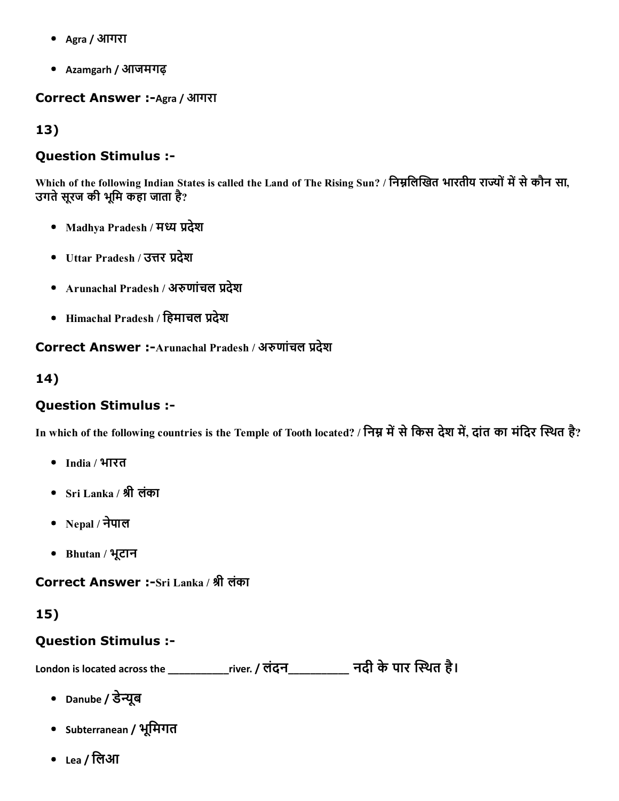- Agra / आगरा
- Azamgarh / आजमगढ़

**Correct Answer :-Agra / आगरा** 

13)

#### Question Stimulus :

Which of the following Indian States is called the Land of The Rising Sun? / निम्नलिखित भारतीय राज्यों में से कौन सा, उगते सूरज की भूमि कहा जाता है?

- Madhya Pradesh / मध्य प्रदेश
- Uttar Pradesh / उत्तर प्रदेश
- Arunachal Pradesh / अरुणांचल प्रदेश
- $\bullet$  Himachal Pradesh / हिमाचल प्रदेश

Correct Answer :-Arunachal Pradesh / अरुणांचल प्रदेश

14)

#### Question Stimulus :

In which of the following countries is the Temple of Tooth located? / निम्न में से किस देश में, दांत का मंदिर स्थित है?

- India / भारत
- Sri Lanka / ▓ी लंका
- Nepal / नेपाल
- Bhutan / भूटान

Correct Answer :-Sri Lanka / श्री लंका

## 15)

#### Question Stimulus :

London is located across the \_\_\_\_\_\_\_\_\_\_\_\_river. / लंदन\_\_\_\_\_\_\_\_\_\_\_\_ नदी के पार स्थित है।

- Danube / डेन्यूब
- Subterranean / भूिमगत
- Lea / लिआ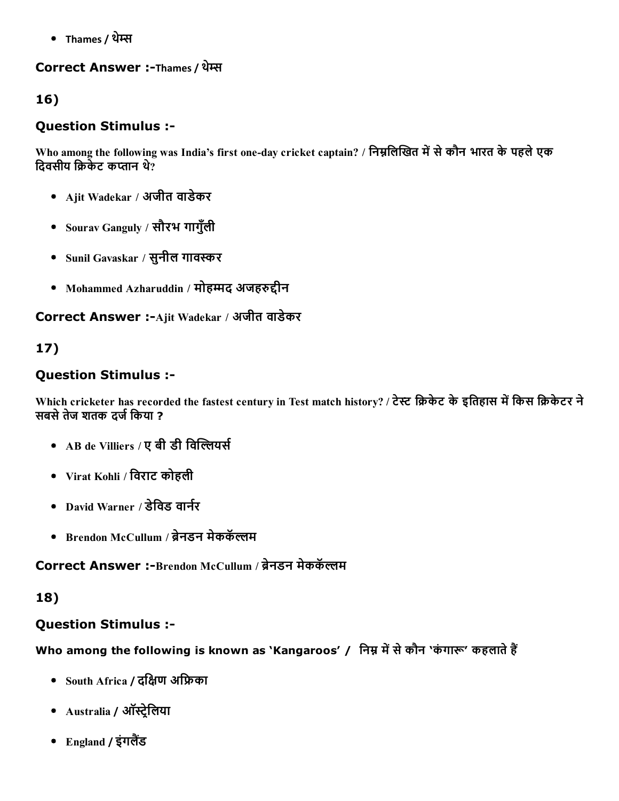• Thames / थेम्स

### Correct Answer :-Thames / थेम्स

## 16)

## Question Stimulus :

Who among the following was India's first one-day cricket captain? / निम्नलिखित में से कौन भारत के पहले एक दिवसीय क्रिकेट कप्तान थे?

- Ajit Wadekar / अजीत वाडेकर
- Sourav Ganguly / सौरभ गागुँली
- Sunil Gavaskar / सुनील गावאַर
- Mohammed Azharuddin / मोहम्मद अजहरुद्दीन

Correct Answer :-Ajit Wadekar / अजीत वाडेकर

## 17)

## Question Stimulus :

Which cricketer has recorded the fastest century in Test match history? / टेस्ट क्रिकेट के इतिहास में किस क्रिकेटर ने सबसे तेज शतक दर्ज किया ?

- AB de Villiers / ए बी डी विल्लियर्स
- Virat Kohli / िवराट कोहली
- David Warner / डेविड वार्नर
- Brendon McCullum / ब्रेनडन मेककॅल्लम

Correct Answer :-Brendon McCullum / ब्रेनडन मेककॅल्लम

## 18)

## Question Stimulus :

Who among the following is known as 'Kangaroos' / निम्न में से कौन 'कंगारू' कहलाते हैं

- South Africa / दक्षिण अफ्रिका
- Australia / ऑस्ट्रेलिया
- England / इंगलैंड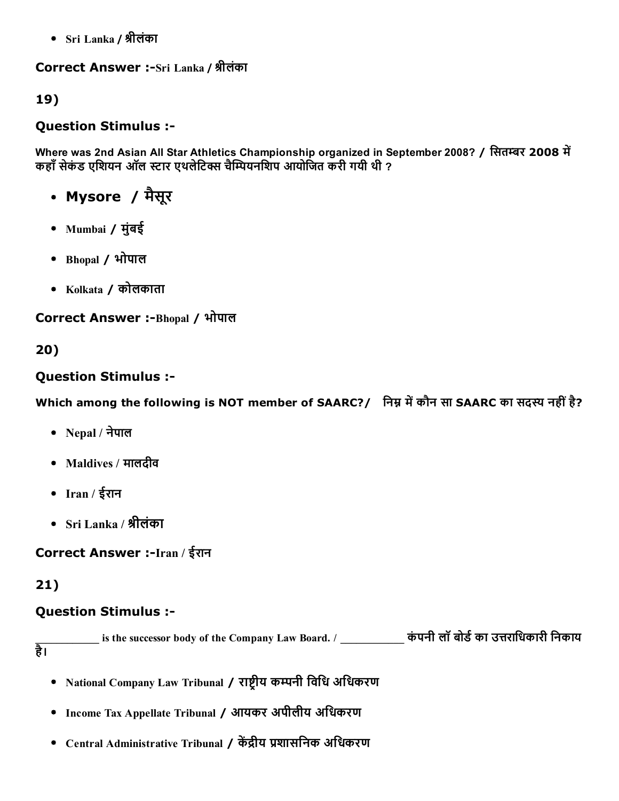Sri Lanka / ▓ीलंका

Correct Answer :-Sri Lanka / श्रीलंका

19)

## Question Stimulus :

Where was 2nd Asian All Star Athletics Championship organized in September 2008? / सितम्बर 2008 में कहाँ सेकंड एशियन ऑल स्टार एथलेटिक्स चैम्पियनशिप आयोजित करी गयी थी ?

- Mysore / मैसूर
- Mumbai / मुंबई
- Bhopal / भोपाल
- Kolkata / कोलकाता

Correct Answer :-Bhopal / भोपाल

20)

## Question Stimulus :

Which among the following is NOT member of SAARC?/ निम्न में कौन सा SAARC का सदस्य नहीं है?

- Nepal / नेपाल
- Maldives / मालदीव
- Iran / ईरान
- Sri Lanka / ▓ीलंका

Correct Answer :-Iran / ईरान

21)

## Question Stimulus :

 $\equiv$  is the successor body of the Company Law Board. /  $\equiv$   $\equiv$   $\frac{1}{2}$  कंपनी लॉ बोर्ड का उत्तराधिकारी निकाय है।

- National Company Law Tribunal / राष्टीय कम्पनी विधि अधिकरण
- Income Tax Appellate Tribunal / आयकर अपीलीय अिधकरण
- Central Administrative Tribunal / केंद्रीय प्रशासनिक अधिकरण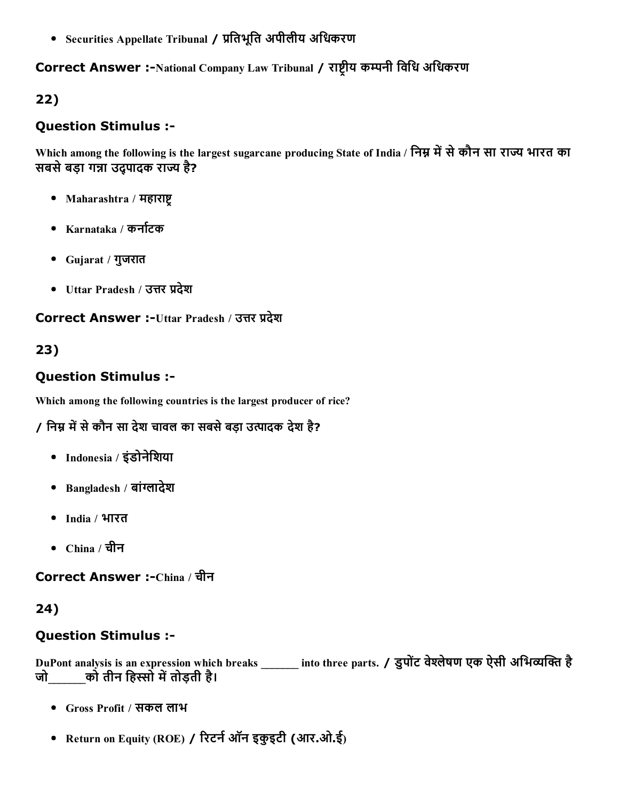• Securities Appellate Tribunal / प्रतिभूति अपीलीय अधिकरण

## Correct Answer :-National Company Law Tribunal / राष्ट्रीय कम्पनी विधि अधिकरण

## 22)

### Question Stimulus :

Which among the following is the largest sugarcane producing State of India / निम्न में से कौन सा राज्य भारत का सबसे बड़ा गन्ना उदपादक राज्य है?

- Maharashtra / महाराष्ट्
- Karnataka / कर्नाटक
- Gujarat / गुजरात
- Uttar Pradesh / उत्तर प्रदेश

#### Correct Answer :-Uttar Pradesh / उत्तर प्रदेश

## 23)

### Question Stimulus :

Which among the following countries is the largest producer of rice?

## / निम्न में से कौन सा देश चावल का सबसे बड़ा उत्पादक देश है?

- Indonesia / इंडोनेिशया
- Bangladesh / बांग्लादेश
- India / भारत
- China / चीन

Correct Answer :-China / चीन

## 24)

## Question Stimulus :

DuPont analysis is an expression which breaks \_\_\_\_\_\_\_ into three parts. / डुपोंट वेश्लेषण एक ऐसी अभिव्यक्ति है जो\_\_\_\_\_\_\_को तीन िहוֹो म┼तोड़ती है।

- Gross Profit / सकल लाभ
- Return on Equity (ROE) / रिटर्न ऑन इकुइटी (आर.ओ.ई)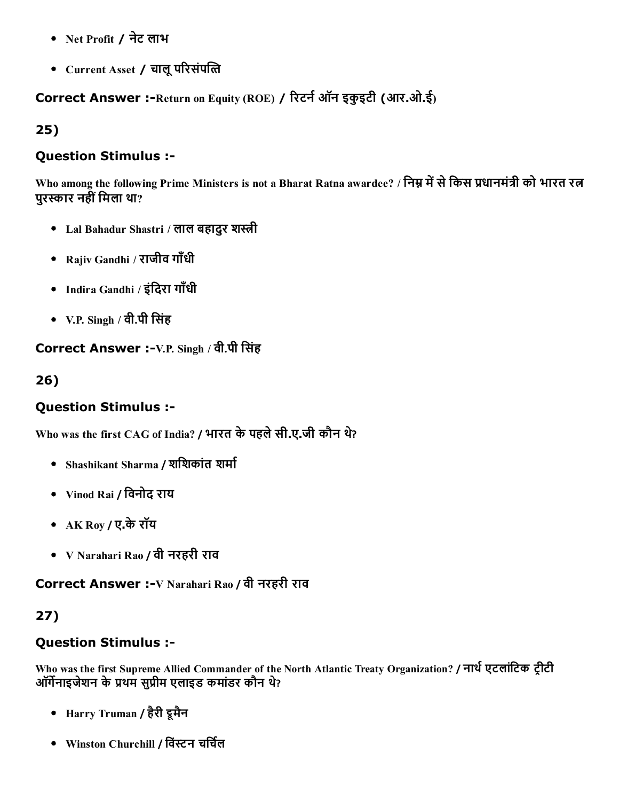- Net Profit / नेट लाभ
- Current Asset / चालू परिसंपत्ति

Correct Answer :-Return on Equity (ROE) / रिटर्न ऑन इकुइटी (आर.ओ.ई)

25)

## Question Stimulus :

Who among the following Prime Ministers is not a Bharat Ratna awardee? / निम्न में से किस प्रधानमंत्री को भारत रत्न परस्कार नहीं मिला था?

- Lal Bahadur Shastri / लाल बहादुर शस्त्री
- Rajiv Gandhi / राजीव गाँधी
- Indira Gandhi / इंदिरा गाँधी
- V.P. Singh / वी.पी सिंह

Correct Answer :-V.P. Singh / वी.पी सिंह

26)

## Question Stimulus :

Who was the first CAG of India? / भारत केपहलेसी.ए.जी कौन थ?े

- Shashikant Sharma / शशिकांत शर्मा
- Vinod Rai / िवनोद राय
- AK Roy / ए.केरॉय
- V Narahari Rao / वी नरहरी राव

Correct Answer :-V Narahari Rao / वी नरहरी राव

## 27)

## Question Stimulus :

Who was the first Supreme Allied Commander of the North Atlantic Treaty Organization? / नार्थ एटलांटिक ट्रीटी ऑर्गेनाइजेशन के प्रथम सुप्रीम एलाइड कमांडर कौन थे?

- Harry Truman / हैरी डूमैन
- Winston Churchill / विंस्टन चर्चिल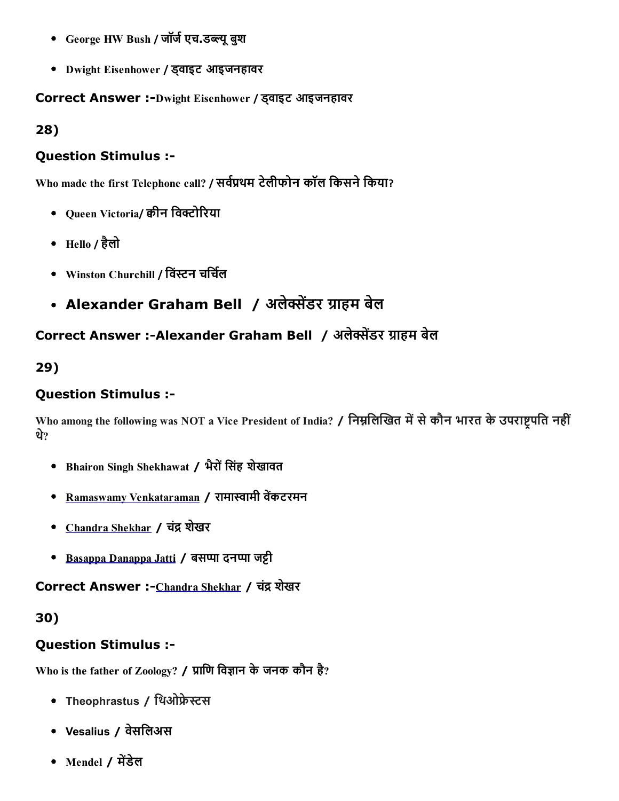- George HW Bush / जॉर्ज एच.डब्ल्यू बुश
- Dwight Eisenhower / ड्वाइट आइजनहावर

Correct Answer :Dwight Eisenhower / ड्वाइट आइजनहावर

28)

#### Question Stimulus :

Who made the first Telephone call? / सर्वप्रथम टेलीफोन कॉल किसने किया?

- Queen Victoria/ कीन विक्टोरिया
- Hello / हैलो
- Winston Churchill / विंस्टन चर्चिल
- Alexander Graham Bell / अलेक्सेंडर ग्राहम बेल

# Correct Answer :-Alexander Graham Bell / अलेक्सेंडर ग्राहम बेल

29)

#### Question Stimulus :

Who among the following was NOT a Vice President of India? / निम्नलिखित में से कौन भारत के उपराष्ट्रपति नहीं थ?े

- Bhairon Singh Shekhawat / भैरों सिंह शेखावत
- Ramaswamy [Venkataraman](https://en.wikipedia.org/wiki/R._Venkataraman) / रामास्वामी वेंकटरमन
- [Chandra](https://en.wikipedia.org/wiki/Chandra_Shekhar_Singh) Shekhar / चंद्र शेखर
- Basappa [Danappa](https://en.wikipedia.org/wiki/B._D._Jatti) Jatti / बसप्पा दनप्पा जट्टी

Correct Answer :- [Chandra](https://en.wikipedia.org/wiki/Chandra_Shekhar_Singh) Shekhar / चंद्र शेखर

30)

#### Question Stimulus :

Who is the father of Zoology? / प्राणि विज्ञान के जनक कौन है?

- Theophrastus / थिओफ्रेस्टस
- Vesalius / वेसिलअस
- Mendel / मेंडेल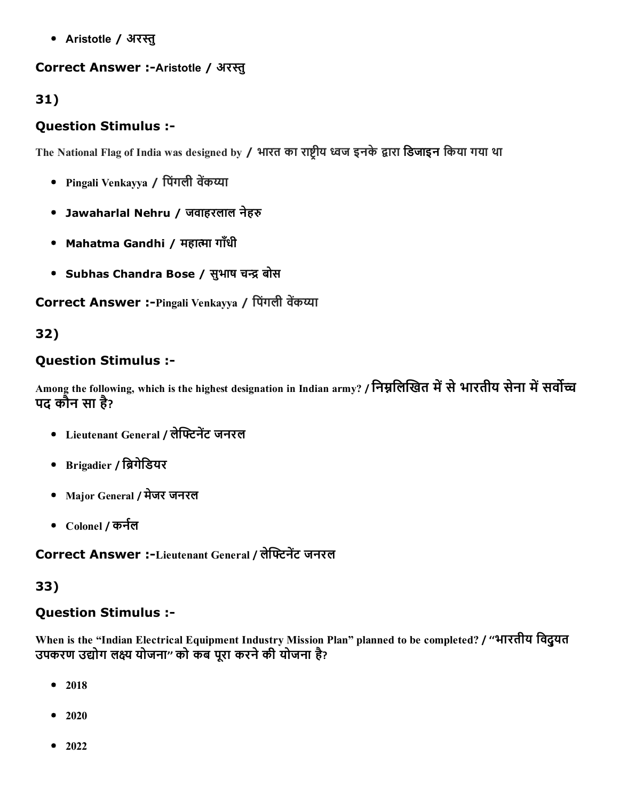• Aristotle / अरस्तु

## Correct Answer :-Aristotle / अरस्तु

# 31)

# Question Stimulus :

The National Flag of India was designed by / भारत का राष्ट्रीय ध्वज इनके द्वारा डिजाइन किया गया था

- Pingali Venkayya / पिंगली वेंकय्या
- Jawaharlal Nehru / जवाहरलाल नेहरु
- Mahatma Gandhi / महात्मा गाँधी
- Subhas Chandra Bose / सुभाष चन्द्र बोस

Correct Answer :-Pingali Venkayya / पिंगली वेंकय्या

## 32)

## Question Stimulus :

Among the following, which is the highest designation in Indian army? / निम्नलिखित में से भारतीय सेना में सर्वोच्च पद कौन सा है ?

- Lieutenant General / लेफ्टिनेंट जनरल
- Brigadier / ि█गेिडयर
- Major General / मेजर जनरल
- Colonel / कर्नल

Correct Answer :-Lieutenant General / लेफ्टिनेंट जनरल

# 33)

# Question Stimulus :

When is the "Indian Electrical Equipment Industry Mission Plan" planned to be completed? / ''भारतीय िवद्ुयत उपकरण उद्योग लक्ष्य योजना" को कब पूरा करने की योजना है?

- 2018  $\bullet$
- $2020$
- $-2022$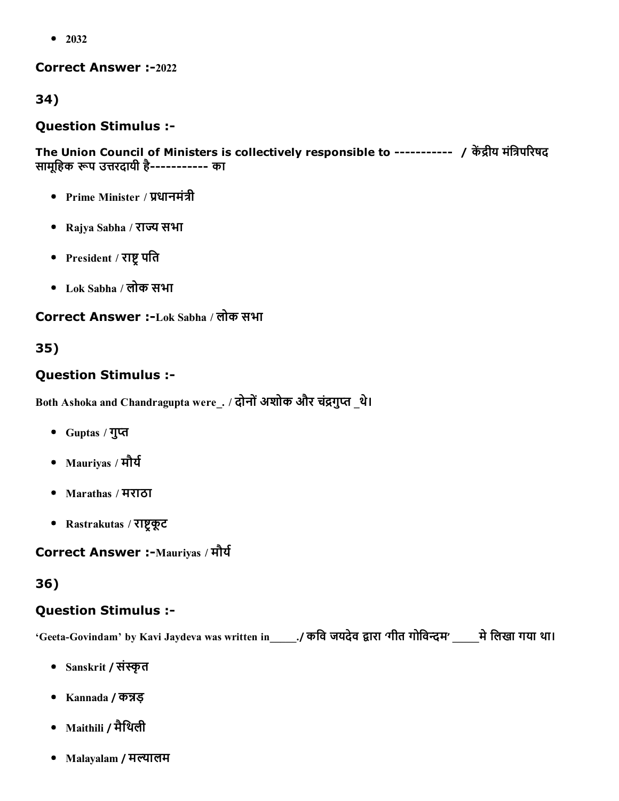• 2032

#### Correct Answer :-2022

34)

#### Question Stimulus :

The Union Council of Ministers is collectively responsible to ---------- / केंद्रीय मंत्रिपरिषद सामूहिक रूप उत्तरदायी है----------- का

- Prime Minister / प्रधानमंत्री
- Rajya Sabha / राज्य सभा
- President / राष्ट्र पति
- Lok Sabha / लोक सभा

# Correct Answer :Lok Sabha / लोक सभा

### 35)

### Question Stimulus :

Both Ashoka and Chandragupta were . / दोनों अशोक और चंद्रगुप्त थे।

- Guptas / गुЧ
- $\bullet$  Mauriyas / मौर्य
- Marathas / मराठा
- Rastrakutas / राष्ट्रकूट

Correct Answer :-Mauriyas / मौर्य

#### 36)

# Question Stimulus :

'Geeta-Govindam' by Kavi Jaydeva was written in \_\_\_\_./ कवि जयदेव द्वारा 'गीत गोविन्दम' \_\_\_\_ मे लिखा गया था।

- Sanskrit / संस्कृत
- Kannada / कन्नड़
- Maithili / मैिथली
- $\bullet$  Malayalam / मल्यालम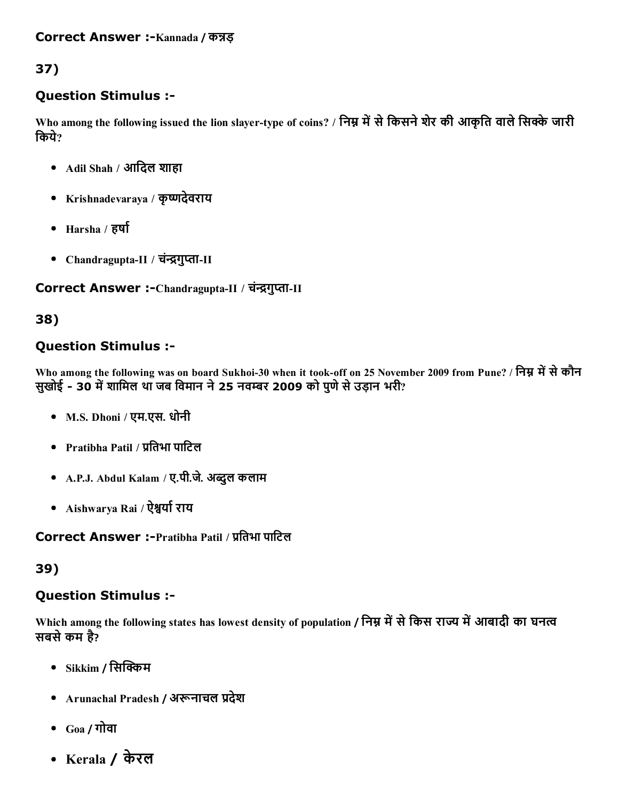# 37)

## Question Stimulus :

Who among the following issued the lion slayer-type of coins? / निम्न में से किसने शेर की आकृति वाले सिक्के जारी िकये?

- Adil Shah / आदिल शाहा
- Krishnadevaraya / कृष्णदेवराय
- Harsha /  $\overline{\epsilon}$ र्षा
- Chandragupta-II / चंन्द्रगुप्ता-II

#### Correct Answer :-Chandragupta-II / चंन्द्रगुप्ता-II

### 38)

## Question Stimulus :

Who among the following was on board Sukhoi-30 when it took-off on 25 November 2009 from Pune? / निम्न में से कौन सुखोई - 30 में शामिल था जब विमान ने 25 नवम्बर 2009 को पुणे से उड़ान भरी?

- M.S. Dhoni / एम.एस. धोनी
- $\bullet$  Pratibha Patil / प्रतिभा पाटिल
- A.P.J. Abdul Kalam / ए.पी.जे. अब्दुल कलाम
- Aishwarya Rai / ऐश्वर्या राय

Correct Answer :-Pratibha Patil / प्रतिभा पाटिल

## 39)

#### Question Stimulus :

Which among the following states has lowest density of population / निम्न में से किस राज्य में आबादी का घनत्व सबसे कम है?

- Sikkim / सिक्किम
- Arunachal Pradesh / अरूनाचल प्रदेश
- Goa / गोवा
- Kerala / केरल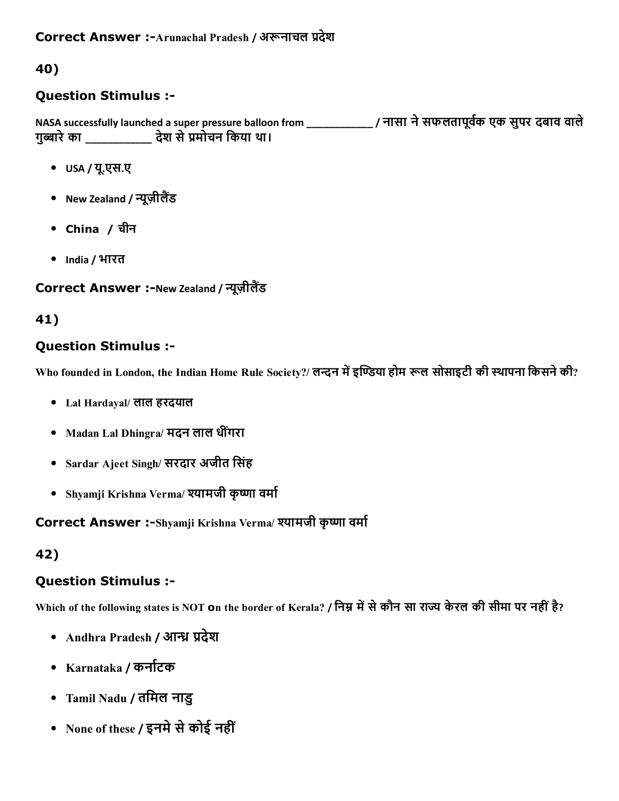## 40)

## Question Stimulus :

NASA successfully launched a super pressure balloon from \_\_\_\_\_\_\_\_\_\_\_\_\_\_\_\_/ नासा ने सफलतापूर्वक एक सुपर दबाव वाले गुब्बारे का \_\_\_\_\_\_\_\_\_\_\_\_ देश से प्रमोचन किया था।

- USA / यू.एस.ए
- New Zealand / न्यूज़ीलैंड
- China / चीन
- India / भारत

## Correct Answer :-New Zealand / न्यूज़ीलैंड

## 41)

## Question Stimulus :

Who founded in London, the Indian Home Rule Society?/ लन्दन में इण्डिया होम रूल सोसाइटी की स्थापना किसने की?

- Lal Hardayal/ लाल हरदयाल
- Madan Lal Dhingra/ मदन लाल धीगंरा
- Sardar Ajeet Singh/ सरदार अजीत िसंह
- Shyamji Krishna Verma/ श्यामजी कृष्णा वर्मा

Correct Answer :-Shyamji Krishna Verma/ श्यामजी कृष्णा वर्मा

## 42)

## Question Stimulus :

Which of the following states is NOT on the border of Kerala? / निम्न में से कौन सा राज्य केरल की सीमा पर नहीं है?

- Andhra Pradesh / आन्ध्र प्रदेश
- Karnataka / कर्नाटक
- Tamil Nadu / तिमल नाडु
- None of these / इनमे से कोई नहीं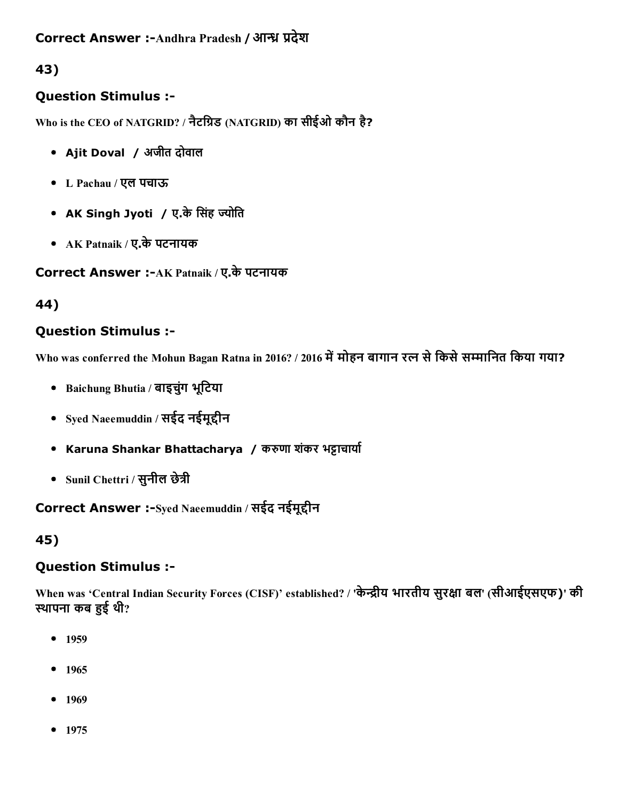## Correct Answer :-Andhra Pradesh / आन्ध्र प्रदेश

43)

## Question Stimulus :

Who is the CEO of NATGRID? / नैटग्रिड (NATGRID) का सीईओ कौन है?

- Ajit Doval / अजीत दोवाल
- L Pachau / एल पचाऊ
- AK Singh Jyoti / ए.के सिंह ज्योति
- AK Patnaik / ए.केपटनायक

Correct Answer :- AK Patnaik / ए.के पटनायक

44)

## Question Stimulus :

Who was conferred the Mohun Bagan Ratna in 2016? / 2016 में मोहन बागान रत्न से किसे सम्मानित किया गया?

- Baichung Bhutia / बाइचुंग भूटिया
- Syed Naeemuddin / सईद नईमुद्दीन
- Karuna Shankar Bhattacharya / करुणा शंकर भट्टाचार्या
- Sunil Chettri / सुनील छेत्री

## Correct Answer :-Syed Naeemuddin / सईद नईमूद्दीन

45)

## Question Stimulus :

When was 'Central Indian Security Forces (CISF)' established? / 'केन्द्रीय भारतीय सुरक्षा बल' (सीआईएसएफ)' की स्थापना कब हुई थी?

- $-1959$
- $1965$
- $-1969$
- $-1975$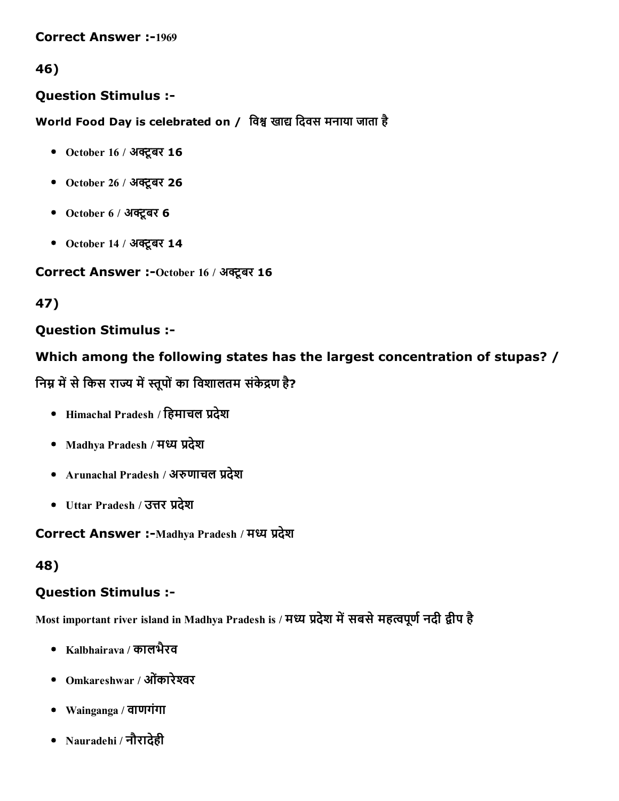**Correct Answer :-1969** 

## 46)

#### Question Stimulus :

World Food Day is celebrated on / विश्व खाद्य दिवस मनाया जाता है

- October 16 / अक्टूबर  $16$
- October 26 / अक्टूबर 26
- October  $6/$  अक्टूबर 6
- October 14 / अक्टूबर  $14$

#### Correct Answer :- October 16 / अक्टूबर 16

## 47)

## Question Stimulus :

## Which among the following states has the largest concentration of stupas? /

निम्न में से किस राज्य में स्तूपों का विशालतम संकेद्रण है?

- $\bullet$  Himachal Pradesh / हिमाचल प्रदेश
- Madhya Pradesh / मध्य प्रदेश
- Arunachal Pradesh / अरुणाचल प्रदेश
- Uttar Pradesh / उत्तर प्रदेश

Correct Answer :-Madhya Pradesh / मध्य प्रदेश

#### 48)

## Question Stimulus :

Most important river island in Madhya Pradesh is / मध्य प्रदेश में सबसे महत्वपूर्ण नदी द्वीप है

- Kalbhairava / कालभैरव
- Omkareshwar / ओंकारेश्वर
- Wainganga / वाणगंगा
- Nauradehi / नौरादेही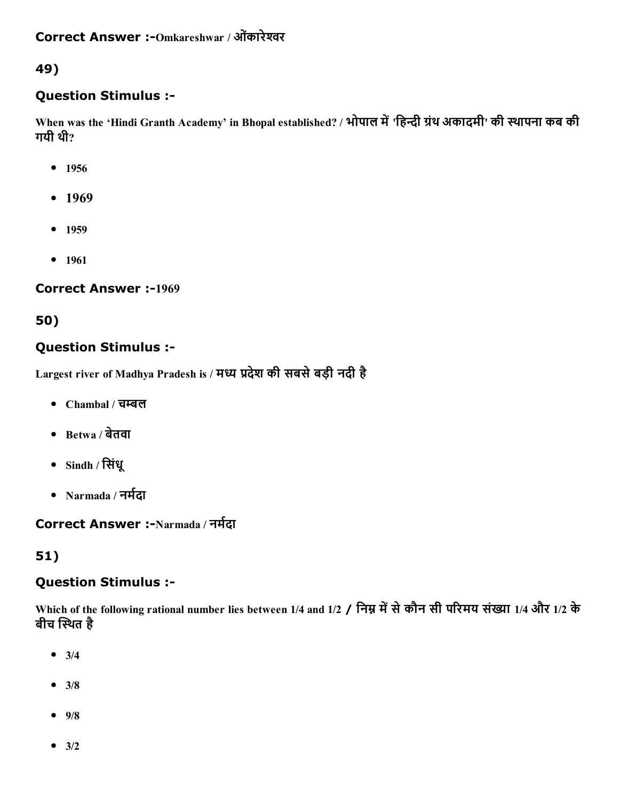## 49)

### Question Stimulus :

When was the 'Hindi Granth Academy' in Bhopal established? / भोपाल में 'हिन्दी ग्रंथ अकादमी' की स्थापना कब की गयी थी?

- $1956$
- $-1969$
- $-1959$
- 1961

#### **Correct Answer :-1969**

## 50)

## Question Stimulus :

Largest river of Madhya Pradesh is / मध्य प्रदेश की सबसे बड़ी नदी है

- Chambal / चम्बल
- Betwa / बेतवा
- Sindh / िसंधू
- Narmada / नर्मदा

### Correct Answer :-Narmada / नर्मदा

## 51)

#### Question Stimulus :

Which of the following rational number lies between 1/4 and 1/2 / निम्न में से कौन सी परिमय संख्या 1/4 और 1/2 के बीच स्थित है

- $3/4$
- $3/8$
- $9/8$
- $-3/2$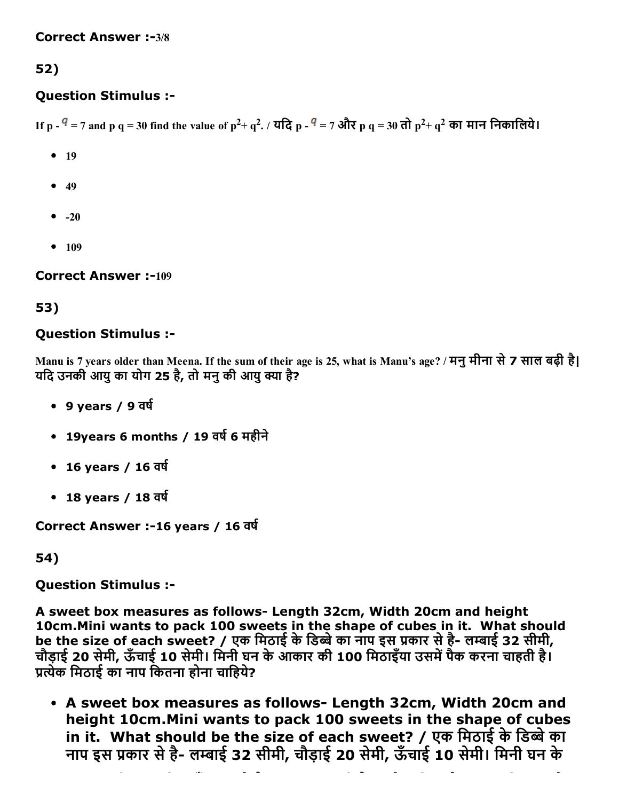# 52)

## Question Stimulus :

If p -  $^q$  = 7 and p q = 30 find the value of p<sup>2</sup>+ q<sup>2</sup>. / यदि p -  $^q$  = 7 और p q = 30 तो p<sup>2</sup>+ q<sup>2</sup> का मान निकालिये।

- $-19$
- $-49$
- $\bullet$  -20
- $109$

**Correct Answer :-109** 

## 53)

## Question Stimulus :

Manu is 7 years older than Meena. If the sum of their age is 25, what is Manu's age? / मनुमीना से7 साल बढ़ी है| यदि उनकी आयु का योग 25 है, तो मनु की आयु क्या है?

- $\cdot$  9 years / 9 वर्ष
- 19years 6 months / 19 वर्ष 6 महीने
- $16$  years /  $16$  वर्ष
- 18 years / 18 वर्ष

Correct Answer :-16 years / 16 वर्ष

54)

Question Stimulus :

A sweet box measures as follows- Length 32cm, Width 20cm and height 10cm.Mini wants to pack 100 sweets in the shape of cubes in it. What should be the size of each sweet? / एक मिठाई के डिब्बे का नाप इस प्रकार से है- लम्बाई 32 सीमी, चौड़ाई 20 सेमी, ऊँचाई 10 सेमी। िमनी घन केआकार की 100 िमठाइँया उसम┼पैक करना चाहती है। प्रत्येक मिठाई का नाप कितना होना चाहिये?

• A sweet box measures as follows- Length 32cm, Width 20cm and height 10cm.Mini wants to pack 100 sweets in the shape of cubes in it. What should be the size of each sweet? / एक मिठाई के डिब्बे का नाप इस प्रकार से है- लम्बाई 32 सीमी, चौड़ाई 20 सेमी, ऊँचाई 10 सेमी। मिनी घन के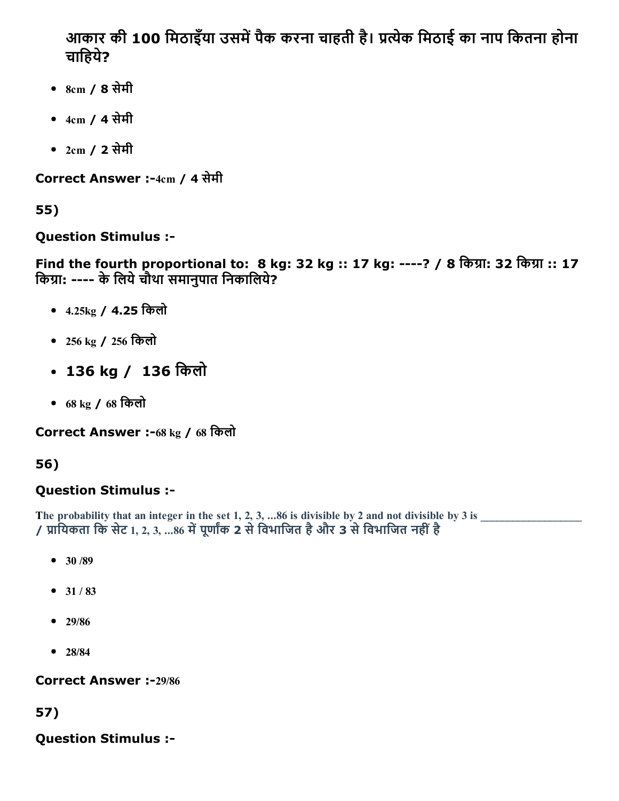आकार की 100 मिठाइँया उसमें पैक करना चाहती है। प्रत्येक मिठाई का नाप कितना होना चाहिये?

- 8cm / 8 सेमी
- 4cm / 4 सेमी
- 2cm / 2 सेमी

Correct Answer :-4cm / 4 सेमी

55)

Question Stimulus :

Find the fourth proportional to: 8 kg: 32 kg :: 17 kg: ----? / 8 किग्रा: 32 किग्रा :: 17 किग्रा: ---- के लिये चौथा समानुपात निकालिये?

- 4.25kg / 4.25 िकलो
- 256 kg / 256 िकलो
- 136 kg / 136 किलो
- 68 kg / 68 िकलो

Correct Answer :-68 kg / 68 किलो

# 56)

# Question Stimulus :

The probability that an integer in the set 1, 2, 3, ...86 is divisible by 2 and not divisible by 3 is  $\overline{\phantom{a}}$ / प्रायिकता कि सेट 1, 2, 3, ...86 में पूर्णांक 2 से विभाजित है और 3 से विभाजित नहीं है

- $30 / 89$
- $31 / 83$
- 29/86
- $28/84$

Correct Answer :-29/86

57)

Question Stimulus :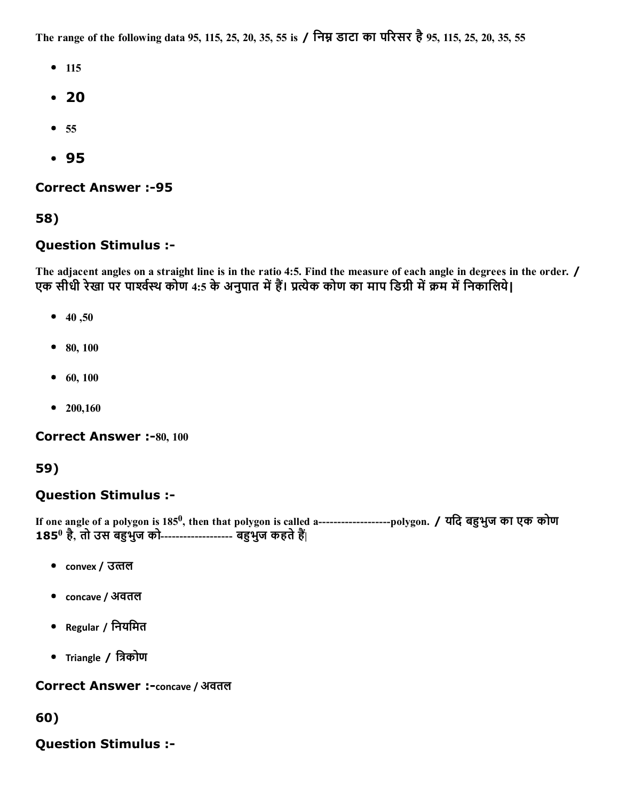The range of the following data 95, 115, 25, 20, 35, 55 is / निम्न डाटा का परिसर है 95, 115, 25, 20, 35, 55

- $115$
- 20
- $55$
- 95

#### **Correct Answer :-95**

#### 58)

#### Question Stimulus :

The adjacent angles on a straight line is in the ratio 4:5. Find the measure of each angle in degrees in the order. / एक सीधी रेखा पर पार्श्वस्थ कोण 4:5 के अनुपात में हैं। प्रत्येक कोण का माप डिग्री में क्रम में निकालिये।

- $40,50$
- 80, 100
- $60, 100$
- $200,160$

**Correct Answer :-80, 100** 

59)

#### Question Stimulus :

If one angle of a polygon is 185<sup>0</sup>, then that polygon is called a--------------------polygon. / यदि बहुभुज का एक कोण 185º है, तो उस बहुभुज को------------------- बहुभुज कहते हैं|

- convex / उत्तल
- concave / अवतल
- Regular / िनयिमत
- Triangle / त्रिकोण

#### **Correct Answer :-concave / अवतल**

60)

Question Stimulus :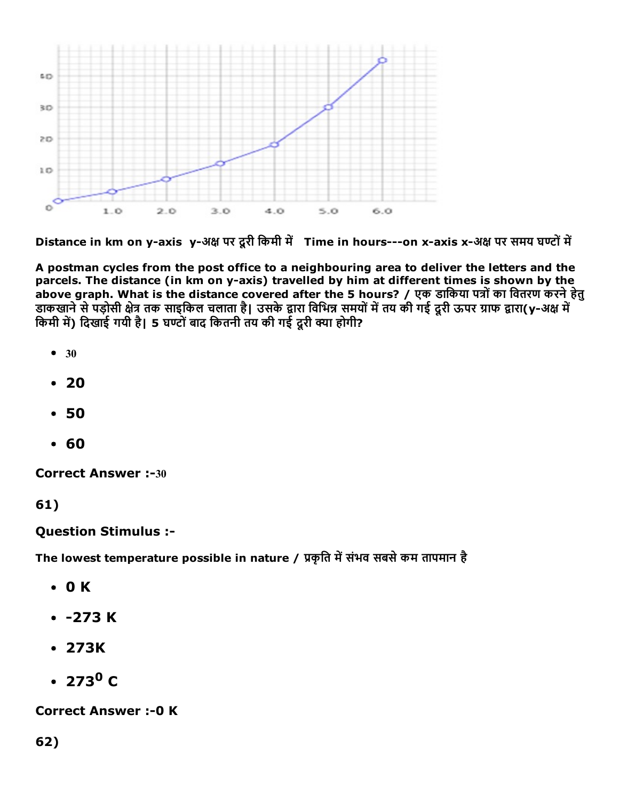

Distance in km on y-axis y-अक्ष पर दूरी किमी में Time in hours---on x-axis x-अक्ष पर समय घण्टों में

A postman cycles from the post office to a neighbouring area to deliver the letters and the parcels. The distance (in km on y-axis) travelled by him at different times is shown by the above graph. What is the distance covered after the 5 hours? / एक डार्किया पत्रों का वितरण करने हेतु डाकखाने से पड़ोसी क्षेत्र तक साइकिल चलाता है| उसके द्वारा विभिन्न समयों में तय की गई दूरी ऊपर ग्राफ द्वारा(y-अक्ष म किमी में) दिखाई गयी है| 5 घण्टों बाद कितनी तय की गई दूरी क्या होगी?

- $30$
- $20$
- 50
- 60

**Correct Answer :-30** 

61)

#### Question Stimulus :

The lowest temperature possible in nature / प्रकृति में संभव सबसे कम तापमान है

- 0 K
- $-273 K$
- 273K
- $273^{\circ}$  C

**Correct Answer :- 0 K** 

62)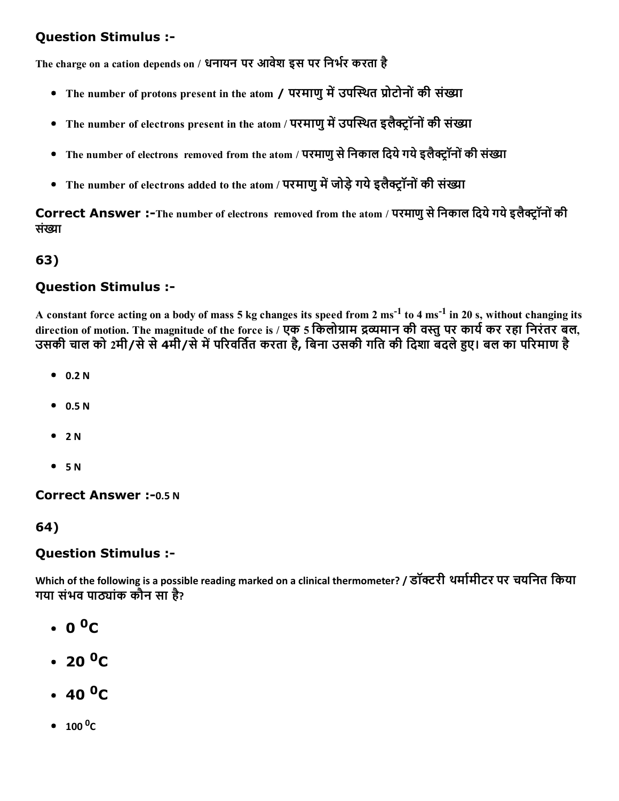### Question Stimulus :

The charge on a cation depends on / धनायन पर आवेश इस पर निर्भर करता है

- The number of protons present in the atom / परमाणु में उपस्थित प्रोटोनों की संख्या
- The number of electrons present in the atom / परमाणु में उपस्थित इलैक्ट्रॉनों की संख्या
- The number of electrons removed from the atom / परमाणु से निकाल दिये गये इलैक्टॉनों की संख्या
- The number of electrons added to the atom / परमाणु में जोड़े गये इलैक्ट्रॉनों की संख्या

Correct Answer :-The number of electrons removed from the atom / परमाणु से निकाल दिये गये इलैक्ट्रॉनों की संġा

## 63)

### Question Stimulus :

A constant force acting on a body of mass 5 kg changes its speed from 2  $\mathrm{ms}^{-1}$  to 4  $\mathrm{ms}^{-1}$  in 20 s, without changing its direction of motion. The magnitude of the force is / एक 5 किलोग्राम द्रव्यमान की वस्तु पर कार्य कर रहा निरंतर बल, उसकी चाल को 2मी/से से 4मी/से में परिवर्तित करता है, बिना उसकी गति की दिशा बदले हुए। बल का परिमाण है

- $0.2 N$
- $0.5 N$
- $^{\bullet}$  2 N
- $-5 N$

**Correct Answer :- 0.5 N** 

64)

#### Question Stimulus :

Which of the following is a possible reading marked on a clinical thermometer? / डॉक्टरी थर्मामीटर पर चयनित किया गया संभव पाठ्यांक कौन सा है?

- 0 <sup>0</sup>C
- 20 <sup>0</sup>C
- 40 <sup>0</sup>C
- $100\text{ }^0\text{C}$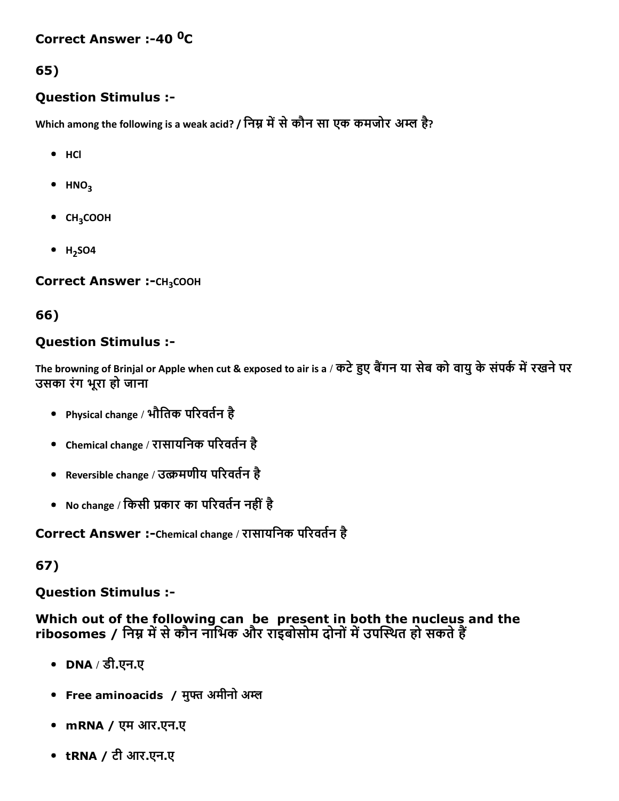## Correct Answer :-40 <sup>0</sup>C

#### 65)

#### Question Stimulus :

Which among the following is a weak acid? / निम्न में से कौन सा एक कमजोर अम्ल है?

- HCl
- $\bullet$  HNO<sub>3</sub>
- CH<sub>3</sub>COOH
- $H<sub>2</sub>SO4$

Correct Answer :- CH<sub>3</sub>COOH

#### 66)

### Question Stimulus :

The browning of Brinjal or Apple when cut & exposed to air is a / कटे हुए बैंगन या सेब को वायु के संपर्क में रखने पर उसका रंग भूरा हो जाना

- Physical change / भौतिक परिवर्तन है
- Chemical change / रासायनिक परिवर्तन है
- Reversible change / उत्क्रमणीय परिवर्तन है
- No change / किसी प्रकार का परिवर्तन नहीं है

Correct Answer :-Chemical change / रासायनिक परिवर्तन है

67)

Question Stimulus :

Which out of the following can be present in both the nucleus and the ribosomes / निम्न में से कौन नाभिक और राइबोसोम दोनों में उपस्थित हो सकते हैं

- DNA / डी.एन.ए
- Free aminoacids / मुफ्त अमीनो अम्ल
- mRNA / एम आर.एन.ए
- tRNA / टी आर.एन.ए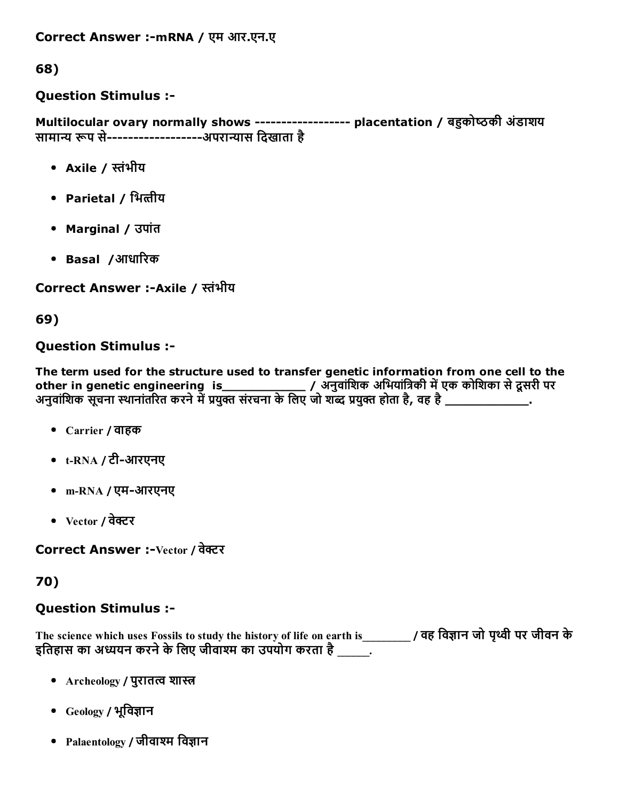Correct Answer :-mRNA / एम आर.एन.ए

68)

## Question Stimulus :

Multilocular ovary normally shows ------------------ placentation / बहुकोष्ठकी अंडाशय सामान्य रूप से------------------अपरान्यास दिखाता है

- Axile / הּंभीय
- Parietal / भित्तीय
- Marginal / उपांत
- Basal /आधाδरक

Correct Answer :-Axile / स्तंभीय

69)

### Question Stimulus :

The term used for the structure used to transfer genetic information from one cell to the other in genetic engineering is\_\_\_\_\_\_\_\_\_\_\_\_\_\_\_\_\_\_/ अनुवांशिक अभियांत्रिकी में एक कोशिका से दूसरी पर अनुवांशिक सूचना स्थानांतरित करने में प्रयुक्त संरचना के लिए जो शब्द प्रयुक्त होता है, वह है \_\_\_\_\_\_\_\_\_\_\_\_\_\_\_.

- Carrier / वाहक
- $t$ -RNA / टी-आरएनए
- m-RNA / एम-आरएनए
- $\bullet$  Vector / वेक्टर

Correct Answer :-Vector / वेक्टर

70)

## Question Stimulus :

The science which uses Fossils to study the history of life on earth is \_\_\_\_\_\_\_\_\_\_ / वह विज्ञान जो पृथ्वी पर जीवन के इतिहास का अध्ययन करने के लिए जीवाश्म का उपयोग करता है \_\_\_\_\_\_

- Archeology / पुरातत्व शास्त्र
- Geology / भूविज्ञान
- Palaentology / जीवाश्म विज्ञान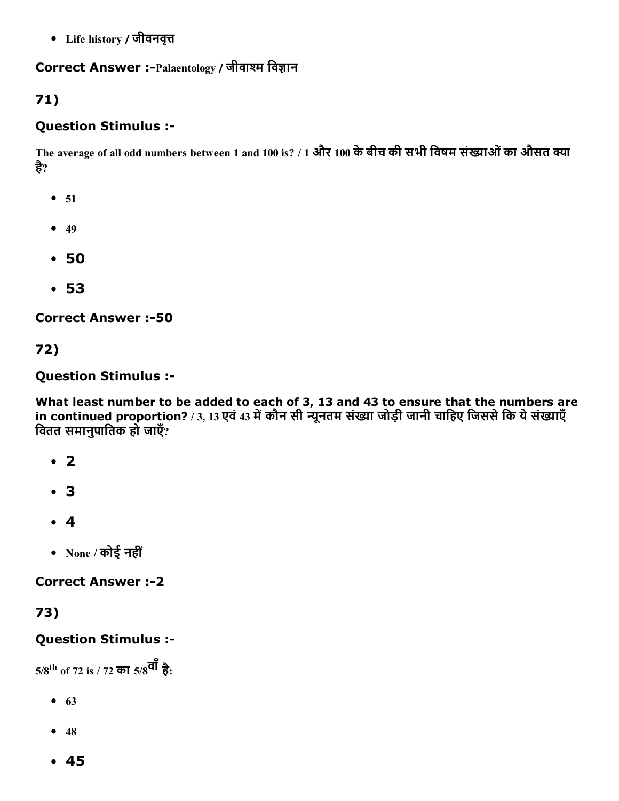• Life history / जीवनवृत्त

#### Correct Answer :-Palaentology / जीवाश्म विज्ञान

## 71)

### Question Stimulus :

The average of all odd numbers between 1 and 100 is? / 1 और 100 के बीच की सभी विषम संख्याओं का औसत क्या है?

- $51$
- $49$
- 50
- 53

**Correct Answer :-50** 

72)

Question Stimulus :

What least number to be added to each of 3, 13 and 43 to ensure that the numbers are in continued proportion? / 3, 13 एवं 43 में कौन सी न्यूनतम संख्या जोड़ी जानी चाहिए जिससे कि ये संख्याएँ िवतत समानुपाितक हो जाएँ?

- $\cdot$  2
- 3
- $4$
- None / कोई नहीं

#### **Correct Answer :-2**

73)

## Question Stimulus :

5/8<sup>th</sup> of 72 is / 72 का 5/8<sup>वाँ</sup> है:

- $63$
- $48$
- 45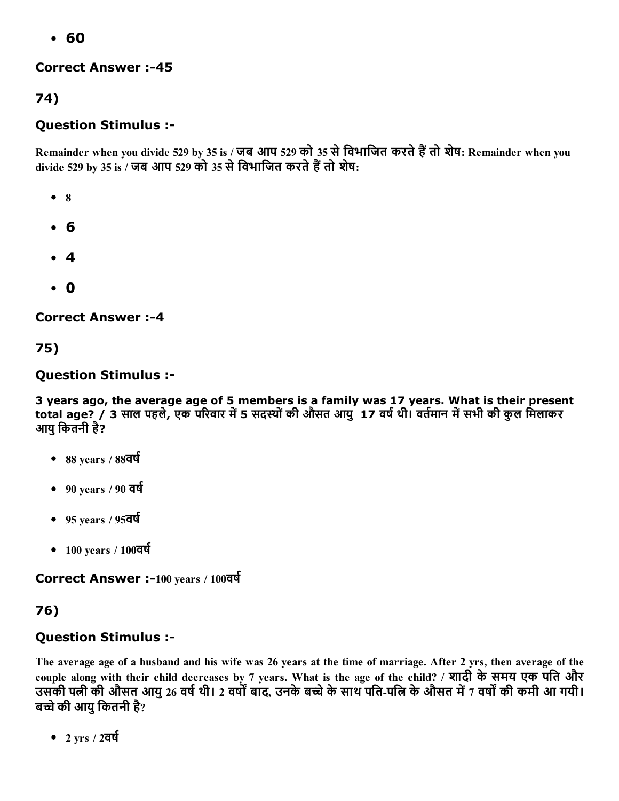60

### **Correct Answer :-45**

74)

## Question Stimulus :

Remainder when you divide 529 by 35 is / जब आप 529 को 35 से विभाजित करते हैं तो शेष: Remainder when you divide 529 by 35 is / जब आप 529 को 35 से विभाजित करते हैं तो शेष:

- $\bullet$  8
- 6
- 4
- 0

**Correct Answer :-4** 

75)

## Question Stimulus :

3 years ago, the average age of 5 members is a family was 17 years. What is their present total age? / 3 साल पहले, एक परिवार में 5 सदस्यों की औसत आयुर्17 वर्ष थी। वर्तमान में सभी की कुल मिलाकर आयु कितनी है?

- $\bullet$  88 years / 88 $\overline{\text{qq}}$
- $-90$  years / 90 वर्ष
- $-95$  years / 95 $\overline{q}\overline{q}$
- $-100$  years /  $100$ वर्ष

Correct Answer :-100 years / 100वर्ष

## 76)

## Question Stimulus :

The average age of a husband and his wife was 26 years at the time of marriage. After 2 yrs, then average of the couple along with their child decreases by 7 years. What is the age of the child? / शादी केसमय एक पित और उसकी पत्नी की औसत आयु 26 वर्ष थी। 2 वर्षों बाद, उनके बच्चे के साथ पति-पत्नि के औसत में 7 वर्षों की कमी आ गयी। बच्चे की आयु कितनी है?

•  $2 \text{ yrs} / 2$ वर्ष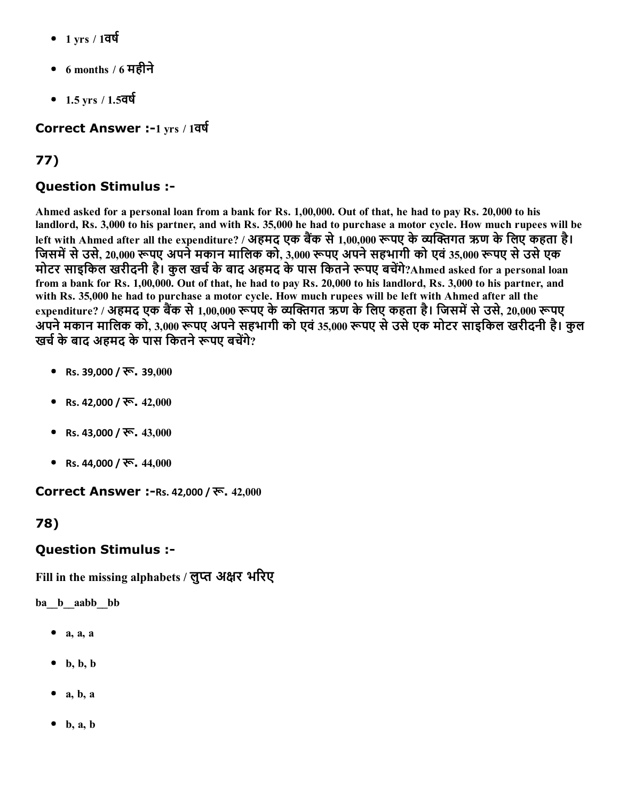- $1 \text{ yrs} / 1$ वर्ष
- $\bullet$  6 months / 6 महीने
- 1.5 yrs / 1.5वर्ष

### Correct Answer :-1 yrs / 1वर्ष

# 77)

## Question Stimulus :

Ahmed asked for a personal loan from a bank for Rs. 1,00,000. Out of that, he had to pay Rs. 20,000 to his landlord, Rs. 3,000 to his partner, and with Rs. 35,000 he had to purchase a motor cycle. How much rupees will be left with Ahmed after all the expenditure? / अहमद एक बैंक से 1,00,000 रूपए के व्यक्तिगत ऋण के लिए कहता है। जिसमें से उसे, 20,000 रूपए अपने मकान मालिक को, 3,000 रूपए अपने सहभागी को एवं 35,000 रूपए से उसे एक मोटर साइकिल खरीदनी है। कुल खर्च के बाद अहमद के पास कितने रूपए बचेंगे?Ahmed asked for a personal loan from a bank for Rs. 1,00,000. Out of that, he had to pay Rs. 20,000 to his landlord, Rs. 3,000 to his partner, and with Rs. 35,000 he had to purchase a motor cycle. How much rupees will be left with Ahmed after all the expenditure? / अहमद एक बैंक से 1,00,000 रूपए के व्यक्तिगत ऋण के लिए कहता है। जिसमें से उसे, 20,000 रूपए अपने मकान मालिक को, 3,000 रूपए अपने सहभागी को एवं 35,000 रूपए से उसे एक मोटर साइकिल खरीदनी है। कुल खर्च के बाद अहमद के पास कितने रूपए बचेंगे?

- Rs. 39,000 / रू. 39,000
- Rs. 42,000 / रू.  $42,000$
- Rs. 43,000 / रू. 43,000
- Rs. 44,000 / रू. 44,000

**Correct Answer :-Rs. 42,000 / रू. 42,000** 

#### 78)

## Question Stimulus :

Fill in the missing alphabets / लुप्त अक्षर भरिए

ba\_\_b\_\_aabb\_\_bb

- $\bullet$  a, a, a
- $\bullet$  b, b, b
- $a, b, a$
- $\bullet$  b, a, b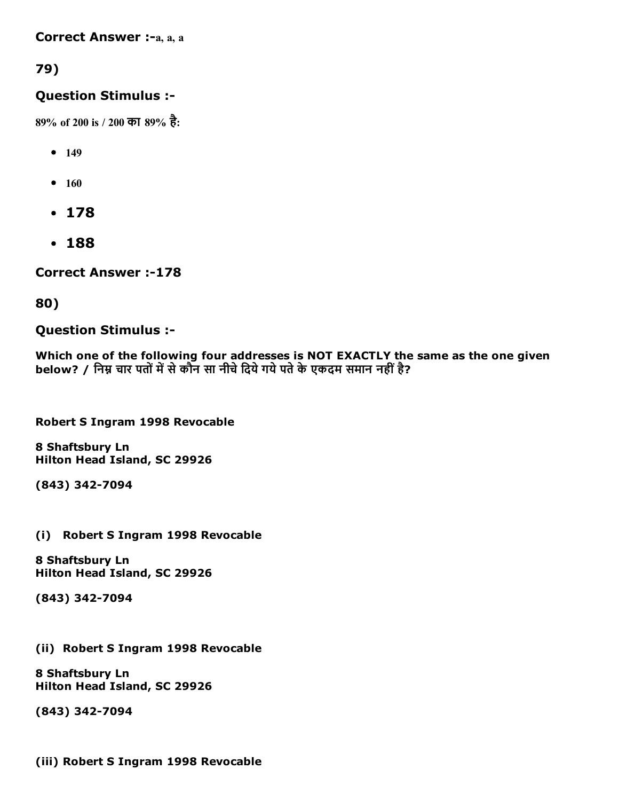#### Correct Answer :-a, a, a

## 79)

#### Question Stimulus :

89% of 200 is / 200 का 89% है:

- $149$
- $160$
- 178
- 188

**Correct Answer :-178** 

#### 80)

#### Question Stimulus :

Which one of the following four addresses is NOT EXACTLY the same as the one given below? / निम्न चार पतों में से कौन सा नीचे दिये गये पते के एकदम समान नहीं है?

Robert S Ingram 1998 Revocable

8 Shaftsbury Ln Hilton Head Island, SC 29926

(843) 3427094

(i) Robert S Ingram 1998 Revocable

8 Shaftsbury Ln Hilton Head Island, SC 29926

(843) 3427094

(ii) Robert S Ingram 1998 Revocable

8 Shaftsbury Ln Hilton Head Island, SC 29926

(843) 342-7094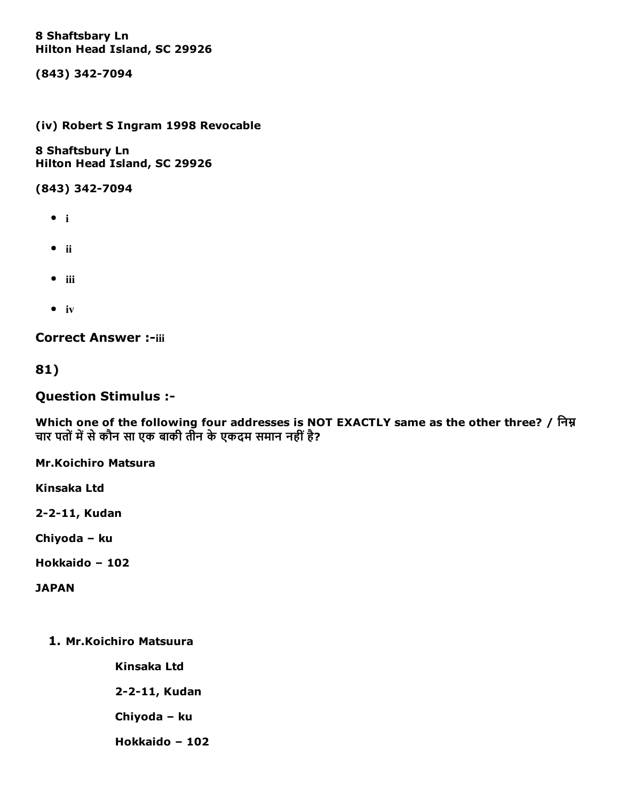#### 8 Shaftsbary Ln Hilton Head Island, SC 29926

(843) 342-7094

#### (iv) Robert S Ingram 1998 Revocable

8 Shaftsbury Ln Hilton Head Island, SC 29926

(843) 342-7094

- $\bullet$  i
- $\bullet$  ii
- $\bullet$  iii
- $\bullet$  iv

**Correct Answer :-iii** 

81)

Question Stimulus :

Which one of the following four addresses is NOT EXACTLY same as the other three? / िनђ चार पतों में से कौन सा एक बाकी तीन के एकदम समान नहीं है?

Mr.Koichiro Matsura

Kinsaka Ltd

2-2-11, Kudan

Chiyoda – ku

Hokkaido – 102

**JAPAN** 

1. Mr.Koichiro Matsuura

Kinsaka Ltd

2-2-11, Kudan

Chiyoda – ku

Hokkaido – 102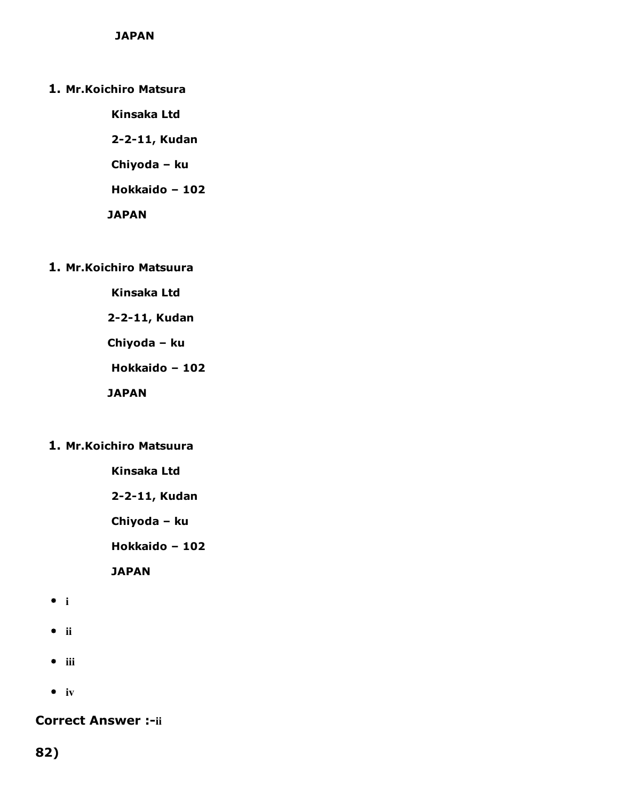- 1. Mr.Koichiro Matsura
	- Kinsaka Ltd 2-2-11, Kudan Chiyoda – ku Hokkaido – 102 **JAPAN**
- 1. Mr.Koichiro Matsuura
	- Kinsaka Ltd
	- 2-2-11, Kudan
	- Chiyoda ku
	- Hokkaido 102
	- JAPAN
- 1. Mr.Koichiro Matsuura
	- Kinsaka Ltd
	- 2-2-11, Kudan
	- Chiyoda ku
	- Hokkaido 102
	- **JAPAN**
- i
- $\bullet$  ii
- $\bullet$  iii
- $\bullet$  iv

**Correct Answer :-ii** 

82)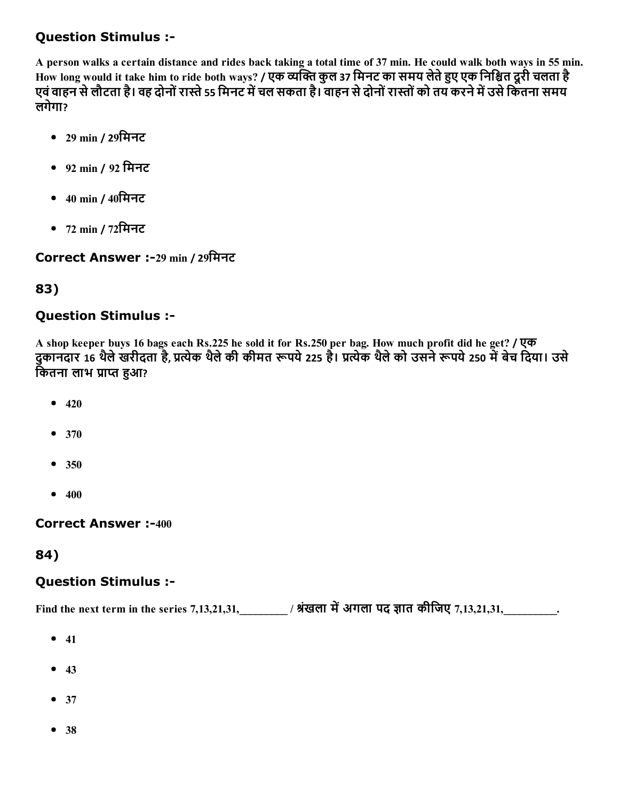## Question Stimulus :

A person walks a certain distance and rides back taking a total time of 37 min. He could walk both ways in 55 min. How long would it take him to ride both ways? / एक व्यक्ति कुल 37 मिनट का समय लेते हुए एक निश्चित दूरी चलता है एवं वाहन से लौटता है। वह दोनों रास्ते 55 मिनट में चल सकता है। वाहन से दोनों रास्तों को तय करने में उसे कितना समय लगेगा?

- 29 min / 29िमनट
- 92 min / 92 िमनट
- 40 min / 40िमनट
- 72 min / 72िमनट

Correct Answer :29 min / 29िमनट

## 83)

## Question Stimulus :

A shop keeper buys 16 bags each Rs.225 he sold it for Rs.250 per bag. How much profit did he get? / एक दुकानदार 16 थैले खरीदता है, प्रत्येक थैले की कीमत रूपये 225 है। प्रत्येक थैले को उसने रूपये 250 में बेच दिया। उसे कितना लाभ प्राप्त हुआ?

- $420$
- 370
- $350$
- $400$

**Correct Answer :-400** 

## 84)

## Question Stimulus :

Find the next term in the series 7,13,21,31,\_\_\_\_\_\_\_\_\_\_ / श्रंखला में अगला पद ज्ञात कीजिए 7,13,21,31,\_\_\_\_\_\_\_\_\_\_.

- $41$
- $43$
- $37$
- 38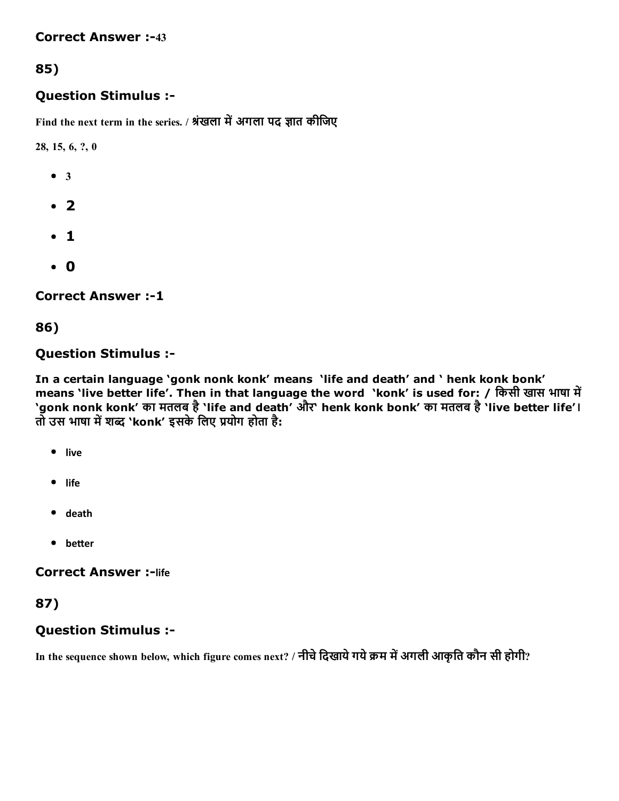#### **Correct Answer :-43**

## 85)

#### Question Stimulus :

Find the next term in the series. / श्रंखला में अगला पद ज्ञात कीजिए

28, 15, 6, ?, 0

- $-3$
- $\cdot$  2
- $\cdot$  1
- 0

**Correct Answer :-1** 

#### 86)

#### Question Stimulus :

In a certain language 'gonk nonk konk' means 'life and death' and ' henk konk bonk' means 'live better life'. Then in that language the word 'konk' is used for: / किसी खास भाषा में 'gonk nonk konk' का मतलब है'life and death' और' henk konk bonk' का मतलब है'live better life'। तो उस भाषा में शब्द `konk' इसके लिए प्रयोग होता है:

- live
- life
- death
- $\bullet$  better

#### **Correct Answer :- life**

#### 87)

#### Question Stimulus :

In the sequence shown below, which figure comes next? / नीचे दिखाये गये क्रम में अगली आकृति कौन सी होगी?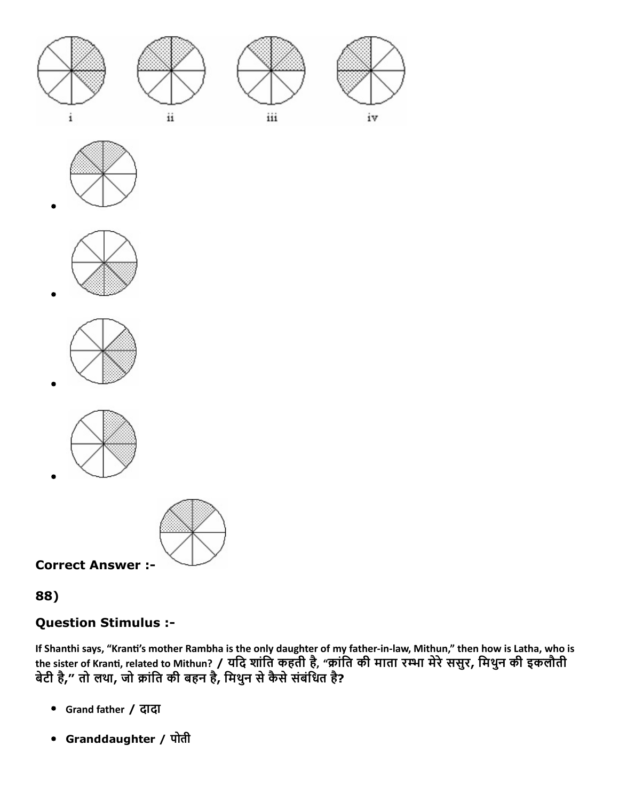

















Correct Answer :

## 88)

# Question Stimulus :

If Shanthi says, "Kranti's mother Rambha is the only daughter of my father-in-law, Mithun," then how is Latha, who is the sister of Kranti, related to Mithun? / यदि शांति कहती है, "क्रांति की माता रम्भा मेरे ससुर, मिथुन की इकलौती बेटी है," तो लथा, जो क्रांति की बहन है, मिथुन से कैसे संबंधित है?

- Grand father / दादा
- Granddaughter / पोती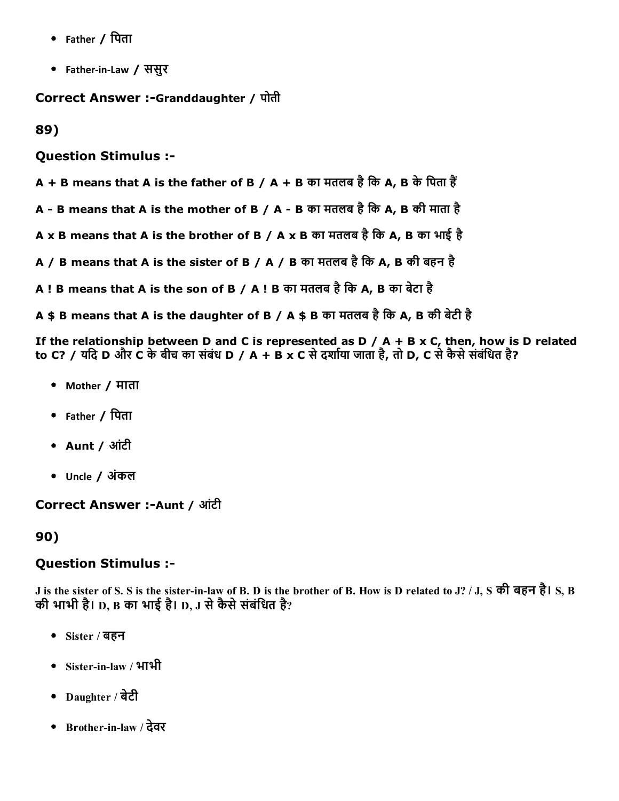- Father / िपता
- Father-in-Law / ससुर

**Correct Answer :-Granddaughter / पोती** 

89)

Question Stimulus :

 $A + B$  means that A is the father of B / A + B का मतलब है कि A, B के पिता हैं

A - B means that A is the mother of B / A - B का मतलब है कि A, B की माता है

A x B means that A is the brother of B / A x B का मतलब है कि A, B का भाई है

A / B means that A is the sister of B / A / B का मतलब है कि A, B की बहन है

A ! B means that A is the son of B / A ! B का मतलब है कि A, B का बेटा है

A \$ B means that A is the daughter of B / A \$ B का मतलब है कि A, B की बेटी है

If the relationship between D and C is represented as D / A + B x C, then, how is D related to C? / यदि D और C के बीच का संबंध D / A + B x C से दर्शाया जाता है, तो D, C से कैसे संबंधित है?

- Mother / माता
- Father / िपता
- Aunt / आंटी
- Uncle / अंकल

**Correct Answer :-Aunt / आंटी** 

90)

#### Question Stimulus :

J is the sister of S. S is the sisterinlaw of B. D is the brother of B. How is D related to J? / J, S की बहन है। S, B की भाभी है। D, B का भाई है। D, J से कैसे संबंधित है?

- Sister / बहन
- Sisterinlaw / भाभी
- Daughter / बेटी
- Brotherinlaw / देवर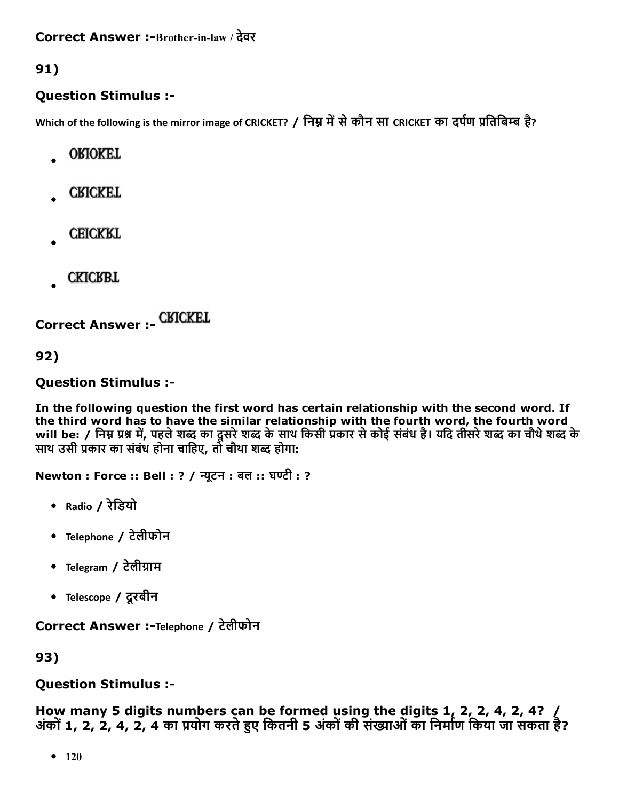91)

## Question Stimulus :

Which of the following is the mirror image of CRICKET? / निम्न में से कौन सा CRICKET का दर्पण प्रतिबिम्ब है?

- **ORIOKET**
- **CRICKET**
- **CEICKRT**
- **CKICRBT**

Correct Answer :

92)

## Question Stimulus :

In the following question the first word has certain relationship with the second word. If the third word has to have the similar relationship with the fourth word, the fourth word will be: / निम्न प्रश्न में, पहले शब्द का दूसरे शब्द के साथ किसी प्रकार से कोई संबंध है। यदि तीसरे शब्द का चौथे शब्द के साथ उसी प्रकार का संबंध होना चाहिए, तो चौथा शब्द होगा:

Newton : Force :: Bell : ? / न्यूटन : बल :: घण्टी : ?

- Radio / रेिडयो
- Telephone / टेलीफोन
- Telegram / टेलीग्राम
- Telescope / दूरबीन

Correct Answer :-Telephone / टेलीफोन

93)

## Question Stimulus :

How many 5 digits numbers can be formed using the digits 1, 2, 2, 4, 2, 4?  $/$ अंकों 1, 2, 2, 4, 2, 4 का प्रयोग करते हुए कितनी 5 अंकों की संख्याओं का निर्माण किया जा सकता है?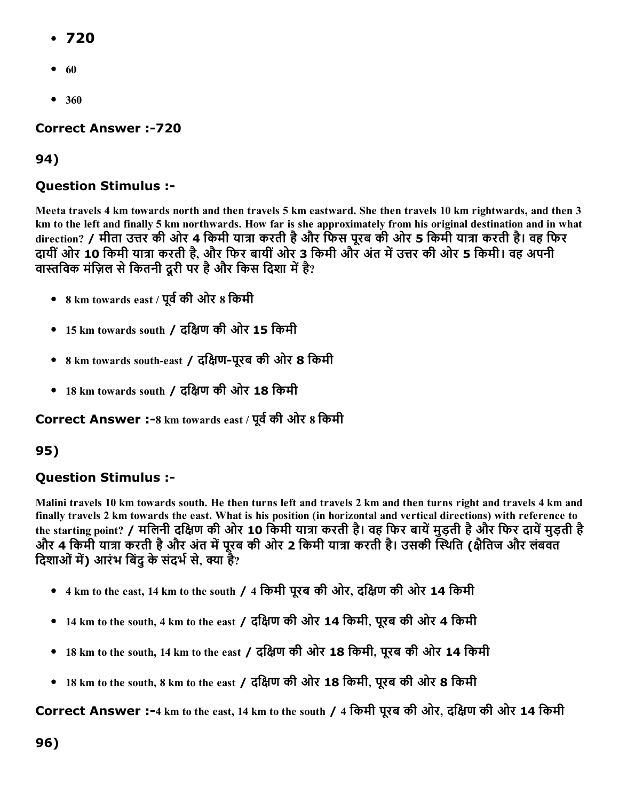- 720
- $\bullet$  60
- 360

**Correct Answer :-720** 

### 94)

### Question Stimulus :

Meeta travels 4 km towards north and then travels 5 km eastward. She then travels 10 km rightwards, and then 3 km to the left and finally 5 km northwards. How far is she approximately from his original destination and in what direction? / मीता उत्तर की ओर 4 किमी यात्रा करती है और फिस पूरब की ओर 5 किमी यात्रा करती है। वह फिर दायीं ओर 10 किमी यात्रा करती है, और फिर बायीं ओर 3 किमी और अंत में उत्तर की ओर 5 किमी। वह अपनी वास्तविक मंज़िल से कितनी दूरी पर है और किस दिशा में है?

- 8 km towards east / पूर्व की ओर 8 किमी
- 15 km towards south / दिāण की ओर 15 िकमी
- 8 km towards southeast / दिāणपूरब की ओर 8 िकमी
- 18 km towards south / दिāण की ओर 18 िकमी

Correct Answer :- 8 km towards east / पूर्व की ओर 8 किमी

## 95)

## Question Stimulus :

Malini travels 10 km towards south. He then turns left and travels 2 km and then turns right and travels 4 km and finally travels 2 km towards the east. What is his position (in horizontal and vertical directions) with reference to the starting point? / मलिनी दक्षिण की ओर 10 किमी यात्रा करती है। वह फिर बायें मुड़ती है और फिर दायें मुड़ती है और 4 किमी यात्रा करती है और अंत में पूरब की ओर 2 किमी यात्रा करती है। उसकी स्थिति (क्षेतिज और लंबवत दिशाओं में) आरंभ बिंदु के संदर्भ से, क्या है?

- 4 km to the east, 14 km to the south / 4 किमी पूरब की ओर, दक्षिण की ओर 14 किमी
- 14 km to the south, 4 km to the east / दिāण की ओर 14 िकमी, पूरब की ओर 4 िकमी
- 18 km to the south, 14 km to the east / दिāण की ओर 18 िकमी, पूरब की ओर 14 िकमी
- 18 km to the south, 8 km to the east / दिāण की ओर 18 िकमी, पूरब की ओर 8 िकमी

Correct Answer :4 km to the east, 14 km to the south / 4 िकमी पूरब की ओर, दिāण की ओर 14 िकमी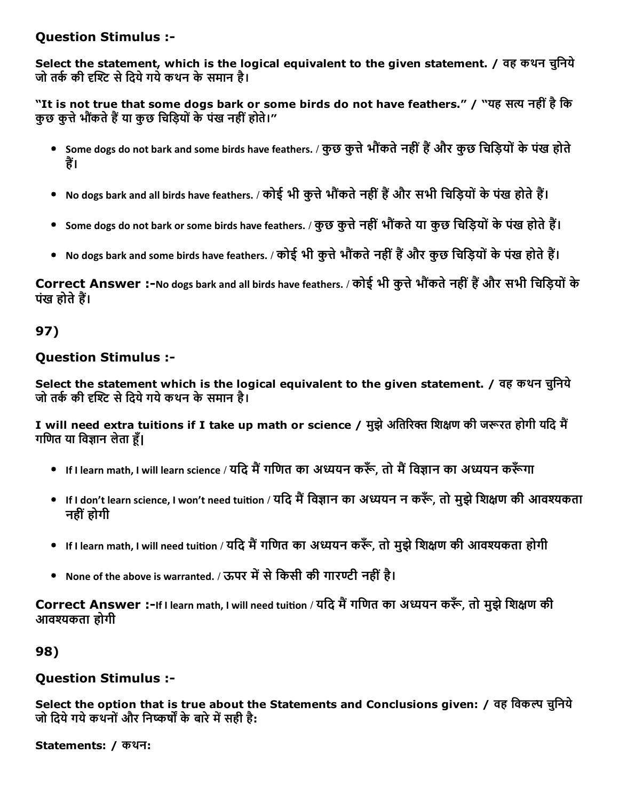### Question Stimulus :

Select the statement, which is the logical equivalent to the given statement. / वह कथन चुनिये जो तर्क की दृश्टि से दिये गये कथन के समान है।

"It is not true that some dogs bark or some birds do not have feathers." / "यह सत्य नहीं है कि कुछ कत्ते भौंकते हैं या कुछ चिडियों के पंख नहीं होते।"

- Some dogs do not bark and some birds have feathers. / कुछ कुत्ते भौंकते नहीं हैं और कुछ चिड़ियों के पंख होते हैं।
- No dogs bark and all birds have feathers. / कोई भी कुत्ते भौंकते नहीं हैं और सभी चिड़ियों के पंख होते हैं।
- Some dogs do not bark or some birds have feathers. / कुछ कुत्ते नहीं भौंकते या कुछ चिड़ियों के पंख होते हैं।
- No dogs bark and some birds have feathers. / कोई भी कुत्ते भौंकते नहीं हैं और कुछ चिड़ियों के पंख होते हैं।

Correct Answer :-No dogs bark and all birds have feathers. / कोई भी कुत्ते भौंकते नहीं हैं और सभी चिड़ियों के पंख होते हैं।

## 97)

## Question Stimulus :

Select the statement which is the logical equivalent to the given statement. / वह कथन चुनिये जो तर्क की दृश्टि से दिये गये कथन के समान है।

I will need extra tuitions if I take up math or science / मुझे अतिरिक्त शिक्षण की जरूरत होगी यदि मैं गणित या विज्ञान लेता हँ।

- If I learn math, I will learn science / यदि मैं गणित का अध्ययन करूँ, तो मैं विज्ञान का अध्ययन करूँगा
- If I don't learn science, I won't need tuition / यदि मैं विज्ञान का अध्ययन न करूँ, तो मुझे शिक्षण की आवश्यकता नहीं होगी
- If I learn math, I will need tuition / यदि मैं गणित का अध्ययन करूँ, तो मुझे शिक्षण की आवश्यकता होगी
- None of the above is warranted. / ऊपर में से किसी की गारण्टी नहीं है।

Correct Answer :-If I learn math, I will need tuition / यदि मैं गणित का अध्ययन करूँ, तो मुझे शिक्षण की आवפकता होगी

## 98)

## Question Stimulus :

Select the option that is true about the Statements and Conclusions given: / वह विकल्प चुनिये जो दिये गये कथनों और निष्कर्षों के बारे में सही है:

```
Statements: / कथन:
```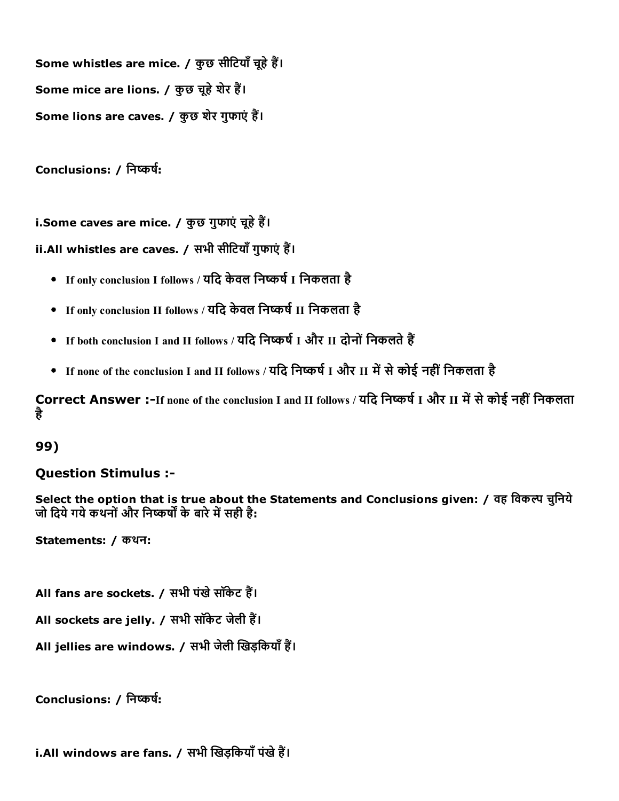Some whistles are mice. / कुछ सीटियाँ चूहे हैं। Some mice are lions. / कुछ चूहे शेर हैं। Some lions are caves. / कुछ शेर गुफाएं हैं।

Conclusions: / निष्कर्ष:

i.Some caves are mice. / कुछ गुफाएं चूहे हैं।

ii.All whistles are caves. / सभी सीटियाँ गुफाएं हैं।

- If only conclusion I follows / यदि केवल निष्कर्ष I निकलता है
- If only conclusion II follows / यदि केवल निष्कर्ष II निकलता है
- If both conclusion I and II follows / यदि निष्कर्ष I और II दोनों निकलते हैं
- If none of the conclusion I and II follows / यदि निष्कर्ष I और II में से कोई नहीं निकलता है

Correct Answer :-If none of the conclusion I and II follows / यदि निष्कर्ष I और II में से कोई नहीं निकलता है

99)

#### Question Stimulus :

Select the option that is true about the Statements and Conclusions given: / वह विकल्प चुनिये जो दिये गये कथनों और निष्कर्षों के बारे में सही है:

Statements: / कथन:

All fans are sockets. / सभी पंखे सॉकेट हैं।

All sockets are jelly. / सभी सॉकेट जेली हैं।

All jellies are windows. / सभी जेली खिड़कियाँ हैं।

Conclusions: / निष्कर्ष:

i.All windows are fans. / सभी खिड़कियाँ पंखे हैं।